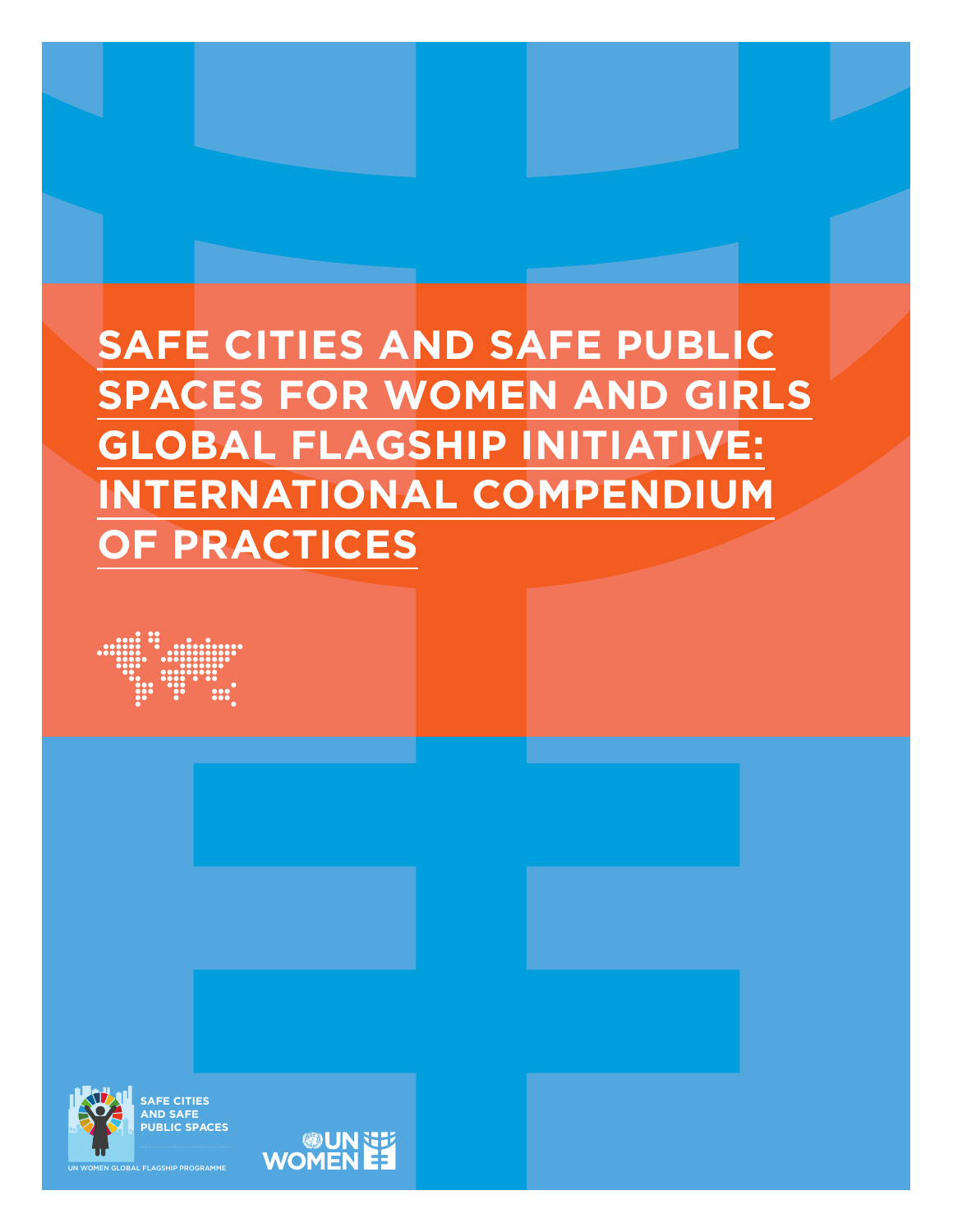## **SAFE CITIES AND SAFE PUBLIC SPACES FOR WOMEN AND GIRLS GLOBAL FLAGSHIP INITIATIVE: INTERNATIONAL COMPENDIUM OF PRACTICES**





**SAFE CITIES AND SAFE PUBLIC SPACES**

**EE AUREM**<br>EE AUROWO

UN WOMEN GLOBAL FLAGSHIP PROGRAMME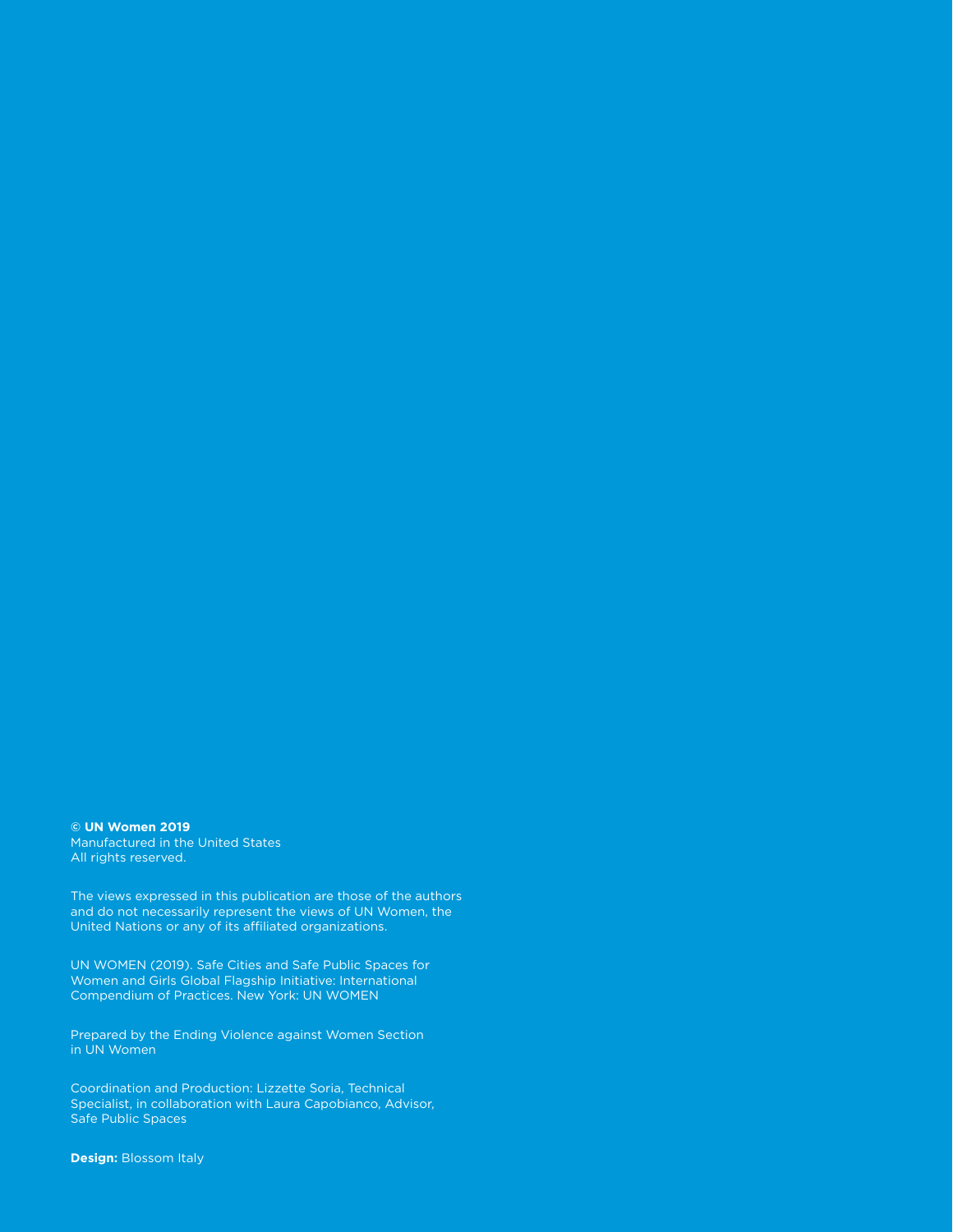**© UN Women 2019** Manufactured in the United States All rights reserved.

The views expressed in this publication are those of the authors and do not necessarily represent the views of UN Women, the United Nations or any of its affiliated organizations.

UN WOMEN (2019). Safe Cities and Safe Public Spaces for Women and Girls Global Flagship Initiative: International Compendium of Practices. New York: UN WOMEN

Prepared by the Ending Violence against Women Section in UN Women

Coordination and Production: Lizzette Soria, Technical Specialist, in collaboration with Laura Capobianco, Advisor, Safe Public Spaces

**Design:** Blossom Italy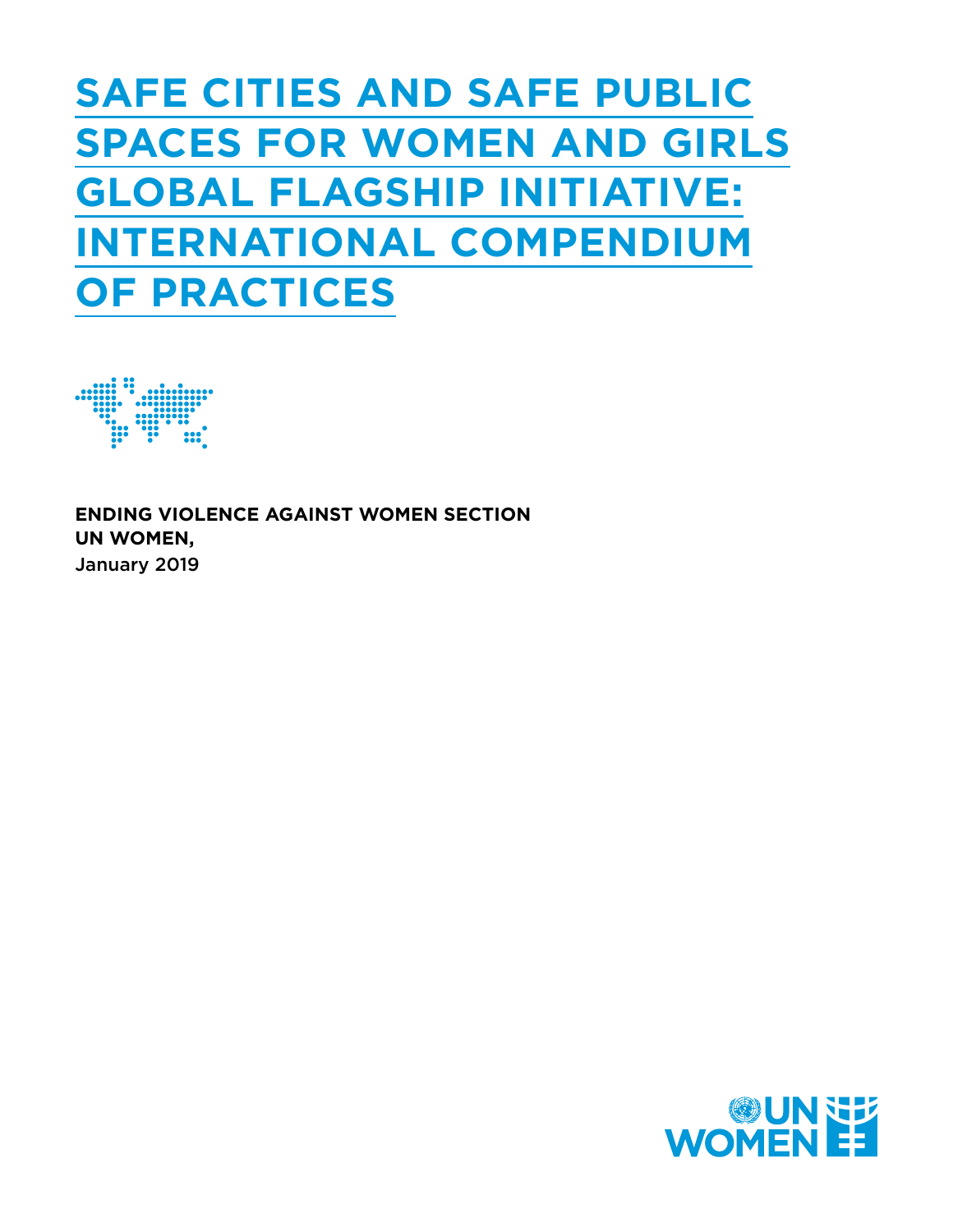## **SAFE CITIES AND SAFE PUBLIC SPACES FOR WOMEN AND GIRLS GLOBAL FLAGSHIP INITIATIVE: INTERNATIONAL COMPENDIUM OF PRACTICES**



**ENDING VIOLENCE AGAINST WOMEN SECTION UN WOMEN,** January 2019

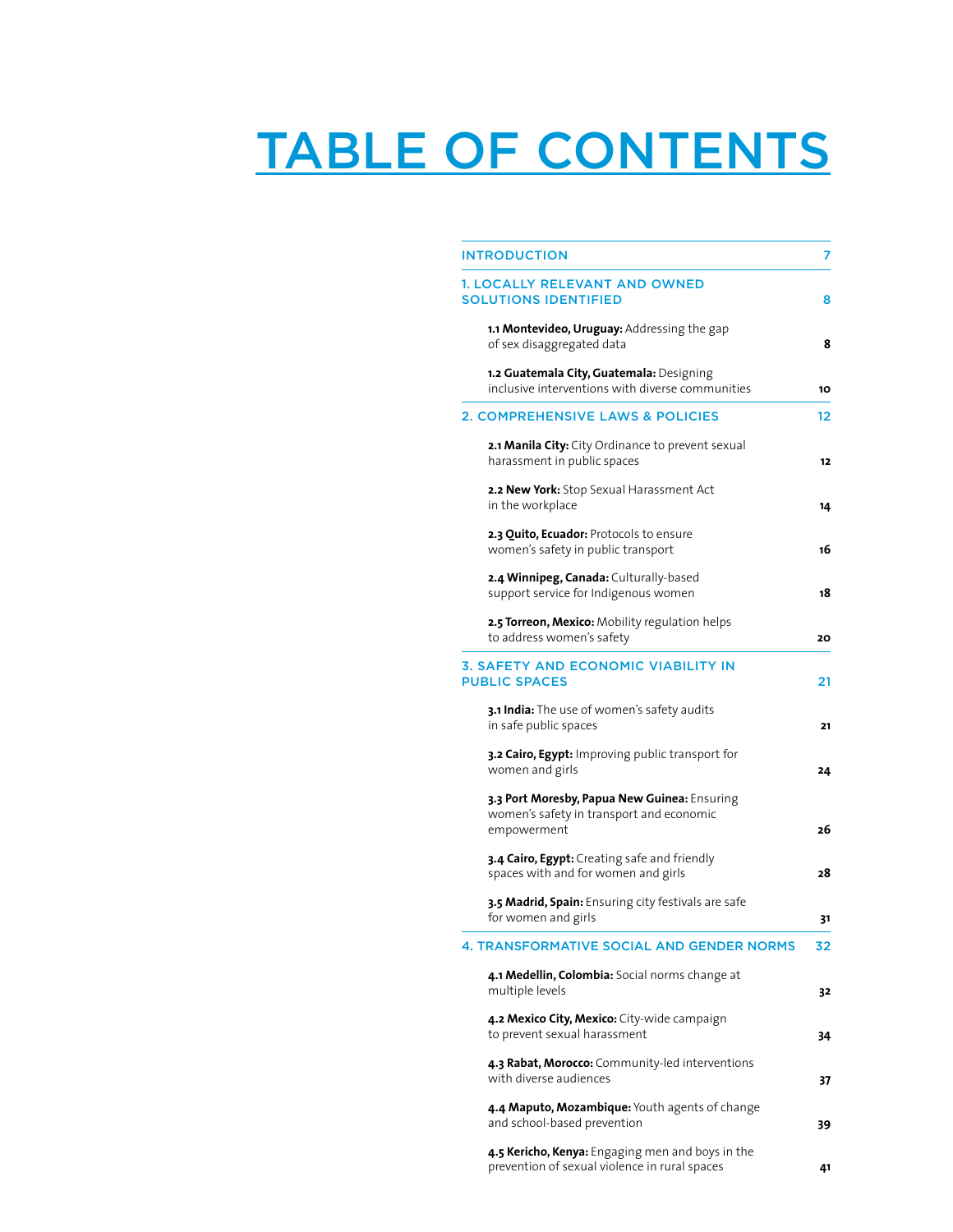# TABLE OF CONTENTS

| <b>INTRODUCTION</b>                                                                                     | 7  |
|---------------------------------------------------------------------------------------------------------|----|
| <b>1. LOCALLY RELEVANT AND OWNED</b><br><b>SOLUTIONS IDENTIFIED</b>                                     | 8  |
| 1.1 Montevideo, Uruguay: Addressing the gap<br>of sex disaggregated data                                | 8  |
| 1.2 Guatemala City, Guatemala: Designing<br>inclusive interventions with diverse communities            | 10 |
| 2. COMPREHENSIVE LAWS & POLICIES                                                                        | 12 |
| 2.1 Manila City: City Ordinance to prevent sexual<br>harassment in public spaces                        | 12 |
| 2.2 New York: Stop Sexual Harassment Act<br>in the workplace                                            | 14 |
| 2.3 Quito, Ecuador: Protocols to ensure<br>women's safety in public transport                           | 16 |
| 2.4 Winnipeg, Canada: Culturally-based<br>support service for Indigenous women                          | 18 |
| 2.5 Torreon, Mexico: Mobility regulation helps<br>to address women's safety                             | 20 |
| 3. SAFETY AND ECONOMIC VIABILITY IN<br><b>PUBLIC SPACES</b>                                             | 21 |
| 3.1 India: The use of women's safety audits<br>in safe public spaces                                    | 21 |
| 3.2 Cairo, Egypt: Improving public transport for<br>women and girls                                     | 24 |
| 3.3 Port Moresby, Papua New Guinea: Ensuring<br>women's safety in transport and economic<br>empowerment | 26 |
| 3.4 Cairo, Egypt: Creating safe and friendly<br>spaces with and for women and girls                     | 28 |
| 3.5 Madrid, Spain: Ensuring city festivals are safe<br>for women and girls                              | 31 |
| <b>TRANSFORMATIVE SO</b><br><b>GENDER NORMS</b>                                                         | 32 |
| 4.1 Medellin, Colombia: Social norms change at<br>multiple levels                                       | 32 |
| 4.2 Mexico City, Mexico: City-wide campaign<br>to prevent sexual harassment                             | 34 |
| 4.3 Rabat, Morocco: Community-led interventions<br>with diverse audiences                               | 37 |
| 4.4 Maputo, Mozambique: Youth agents of change<br>and school-based prevention                           | 39 |
| 4.5 Kericho, Kenya: Engaging men and boys in the<br>prevention of sexual violence in rural spaces       | 41 |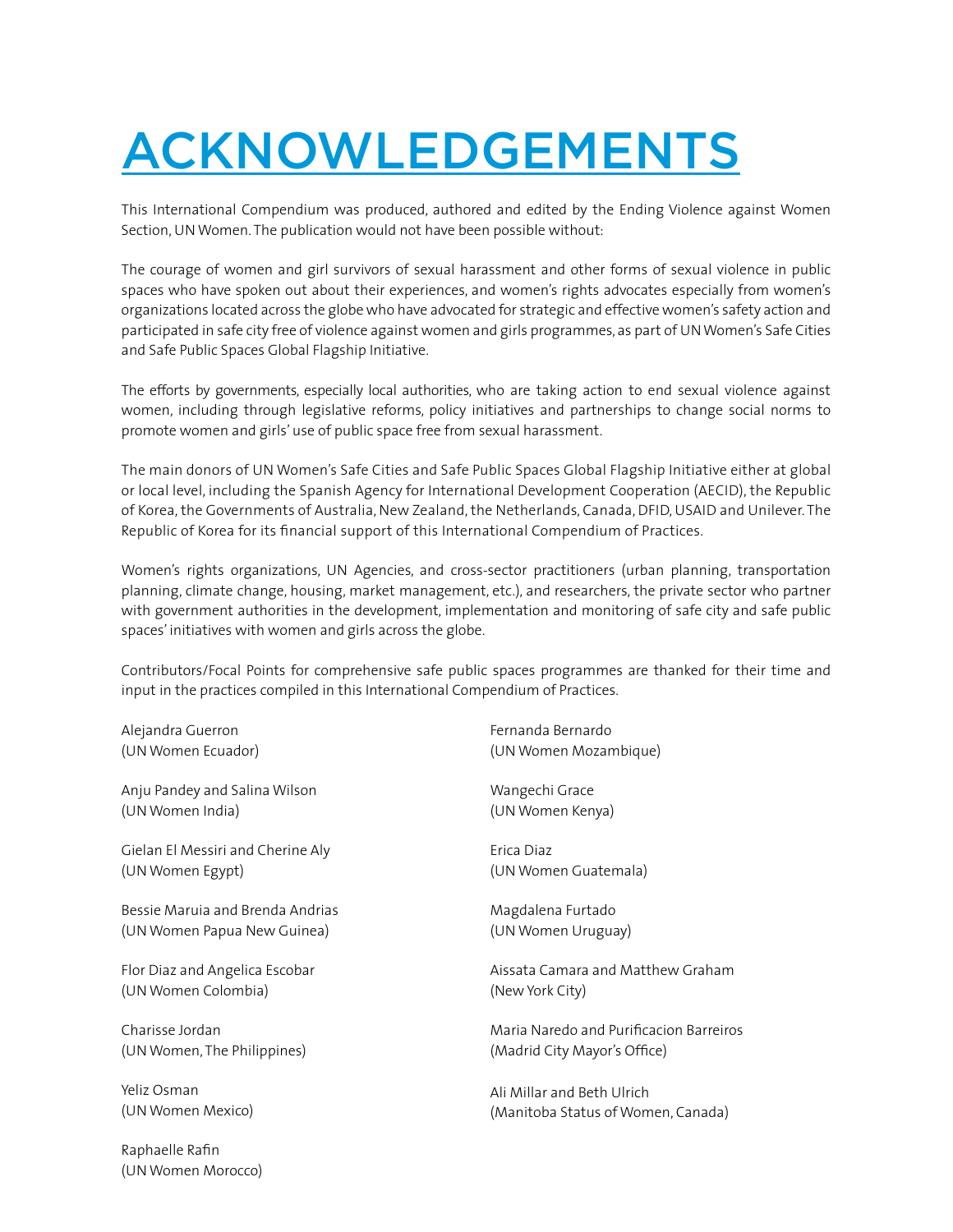# ACKNOWLEDGEMENTS

This International Compendium was produced, authored and edited by the Ending Violence against Women Section, UN Women. The publication would not have been possible without:

The courage of women and girl survivors of sexual harassment and other forms of sexual violence in public spaces who have spoken out about their experiences, and women's rights advocates especially from women's organizations located across the globe who have advocated for strategic and effective women's safety action and participated in safe city free of violence against women and girls programmes, as part of UN Women's Safe Cities and Safe Public Spaces Global Flagship Initiative.

The efforts by governments, especially local authorities, who are taking action to end sexual violence against women, including through legislative reforms, policy initiatives and partnerships to change social norms to promote women and girls' use of public space free from sexual harassment.

The main donors of UN Women's Safe Cities and Safe Public Spaces Global Flagship Initiative either at global or local level, including the Spanish Agency for International Development Cooperation (AECID), the Republic of Korea, the Governments of Australia, New Zealand, the Netherlands, Canada, DFID, USAID and Unilever. The Republic of Korea for its financial support of this International Compendium of Practices.

Women's rights organizations, UN Agencies, and cross-sector practitioners (urban planning, transportation planning, climate change, housing, market management, etc.), and researchers, the private sector who partner with government authorities in the development, implementation and monitoring of safe city and safe public spaces' initiatives with women and girls across the globe.

Contributors/Focal Points for comprehensive safe public spaces programmes are thanked for their time and input in the practices compiled in this International Compendium of Practices.

Alejandra Guerron (UN Women Ecuador)

Anju Pandey and Salina Wilson (UN Women India)

Gielan El Messiri and Cherine Aly (UN Women Egypt)

Bessie Maruia and Brenda Andrias (UN Women Papua New Guinea)

Flor Diaz and Angelica Escobar (UN Women Colombia)

Charisse Jordan (UN Women, The Philippines)

Yeliz Osman (UN Women Mexico)

Raphaelle Rafin (UN Women Morocco) Fernanda Bernardo (UN Women Mozambique)

Wangechi Grace (UN Women Kenya)

Erica Diaz (UN Women Guatemala)

Magdalena Furtado (UN Women Uruguay)

Aissata Camara and Matthew Graham (New York City)

Maria Naredo and Purificacion Barreiros (Madrid City Mayor's Office)

Ali Millar and Beth Ulrich (Manitoba Status of Women, Canada)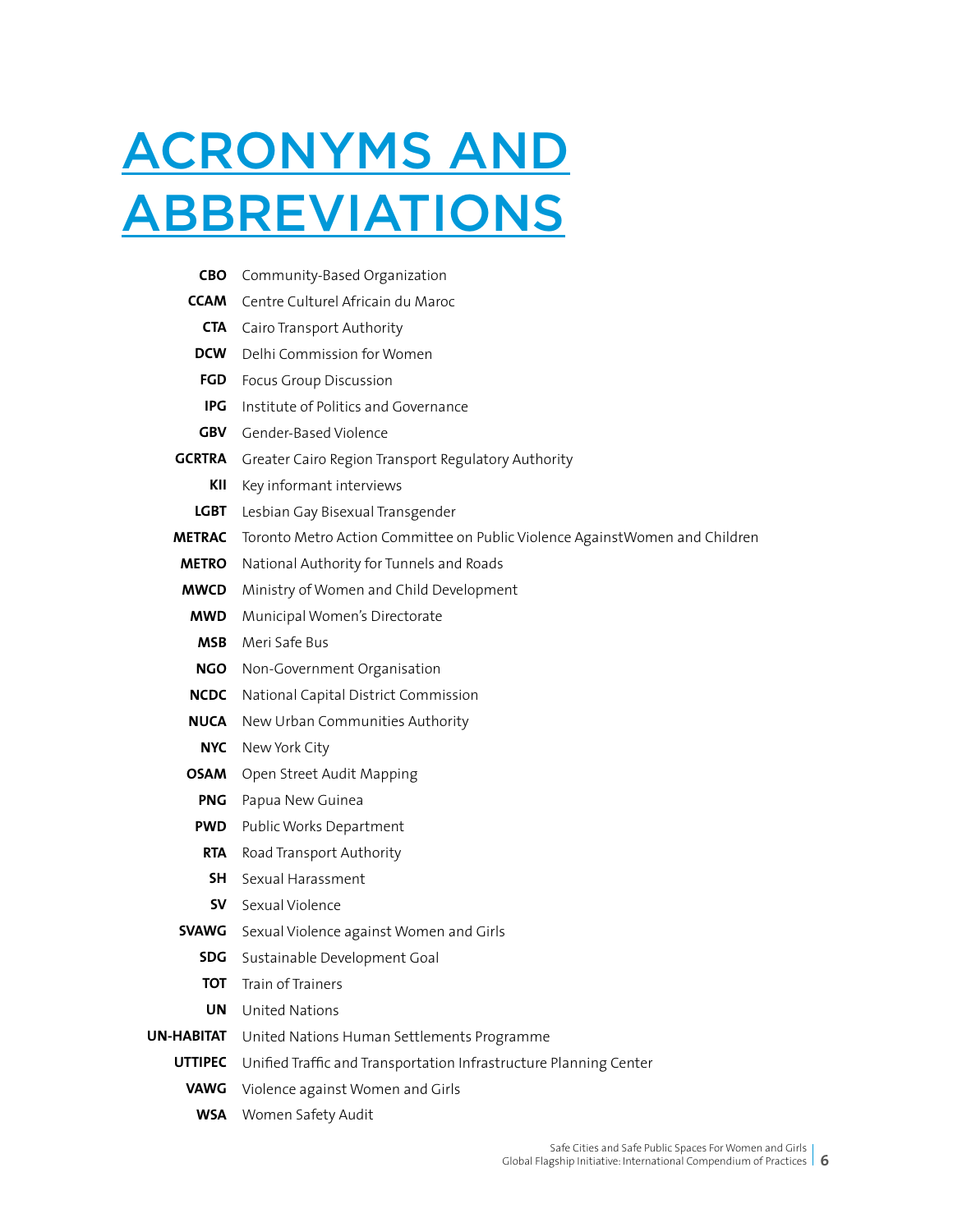# ACRONYMS AND **ABBREVIATIONS**

| CBO               | Community-Based Organization                                                 |
|-------------------|------------------------------------------------------------------------------|
|                   | <b>CCAM</b> Centre Culturel Africain du Maroc                                |
|                   | <b>CTA</b> Cairo Transport Authority                                         |
| <b>DCW</b>        | Delhi Commission for Women                                                   |
| FGD               | Focus Group Discussion                                                       |
| IPG               | Institute of Politics and Governance                                         |
|                   | <b>GBV</b> Gender-Based Violence                                             |
|                   | <b>GCRTRA</b> Greater Cairo Region Transport Regulatory Authority            |
| KII               | Key informant interviews                                                     |
| LGBT              | Lesbian Gay Bisexual Transgender                                             |
| <b>METRAC</b>     | Toronto Metro Action Committee on Public Violence Against Women and Children |
| <b>METRO</b>      | National Authority for Tunnels and Roads                                     |
| MWCD              | Ministry of Women and Child Development                                      |
| MWD               | Municipal Women's Directorate                                                |
| <b>MSB</b>        | Meri Safe Bus                                                                |
| <b>NGO</b>        | Non-Government Organisation                                                  |
| <b>NCDC</b>       | National Capital District Commission                                         |
|                   | <b>NUCA</b> New Urban Communities Authority                                  |
| NYC               | New York City                                                                |
| OSAM              | Open Street Audit Mapping                                                    |
| <b>PNG</b>        | Papua New Guinea                                                             |
| <b>PWD</b>        | Public Works Department                                                      |
| <b>RTA</b>        | Road Transport Authority                                                     |
| SH -              | Sexual Harassment                                                            |
|                   | <b>SV</b> Sexual Violence                                                    |
|                   | <b>SVAWG</b> Sexual Violence against Women and Girls                         |
|                   | <b>SDG</b> Sustainable Development Goal                                      |
| <b>TOT</b>        | Train of Trainers                                                            |
| UN                | United Nations                                                               |
| <b>UN-HABITAT</b> | United Nations Human Settlements Programme                                   |
| <b>UTTIPEC</b>    | Unified Traffic and Transportation Infrastructure Planning Center            |
| <b>VAWG</b>       | Violence against Women and Girls                                             |
| <b>WSA</b>        | Women Safety Audit                                                           |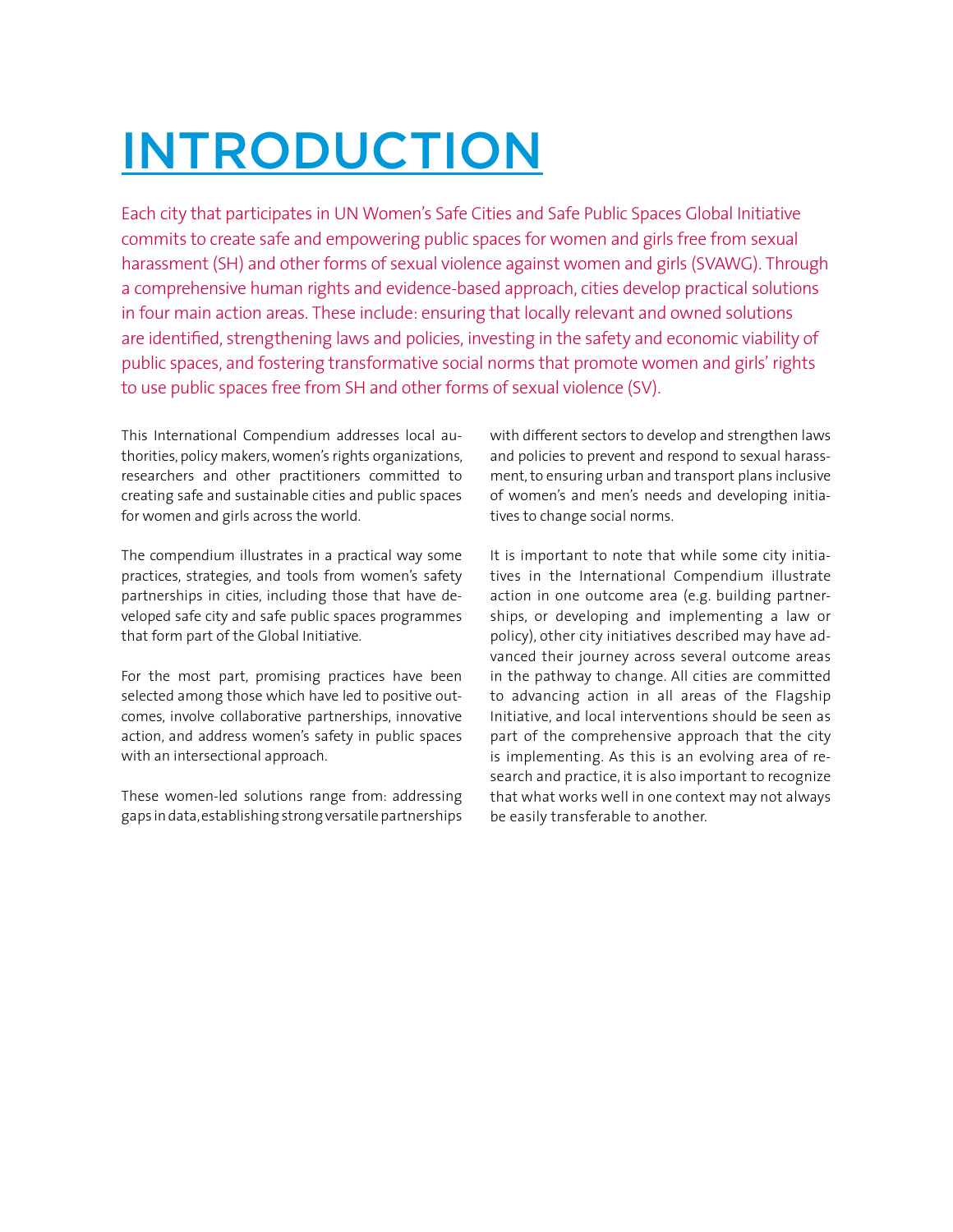# INTRODUCTION

Each city that participates in UN Women's Safe Cities and Safe Public Spaces Global Initiative commits to create safe and empowering public spaces for women and girls free from sexual harassment (SH) and other forms of sexual violence against women and girls (SVAWG). Through a comprehensive human rights and evidence-based approach, cities develop practical solutions in four main action areas. These include: ensuring that locally relevant and owned solutions are identified, strengthening laws and policies, investing in the safety and economic viability of public spaces, and fostering transformative social norms that promote women and girls' rights to use public spaces free from SH and other forms of sexual violence (SV).

This International Compendium addresses local authorities, policy makers, women's rights organizations, researchers and other practitioners committed to creating safe and sustainable cities and public spaces for women and girls across the world.

The compendium illustrates in a practical way some practices, strategies, and tools from women's safety partnerships in cities, including those that have developed safe city and safe public spaces programmes that form part of the Global Initiative.

For the most part, promising practices have been selected among those which have led to positive outcomes, involve collaborative partnerships, innovative action, and address women's safety in public spaces with an intersectional approach.

These women-led solutions range from: addressing gaps in data, establishing strong versatile partnerships

with different sectors to develop and strengthen laws and policies to prevent and respond to sexual harassment, to ensuring urban and transport plans inclusive of women's and men's needs and developing initiatives to change social norms.

It is important to note that while some city initiatives in the International Compendium illustrate action in one outcome area (e.g. building partnerships, or developing and implementing a law or policy), other city initiatives described may have advanced their journey across several outcome areas in the pathway to change. All cities are committed to advancing action in all areas of the Flagship Initiative, and local interventions should be seen as part of the comprehensive approach that the city is implementing. As this is an evolving area of research and practice, it is also important to recognize that what works well in one context may not always be easily transferable to another.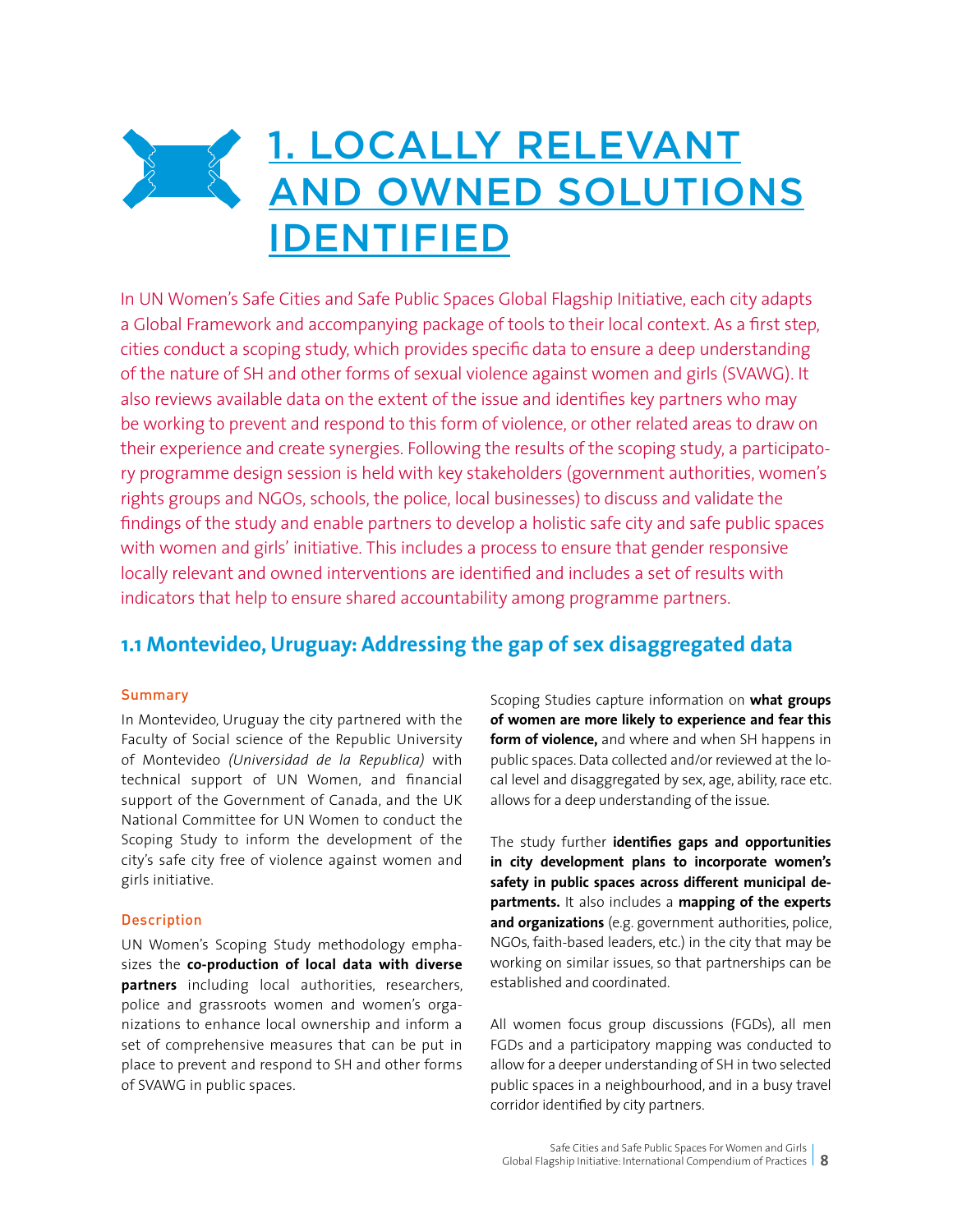## <u>1. LOCALLY RELEVANT</u>  $\frac{3}{2}$ AND OWNED SOLUTIONS IDENTIFIED

In UN Women's Safe Cities and Safe Public Spaces Global Flagship Initiative, each city adapts a Global Framework and accompanying package of tools to their local context. As a first step, cities conduct a scoping study, which provides specific data to ensure a deep understanding of the nature of SH and other forms of sexual violence against women and girls (SVAWG). It also reviews available data on the extent of the issue and identifies key partners who may be working to prevent and respond to this form of violence, or other related areas to draw on their experience and create synergies. Following the results of the scoping study, a participatory programme design session is held with key stakeholders (government authorities, women's rights groups and NGOs, schools, the police, local businesses) to discuss and validate the findings of the study and enable partners to develop a holistic safe city and safe public spaces with women and girls' initiative. This includes a process to ensure that gender responsive locally relevant and owned interventions are identified and includes a set of results with indicators that help to ensure shared accountability among programme partners.

### **1.1 Montevideo, Uruguay: Addressing the gap of sex disaggregated data**

#### Summary

In Montevideo, Uruguay the city partnered with the Faculty of Social science of the Republic University of Montevideo *(Universidad de la Republica)* with technical support of UN Women, and financial support of the Government of Canada, and the UK National Committee for UN Women to conduct the Scoping Study to inform the development of the city's safe city free of violence against women and girls initiative.

#### Description

UN Women's Scoping Study methodology emphasizes the **co-production of local data with diverse partners** including local authorities, researchers, police and grassroots women and women's organizations to enhance local ownership and inform a set of comprehensive measures that can be put in place to prevent and respond to SH and other forms of SVAWG in public spaces.

Scoping Studies capture information on **what groups of women are more likely to experience and fear this form of violence,** and where and when SH happens in public spaces. Data collected and/or reviewed at the local level and disaggregated by sex, age, ability, race etc. allows for a deep understanding of the issue.

The study further **identifies gaps and opportunities in city development plans to incorporate women's safety in public spaces across different municipal departments.** It also includes a **mapping of the experts and organizations** (e.g. government authorities, police, NGOs, faith-based leaders, etc.) in the city that may be working on similar issues, so that partnerships can be established and coordinated.

All women focus group discussions (FGDs), all men FGDs and a participatory mapping was conducted to allow for a deeper understanding of SH in two selected public spaces in a neighbourhood, and in a busy travel corridor identified by city partners.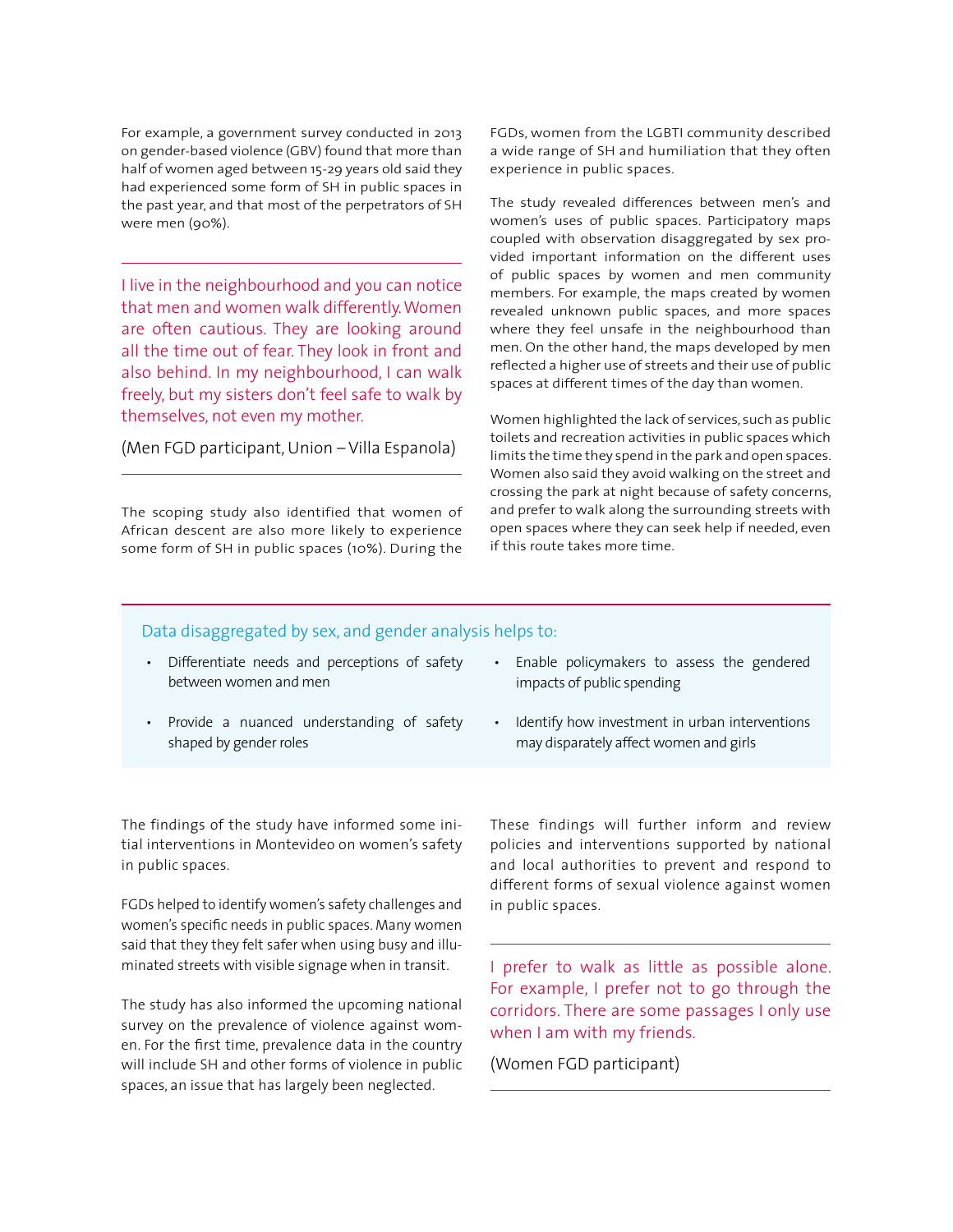For example, a government survey conducted in 2013 on gender-based violence (GBV) found that more than half of women aged between 15-29 years old said they had experienced some form of SH in public spaces in the past year, and that most of the perpetrators of SH were men (90%).

I live in the neighbourhood and you can notice that men and women walk differently. Women are often cautious. They are looking around all the time out of fear. They look in front and also behind. In my neighbourhood, I can walk freely, but my sisters don't feel safe to walk by themselves, not even my mother.

(Men FGD participant, Union – Villa Espanola)

The scoping study also identified that women of African descent are also more likely to experience some form of SH in public spaces (10%). During the

FGDs, women from the LGBTI community described a wide range of SH and humiliation that they often experience in public spaces.

The study revealed differences between men's and women's uses of public spaces. Participatory maps coupled with observation disaggregated by sex provided important information on the different uses of public spaces by women and men community members. For example, the maps created by women revealed unknown public spaces, and more spaces where they feel unsafe in the neighbourhood than men. On the other hand, the maps developed by men reflected a higher use of streets and their use of public spaces at different times of the day than women.

Women highlighted the lack of services, such as public toilets and recreation activities in public spaces which limits the time they spend in the park and open spaces. Women also said they avoid walking on the street and crossing the park at night because of safety concerns, and prefer to walk along the surrounding streets with open spaces where they can seek help if needed, even if this route takes more time.

#### Data disaggregated by sex, and gender analysis helps to:

- Differentiate needs and perceptions of safety between women and men
- Provide a nuanced understanding of safety shaped by gender roles
- Enable policymakers to assess the gendered impacts of public spending
- Identify how investment in urban interventions may disparately affect women and girls

The findings of the study have informed some initial interventions in Montevideo on women's safety in public spaces.

FGDs helped to identify women's safety challenges and women's specific needs in public spaces. Many women said that they they felt safer when using busy and illuminated streets with visible signage when in transit.

The study has also informed the upcoming national survey on the prevalence of violence against women. For the first time, prevalence data in the country will include SH and other forms of violence in public spaces, an issue that has largely been neglected.

These findings will further inform and review policies and interventions supported by national and local authorities to prevent and respond to different forms of sexual violence against women in public spaces.

I prefer to walk as little as possible alone. For example, I prefer not to go through the corridors. There are some passages I only use when I am with my friends.

(Women FGD participant)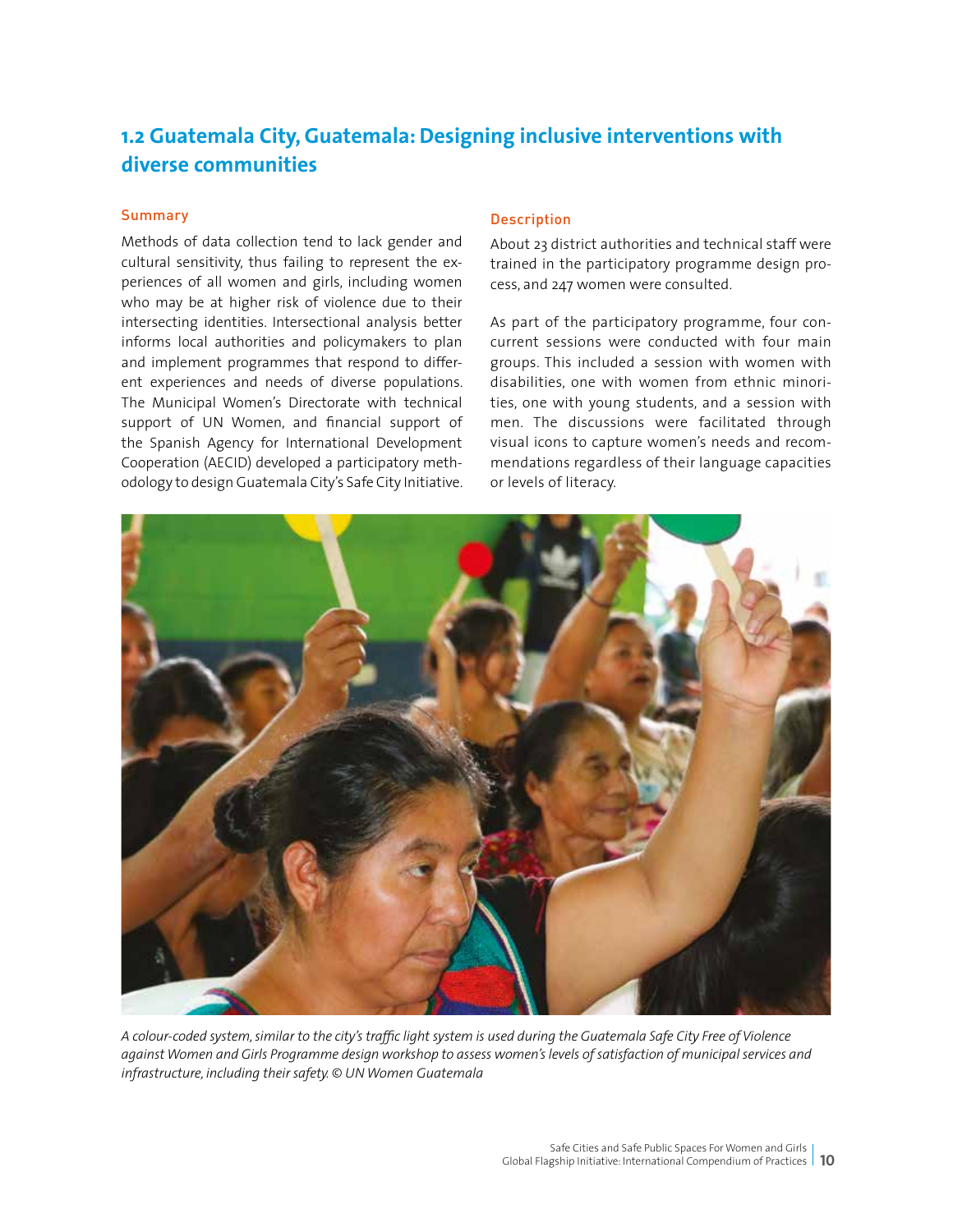## **1.2 Guatemala City, Guatemala: Designing inclusive interventions with diverse communities**

#### **Summary**

Methods of data collection tend to lack gender and cultural sensitivity, thus failing to represent the experiences of all women and girls, including women who may be at higher risk of violence due to their intersecting identities. Intersectional analysis better informs local authorities and policymakers to plan and implement programmes that respond to different experiences and needs of diverse populations. The Municipal Women's Directorate with technical support of UN Women, and financial support of the Spanish Agency for International Development Cooperation (AECID) developed a participatory methodology to design Guatemala City's Safe City Initiative.

#### Description

About 23 district authorities and technical staff were trained in the participatory programme design process, and 247 women were consulted.

As part of the participatory programme, four concurrent sessions were conducted with four main groups. This included a session with women with disabilities, one with women from ethnic minorities, one with young students, and a session with men. The discussions were facilitated through visual icons to capture women's needs and recommendations regardless of their language capacities or levels of literacy.



*A colour-coded system, similar to the city's traffic light system is used during the Guatemala Safe City Free of Violence against Women and Girls Programme design workshop to assess women's levels of satisfaction of municipal services and infrastructure, including their safety. © UN Women Guatemala*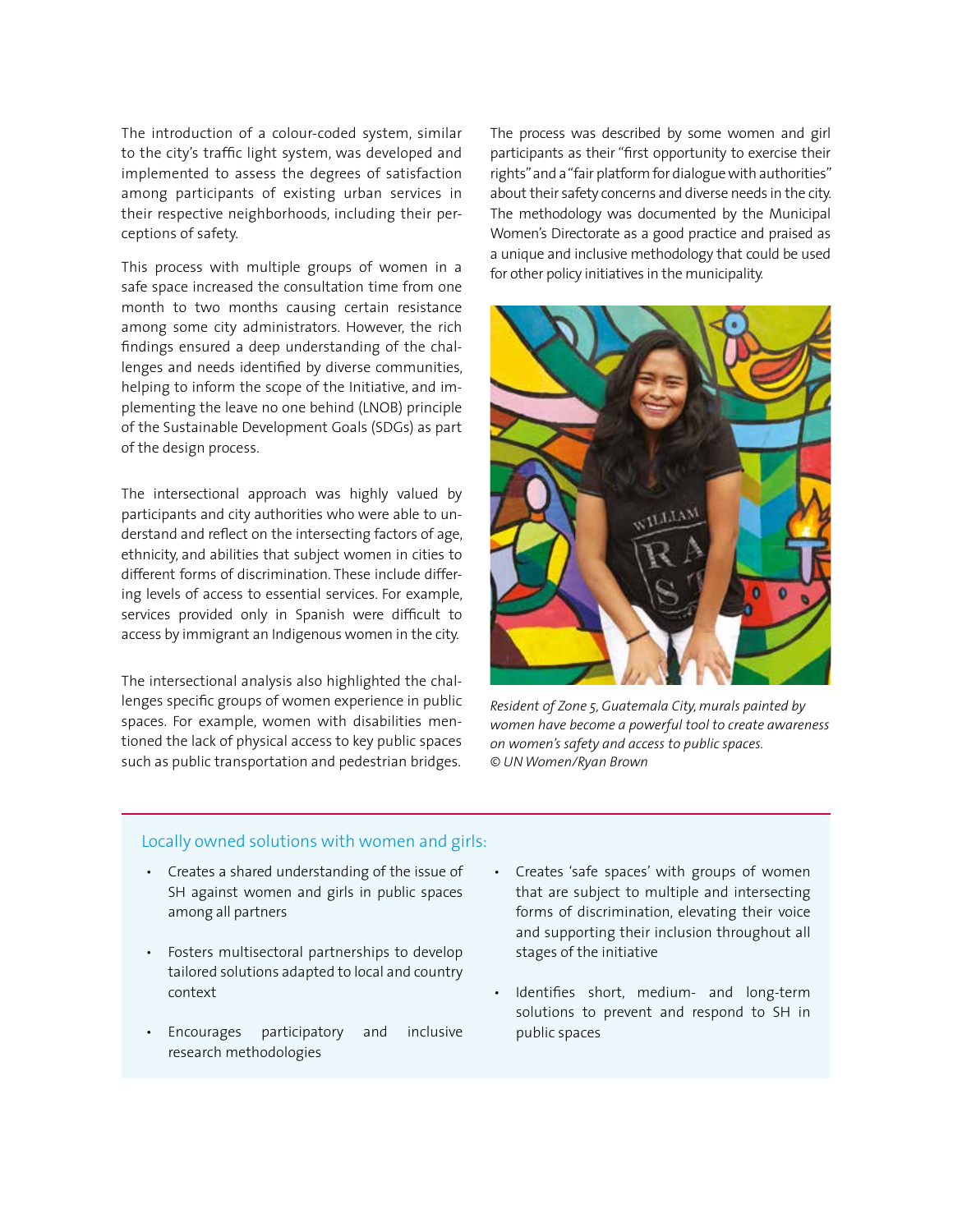The introduction of a colour-coded system, similar to the city's traffic light system, was developed and implemented to assess the degrees of satisfaction among participants of existing urban services in their respective neighborhoods, including their perceptions of safety.

This process with multiple groups of women in a safe space increased the consultation time from one month to two months causing certain resistance among some city administrators. However, the rich findings ensured a deep understanding of the challenges and needs identified by diverse communities, helping to inform the scope of the Initiative, and implementing the leave no one behind (LNOB) principle of the Sustainable Development Goals (SDGs) as part of the design process.

The intersectional approach was highly valued by participants and city authorities who were able to understand and reflect on the intersecting factors of age, ethnicity, and abilities that subject women in cities to different forms of discrimination. These include differing levels of access to essential services. For example, services provided only in Spanish were difficult to access by immigrant an Indigenous women in the city.

The intersectional analysis also highlighted the challenges specific groups of women experience in public spaces. For example, women with disabilities mentioned the lack of physical access to key public spaces such as public transportation and pedestrian bridges.

The process was described by some women and girl participants as their "first opportunity to exercise their rights" and a "fair platform for dialogue with authorities" about their safety concerns and diverse needs in the city. The methodology was documented by the Municipal Women's Directorate as a good practice and praised as a unique and inclusive methodology that could be used for other policy initiatives in the municipality.



*Resident of Zone 5, Guatemala City, murals painted by women have become a powerful tool to create awareness on women's safety and access to public spaces. © UN Women/Ryan Brown*

#### Locally owned solutions with women and girls:

- Creates a shared understanding of the issue of SH against women and girls in public spaces among all partners
- Fosters multisectoral partnerships to develop tailored solutions adapted to local and country context
- Encourages participatory and inclusive research methodologies
- Creates 'safe spaces' with groups of women that are subject to multiple and intersecting forms of discrimination, elevating their voice and supporting their inclusion throughout all stages of the initiative
- Identifies short, medium- and long-term solutions to prevent and respond to SH in public spaces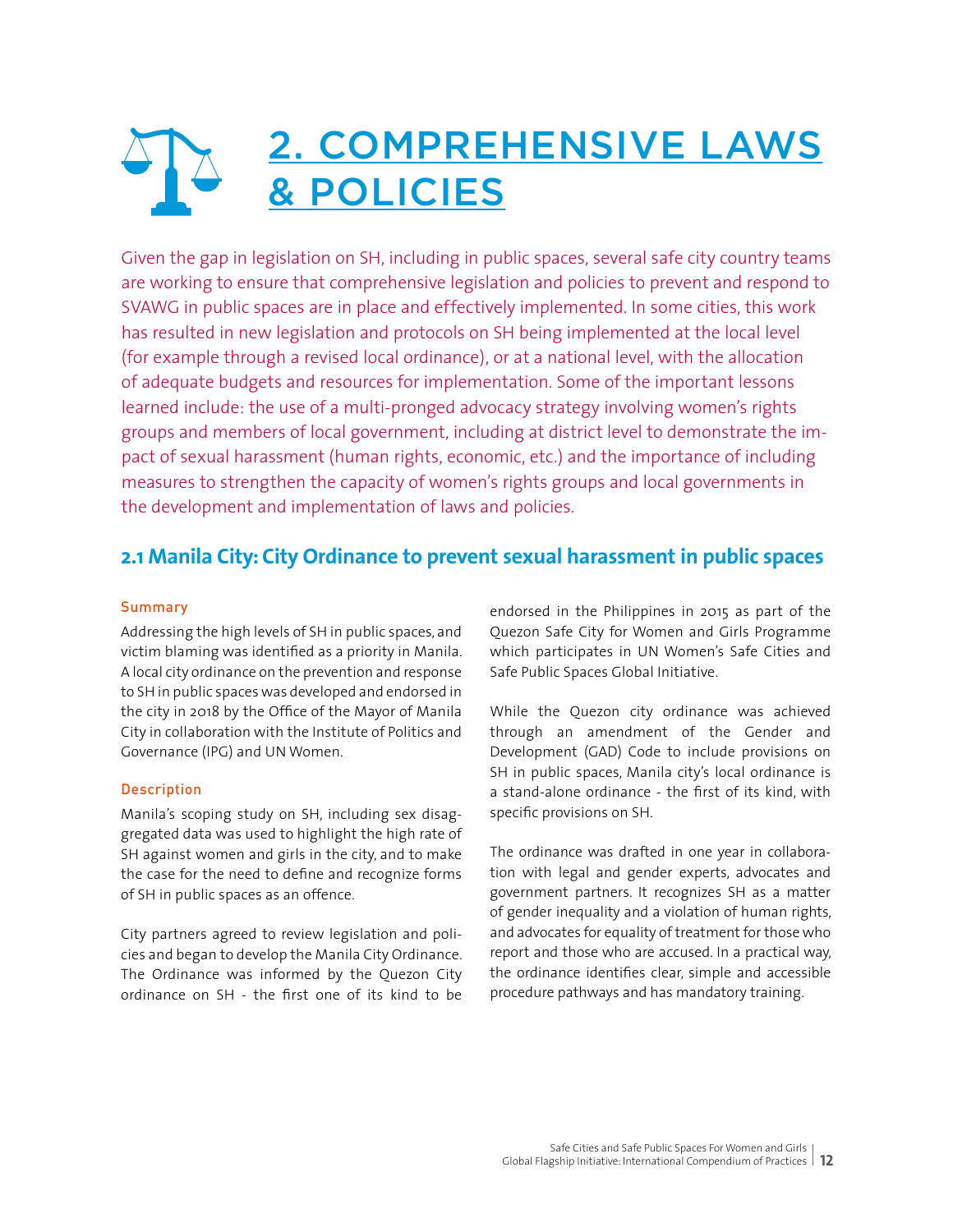## 2. COMPREHENSIVE LAWS & POLICIES

Given the gap in legislation on SH, including in public spaces, several safe city country teams are working to ensure that comprehensive legislation and policies to prevent and respond to SVAWG in public spaces are in place and effectively implemented. In some cities, this work has resulted in new legislation and protocols on SH being implemented at the local level (for example through a revised local ordinance), or at a national level, with the allocation of adequate budgets and resources for implementation. Some of the important lessons learned include: the use of a multi-pronged advocacy strategy involving women's rights groups and members of local government, including at district level to demonstrate the impact of sexual harassment (human rights, economic, etc.) and the importance of including measures to strengthen the capacity of women's rights groups and local governments in the development and implementation of laws and policies.

### **2.1 Manila City: City Ordinance to prevent sexual harassment in public spaces**

#### Summary

Addressing the high levels of SH in public spaces, and victim blaming was identified as a priority in Manila. A local city ordinance on the prevention and response to SH in public spaces was developed and endorsed in the city in 2018 by the Office of the Mayor of Manila City in collaboration with the Institute of Politics and Governance (IPG) and UN Women.

#### **Description**

Manila's scoping study on SH, including sex disaggregated data was used to highlight the high rate of SH against women and girls in the city, and to make the case for the need to define and recognize forms of SH in public spaces as an offence.

City partners agreed to review legislation and policies and began to develop the Manila City Ordinance. The Ordinance was informed by the Quezon City ordinance on SH - the first one of its kind to be endorsed in the Philippines in 2015 as part of the Quezon Safe City for Women and Girls Programme which participates in UN Women's Safe Cities and Safe Public Spaces Global Initiative.

While the Quezon city ordinance was achieved through an amendment of the Gender and Development (GAD) Code to include provisions on SH in public spaces, Manila city's local ordinance is a stand-alone ordinance - the first of its kind, with specific provisions on SH.

The ordinance was drafted in one year in collaboration with legal and gender experts, advocates and government partners. It recognizes SH as a matter of gender inequality and a violation of human rights, and advocates for equality of treatment for those who report and those who are accused. In a practical way, the ordinance identifies clear, simple and accessible procedure pathways and has mandatory training.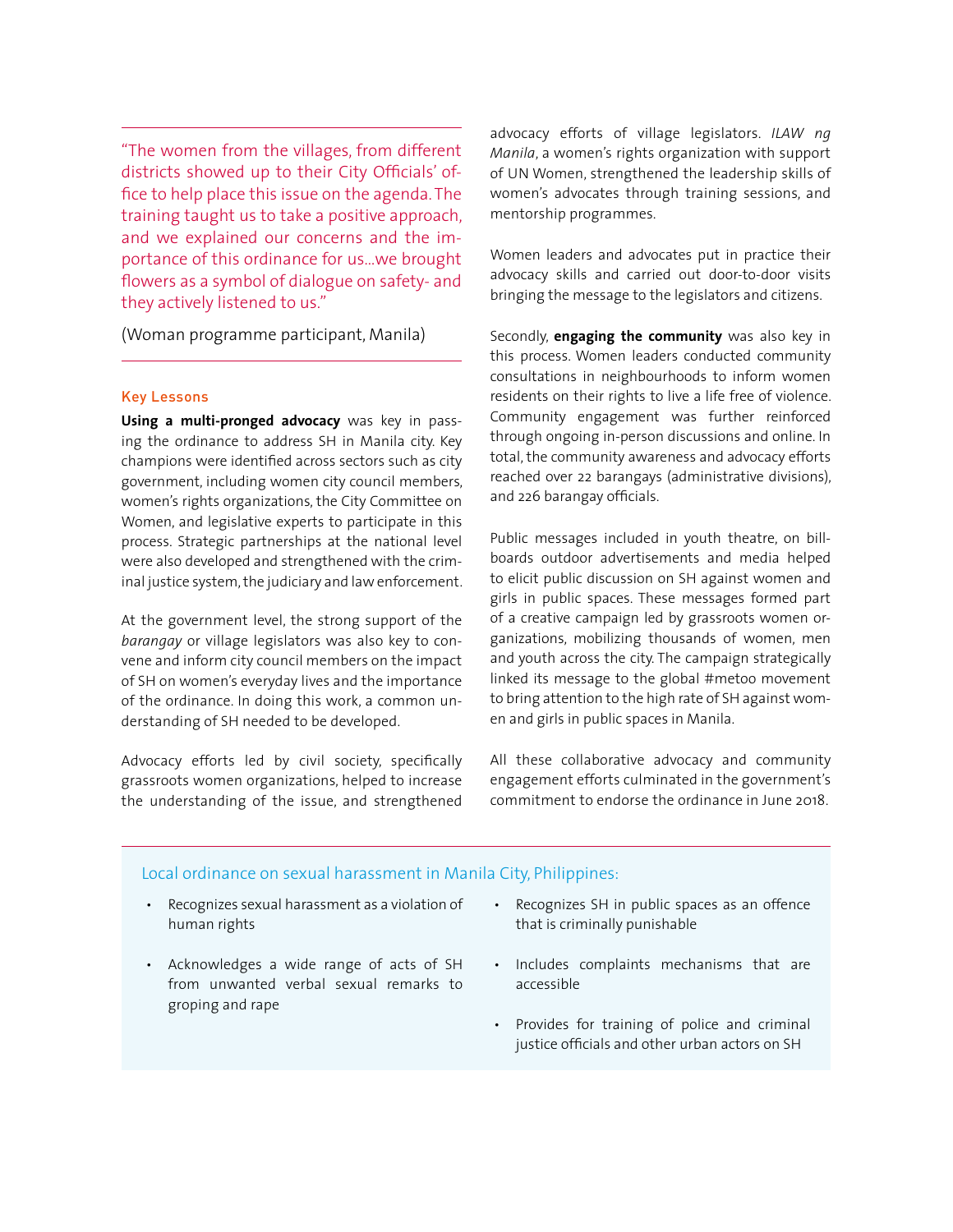"The women from the villages, from different districts showed up to their City Officials' office to help place this issue on the agenda. The training taught us to take a positive approach, and we explained our concerns and the importance of this ordinance for us…we brought flowers as a symbol of dialogue on safety- and they actively listened to us."

(Woman programme participant, Manila)

#### Key Lessons

**Using a multi-pronged advocacy** was key in passing the ordinance to address SH in Manila city. Key champions were identified across sectors such as city government, including women city council members, women's rights organizations, the City Committee on Women, and legislative experts to participate in this process. Strategic partnerships at the national level were also developed and strengthened with the criminal justice system, the judiciary and law enforcement.

At the government level, the strong support of the *barangay* or village legislators was also key to convene and inform city council members on the impact of SH on women's everyday lives and the importance of the ordinance. In doing this work, a common understanding of SH needed to be developed.

Advocacy efforts led by civil society, specifically grassroots women organizations, helped to increase the understanding of the issue, and strengthened

advocacy efforts of village legislators. *ILAW ng Manila*, a women's rights organization with support of UN Women, strengthened the leadership skills of women's advocates through training sessions, and mentorship programmes.

Women leaders and advocates put in practice their advocacy skills and carried out door-to-door visits bringing the message to the legislators and citizens.

Secondly, **engaging the community** was also key in this process. Women leaders conducted community consultations in neighbourhoods to inform women residents on their rights to live a life free of violence. Community engagement was further reinforced through ongoing in-person discussions and online. In total, the community awareness and advocacy efforts reached over 22 barangays (administrative divisions), and 226 barangay officials.

Public messages included in youth theatre, on billboards outdoor advertisements and media helped to elicit public discussion on SH against women and girls in public spaces. These messages formed part of a creative campaign led by grassroots women organizations, mobilizing thousands of women, men and youth across the city. The campaign strategically linked its message to the global #metoo movement to bring attention to the high rate of SH against women and girls in public spaces in Manila.

All these collaborative advocacy and community engagement efforts culminated in the government's commitment to endorse the ordinance in June 2018.

#### Local ordinance on sexual harassment in Manila City, Philippines:

- Recognizes sexual harassment as a violation of human rights
- Acknowledges a wide range of acts of SH from unwanted verbal sexual remarks to groping and rape
- Recognizes SH in public spaces as an offence that is criminally punishable
- Includes complaints mechanisms that are accessible
- Provides for training of police and criminal justice officials and other urban actors on SH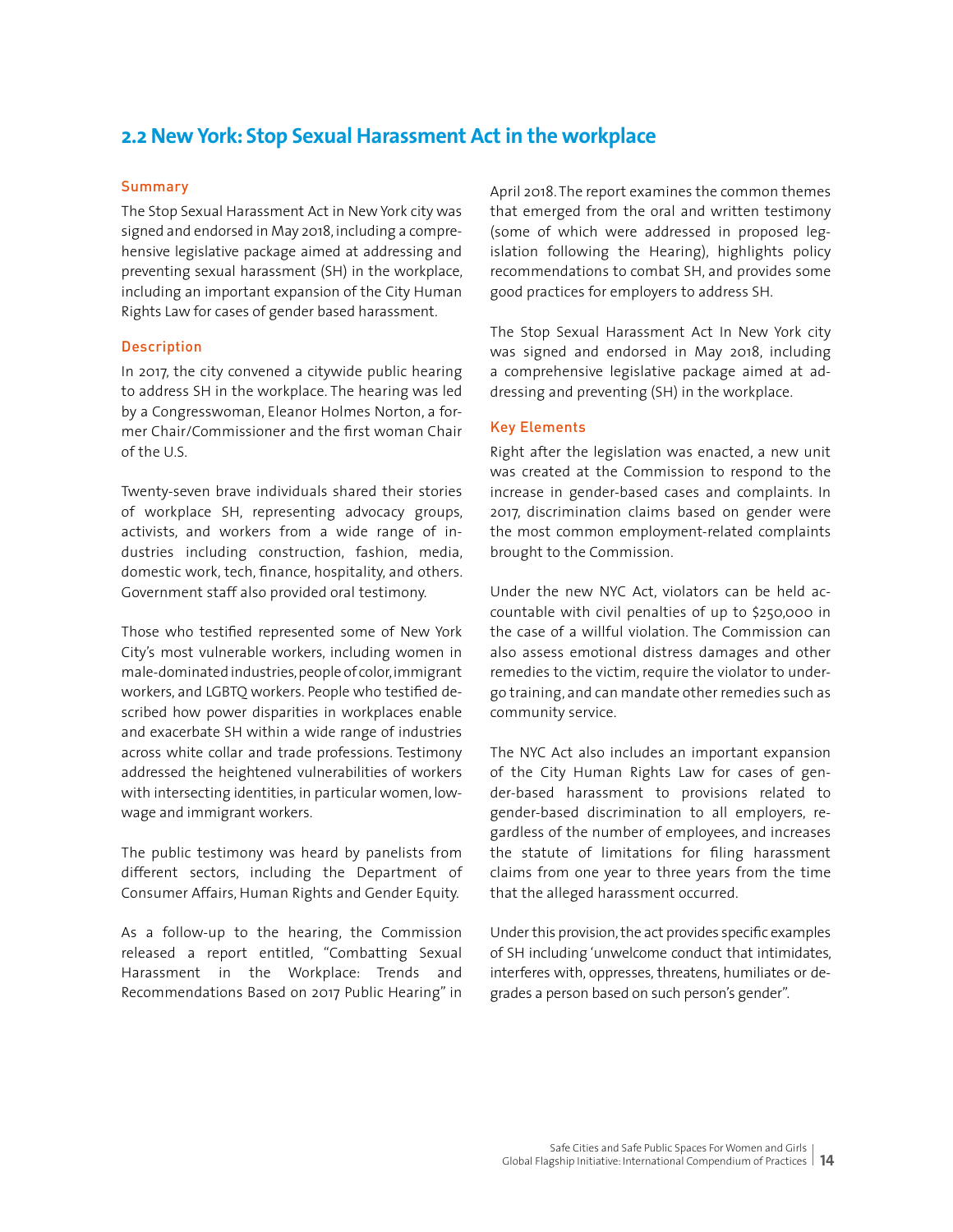### **2.2 New York: Stop Sexual Harassment Act in the workplace**

#### **Summary**

The Stop Sexual Harassment Act in New York city was signed and endorsed in May 2018, including a comprehensive legislative package aimed at addressing and preventing sexual harassment (SH) in the workplace, including an important expansion of the City Human Rights Law for cases of gender based harassment.

#### Description

In 2017, the city convened a citywide public hearing to address SH in the workplace. The hearing was led by a Congresswoman, Eleanor Holmes Norton, a former Chair/Commissioner and the first woman Chair of the U.S.

Twenty-seven brave individuals shared their stories of workplace SH, representing advocacy groups, activists, and workers from a wide range of industries including construction, fashion, media, domestic work, tech, finance, hospitality, and others. Government staff also provided oral testimony.

Those who testified represented some of New York City's most vulnerable workers, including women in male-dominated industries, people of color, immigrant workers, and LGBTQ workers. People who testified described how power disparities in workplaces enable and exacerbate SH within a wide range of industries across white collar and trade professions. Testimony addressed the heightened vulnerabilities of workers with intersecting identities, in particular women, lowwage and immigrant workers.

The public testimony was heard by panelists from different sectors, including the Department of Consumer Affairs, Human Rights and Gender Equity.

As a follow-up to the hearing, the Commission released a report entitled, "Combatting Sexual Harassment in the Workplace: Trends and Recommendations Based on 2017 Public Hearing" in April 2018. The report examines the common themes that emerged from the oral and written testimony (some of which were addressed in proposed legislation following the Hearing), highlights policy recommendations to combat SH, and provides some good practices for employers to address SH.

The Stop Sexual Harassment Act In New York city was signed and endorsed in May 2018, including a comprehensive legislative package aimed at addressing and preventing (SH) in the workplace.

#### Key Elements

Right after the legislation was enacted, a new unit was created at the Commission to respond to the increase in gender-based cases and complaints. In 2017, discrimination claims based on gender were the most common employment-related complaints brought to the Commission.

Under the new NYC Act, violators can be held accountable with civil penalties of up to \$250,000 in the case of a willful violation. The Commission can also assess emotional distress damages and other remedies to the victim, require the violator to undergo training, and can mandate other remedies such as community service.

The NYC Act also includes an important expansion of the City Human Rights Law for cases of gender-based harassment to provisions related to gender-based discrimination to all employers, regardless of the number of employees, and increases the statute of limitations for filing harassment claims from one year to three years from the time that the alleged harassment occurred.

Under this provision, the act provides specific examples of SH including 'unwelcome conduct that intimidates, interferes with, oppresses, threatens, humiliates or degrades a person based on such person's gender".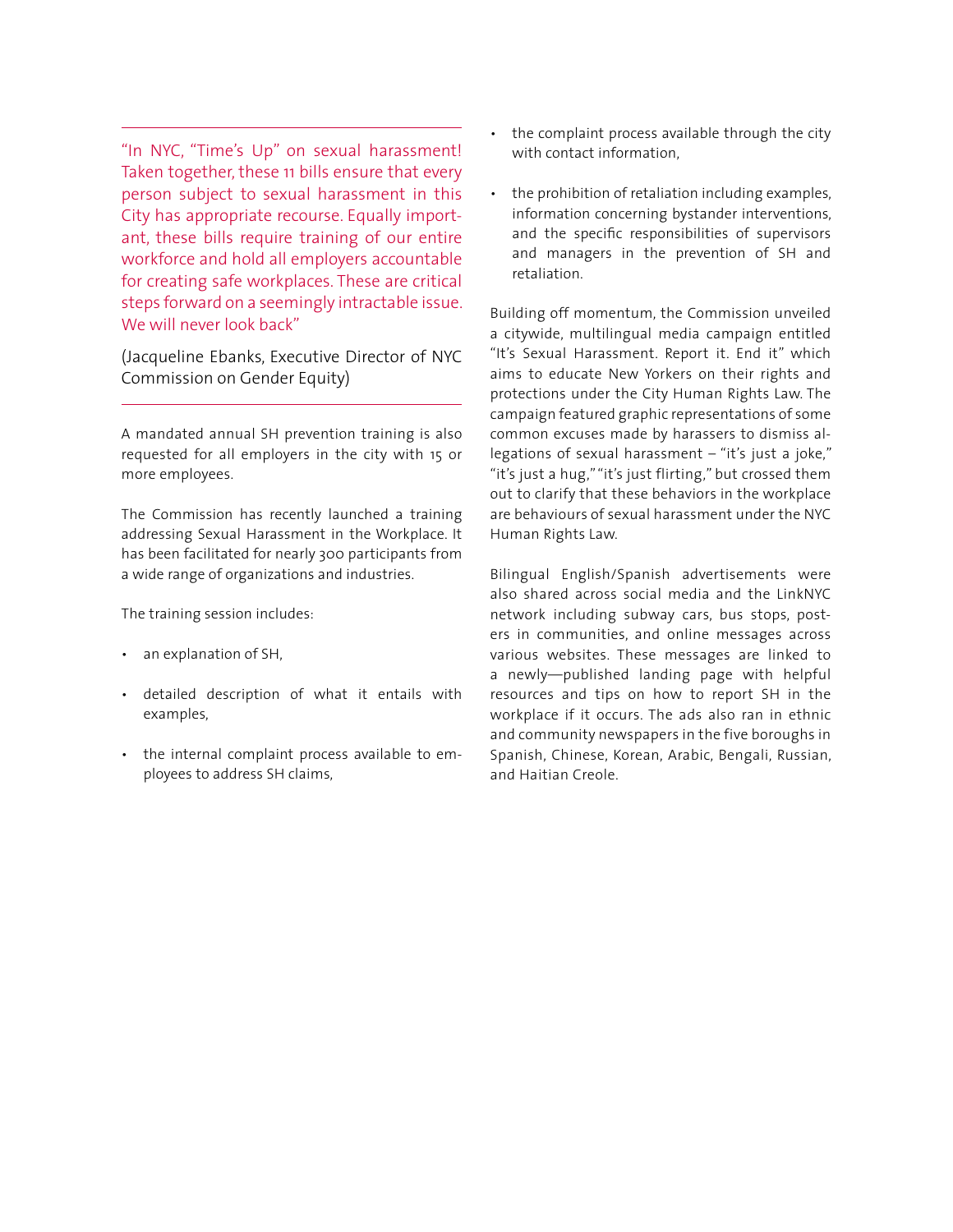"In NYC, "Time's Up" on sexual harassment! Taken together, these 11 bills ensure that every person subject to sexual harassment in this City has appropriate recourse. Equally important, these bills require training of our entire workforce and hold all employers accountable for creating safe workplaces. These are critical steps forward on a seemingly intractable issue. We will never look back"

(Jacqueline Ebanks, Executive Director of NYC Commission on Gender Equity)

A mandated annual SH prevention training is also requested for all employers in the city with 15 or more employees.

The Commission has recently launched a training addressing Sexual Harassment in the Workplace. It has been facilitated for nearly 300 participants from a wide range of organizations and industries.

The training session includes:

- an explanation of SH,
- detailed description of what it entails with examples,
- the internal complaint process available to employees to address SH claims,
- the complaint process available through the city with contact information,
- the prohibition of retaliation including examples, information concerning bystander interventions, and the specific responsibilities of supervisors and managers in the prevention of SH and retaliation.

Building off momentum, the Commission unveiled a citywide, multilingual media campaign entitled "It's Sexual Harassment. Report it. End it" which aims to educate New Yorkers on their rights and protections under the City Human Rights Law. The campaign featured graphic representations of some common excuses made by harassers to dismiss allegations of sexual harassment – "it's just a joke," "it's just a hug," "it's just flirting," but crossed them out to clarify that these behaviors in the workplace are behaviours of sexual harassment under the NYC Human Rights Law.

Bilingual English/Spanish advertisements were also shared across social media and the LinkNYC network including subway cars, bus stops, posters in communities, and online messages across various websites. These messages are linked to a newly—published landing page with helpful resources and tips on how to report SH in the workplace if it occurs. The ads also ran in ethnic and community newspapers in the five boroughs in Spanish, Chinese, Korean, Arabic, Bengali, Russian, and Haitian Creole.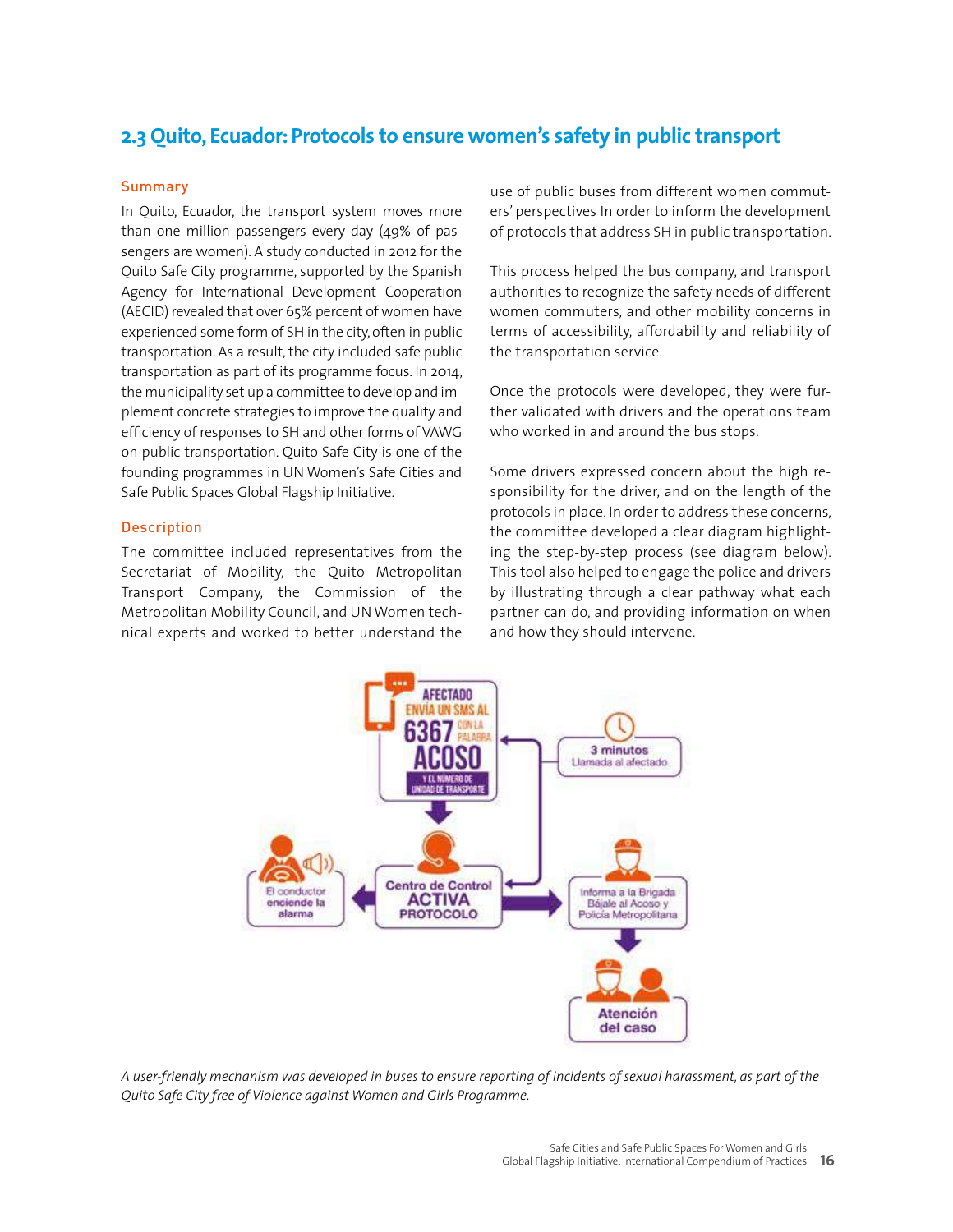## **2.3 Quito, Ecuador: Protocols to ensure women's safety in public transport**

#### **Summary**

In Quito, Ecuador, the transport system moves more than one million passengers every day (49% of passengers are women). A study conducted in 2012 for the Quito Safe City programme, supported by the Spanish Agency for International Development Cooperation (AECID) revealed that over 65% percent of women have experienced some form of SH in the city, often in public transportation. As a result, the city included safe public transportation as part of its programme focus. In 2014, the municipality set up a committee to develop and implement concrete strategies to improve the quality and efficiency of responses to SH and other forms of VAWG on public transportation. Quito Safe City is one of the founding programmes in UN Women's Safe Cities and Safe Public Spaces Global Flagship Initiative.

#### Description

The committee included representatives from the Secretariat of Mobility, the Quito Metropolitan Transport Company, the Commission of the Metropolitan Mobility Council, and UN Women technical experts and worked to better understand the use of public buses from different women commuters' perspectives In order to inform the development of protocols that address SH in public transportation.

This process helped the bus company, and transport authorities to recognize the safety needs of different women commuters, and other mobility concerns in terms of accessibility, affordability and reliability of the transportation service.

Once the protocols were developed, they were further validated with drivers and the operations team who worked in and around the bus stops.

Some drivers expressed concern about the high responsibility for the driver, and on the length of the protocols in place. In order to address these concerns, the committee developed a clear diagram highlighting the step-by-step process (see diagram below). This tool also helped to engage the police and drivers by illustrating through a clear pathway what each partner can do, and providing information on when and how they should intervene.



*A user-friendly mechanism was developed in buses to ensure reporting of incidents of sexual harassment, as part of the Quito Safe City free of Violence against Women and Girls Programme.*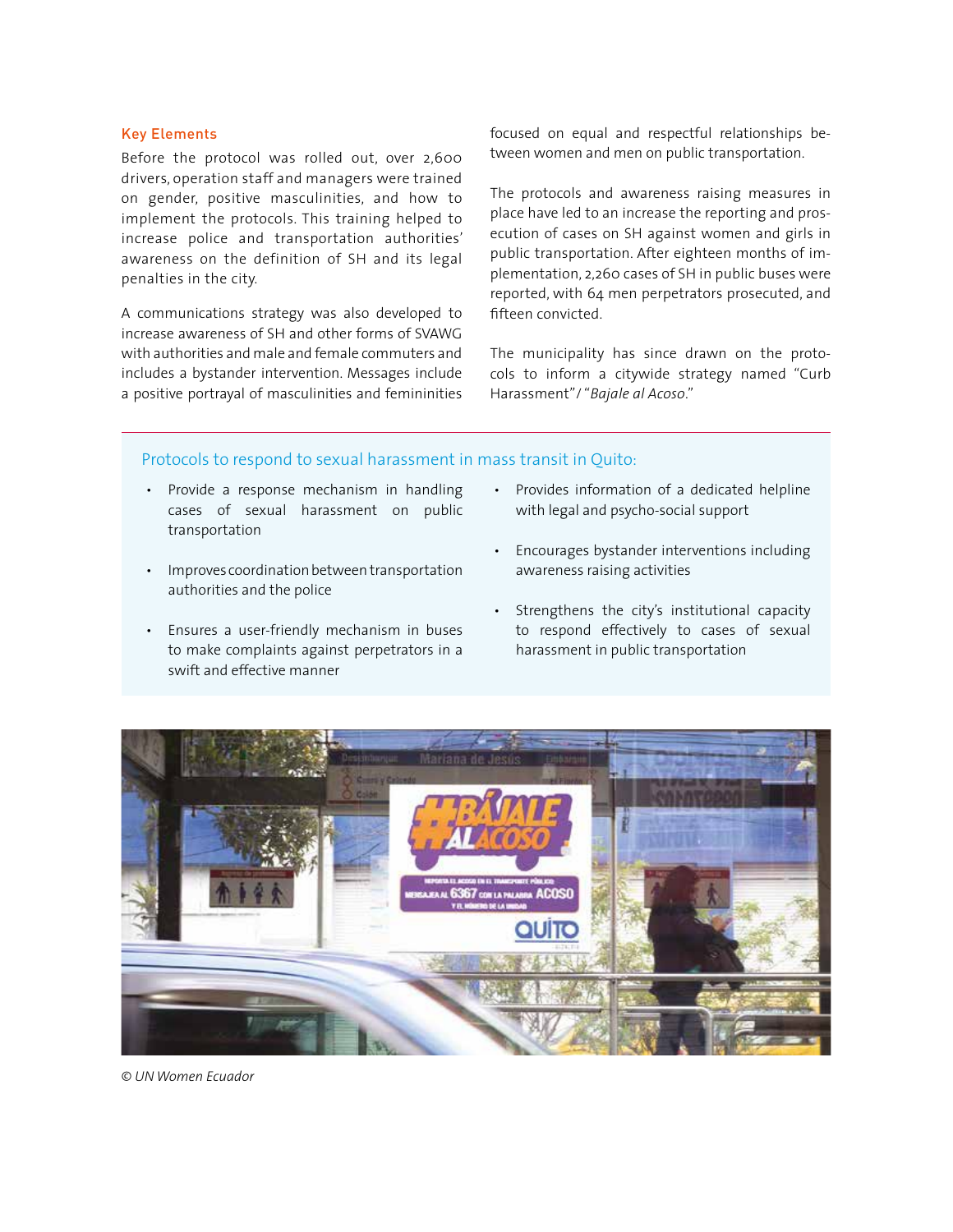#### Key Elements

Before the protocol was rolled out, over 2,600 drivers, operation staff and managers were trained on gender, positive masculinities, and how to implement the protocols. This training helped to increase police and transportation authorities' awareness on the definition of SH and its legal penalties in the city.

A communications strategy was also developed to increase awareness of SH and other forms of SVAWG with authorities and male and female commuters and includes a bystander intervention. Messages include a positive portrayal of masculinities and femininities focused on equal and respectful relationships between women and men on public transportation.

The protocols and awareness raising measures in place have led to an increase the reporting and prosecution of cases on SH against women and girls in public transportation. After eighteen months of implementation, 2,260 cases of SH in public buses were reported, with 64 men perpetrators prosecuted, and fifteen convicted.

The municipality has since drawn on the protocols to inform a citywide strategy named "Curb Harassment"/ "*Bajale al Acoso*."

#### Protocols to respond to sexual harassment in mass transit in Quito:

- Provide a response mechanism in handling cases of sexual harassment on public transportation
- Improves coordination between transportation authorities and the police
- Ensures a user-friendly mechanism in buses to make complaints against perpetrators in a swift and effective manner
- Provides information of a dedicated helpline with legal and psycho-social support
- Encourages bystander interventions including awareness raising activities
- Strengthens the city's institutional capacity to respond effectively to cases of sexual harassment in public transportation



*© UN Women Ecuador*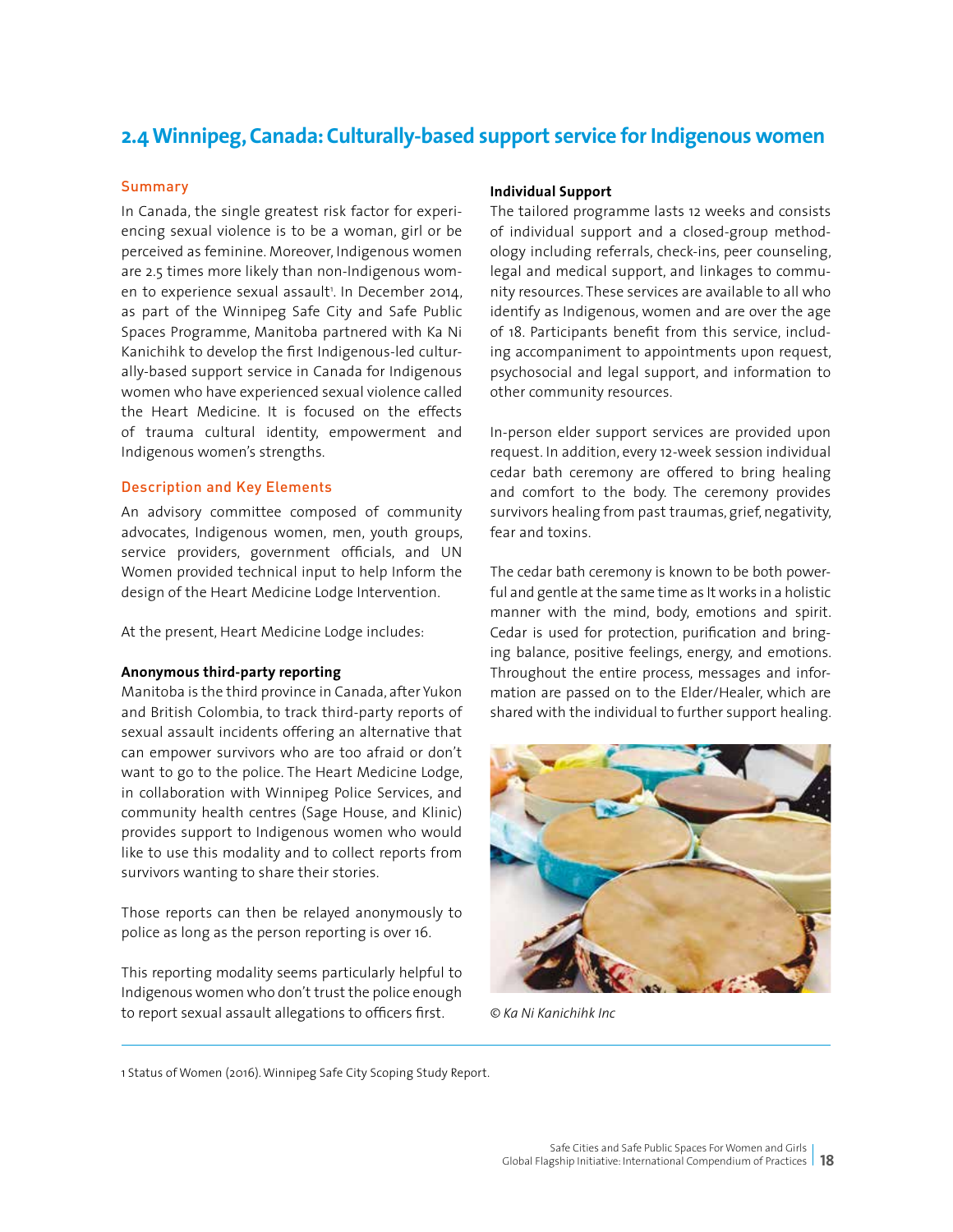## **2.4 Winnipeg, Canada: Culturally-based support service for Indigenous women**

#### **Summary**

In Canada, the single greatest risk factor for experiencing sexual violence is to be a woman, girl or be perceived as feminine. Moreover, Indigenous women are 2.5 times more likely than non-Indigenous women to experience sexual assault<sup>1</sup>. In December 2014, as part of the Winnipeg Safe City and Safe Public Spaces Programme, Manitoba partnered with Ka Ni Kanichihk to develop the first Indigenous-led culturally-based support service in Canada for Indigenous women who have experienced sexual violence called the Heart Medicine. It is focused on the effects of trauma cultural identity, empowerment and Indigenous women's strengths.

#### Description and Key Elements

An advisory committee composed of community advocates, Indigenous women, men, youth groups, service providers, government officials, and UN Women provided technical input to help Inform the design of the Heart Medicine Lodge Intervention.

At the present, Heart Medicine Lodge includes:

#### **Anonymous third-party reporting**

Manitoba is the third province in Canada, after Yukon and British Colombia, to track third-party reports of sexual assault incidents offering an alternative that can empower survivors who are too afraid or don't want to go to the police. The Heart Medicine Lodge, in collaboration with Winnipeg Police Services, and community health centres (Sage House, and Klinic) provides support to Indigenous women who would like to use this modality and to collect reports from survivors wanting to share their stories.

Those reports can then be relayed anonymously to police as long as the person reporting is over 16.

This reporting modality seems particularly helpful to Indigenous women who don't trust the police enough to report sexual assault allegations to officers first.

#### **Individual Support**

The tailored programme lasts 12 weeks and consists of individual support and a closed-group methodology including referrals, check-ins, peer counseling, legal and medical support, and linkages to community resources. These services are available to all who identify as Indigenous, women and are over the age of 18. Participants benefit from this service, including accompaniment to appointments upon request, psychosocial and legal support, and information to other community resources.

In-person elder support services are provided upon request. In addition, every 12-week session individual cedar bath ceremony are offered to bring healing and comfort to the body. The ceremony provides survivors healing from past traumas, grief, negativity, fear and toxins.

The cedar bath ceremony is known to be both powerful and gentle at the same time as It works in a holistic manner with the mind, body, emotions and spirit. Cedar is used for protection, purification and bringing balance, positive feelings, energy, and emotions. Throughout the entire process, messages and information are passed on to the Elder/Healer, which are shared with the individual to further support healing.



*© Ka Ni Kanichihk Inc*

1 Status of Women (2016). Winnipeg Safe City Scoping Study Report.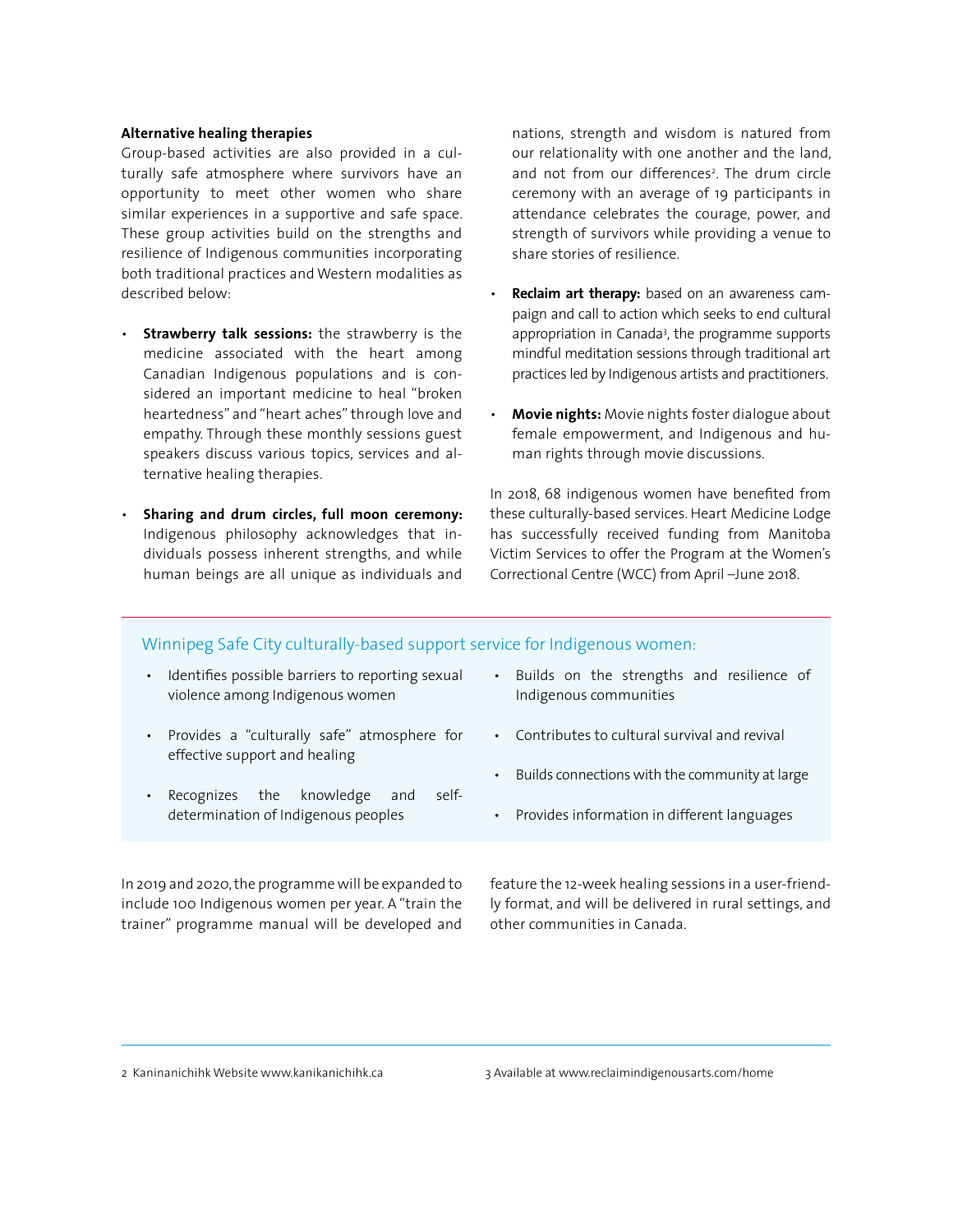#### **Alternative healing therapies**

Group-based activities are also provided in a culturally safe atmosphere where survivors have an opportunity to meet other women who share similar experiences in a supportive and safe space. These group activities build on the strengths and resilience of Indigenous communities incorporating both traditional practices and Western modalities as described below:

- **Strawberry talk sessions:** the strawberry is the medicine associated with the heart among Canadian Indigenous populations and is considered an important medicine to heal "broken heartedness" and "heart aches" through love and empathy. Through these monthly sessions guest speakers discuss various topics, services and alternative healing therapies.
- **Sharing and drum circles, full moon ceremony:**  Indigenous philosophy acknowledges that individuals possess inherent strengths, and while human beings are all unique as individuals and

nations, strength and wisdom is natured from our relationality with one another and the land, and not from our differences<sup>2</sup>. The drum circle ceremony with an average of 19 participants in attendance celebrates the courage, power, and strength of survivors while providing a venue to share stories of resilience.

- **Reclaim art therapy:** based on an awareness campaign and call to action which seeks to end cultural appropriation in Canada<sup>3</sup>, the programme supports mindful meditation sessions through traditional art practices led by Indigenous artists and practitioners.
- **Movie nights:** Movie nights foster dialogue about female empowerment, and Indigenous and human rights through movie discussions.

In 2018, 68 indigenous women have benefited from these culturally-based services. Heart Medicine Lodge has successfully received funding from Manitoba Victim Services to offer the Program at the Women's Correctional Centre (WCC) from April –June 2018.

#### Winnipeg Safe City culturally-based support service for Indigenous women:

- Identifies possible barriers to reporting sexual violence among Indigenous women
- Provides a "culturally safe" atmosphere for effective support and healing
- Recognizes the knowledge and selfdetermination of Indigenous peoples

In 2019 and 2020, the programme will be expanded to include 100 Indigenous women per year. A "train the trainer" programme manual will be developed and

- Builds on the strengths and resilience of Indigenous communities
- Contributes to cultural survival and revival
- Builds connections with the community at large
- Provides information in different languages

feature the 12-week healing sessions in a user-friendly format, and will be delivered in rural settings, and other communities in Canada.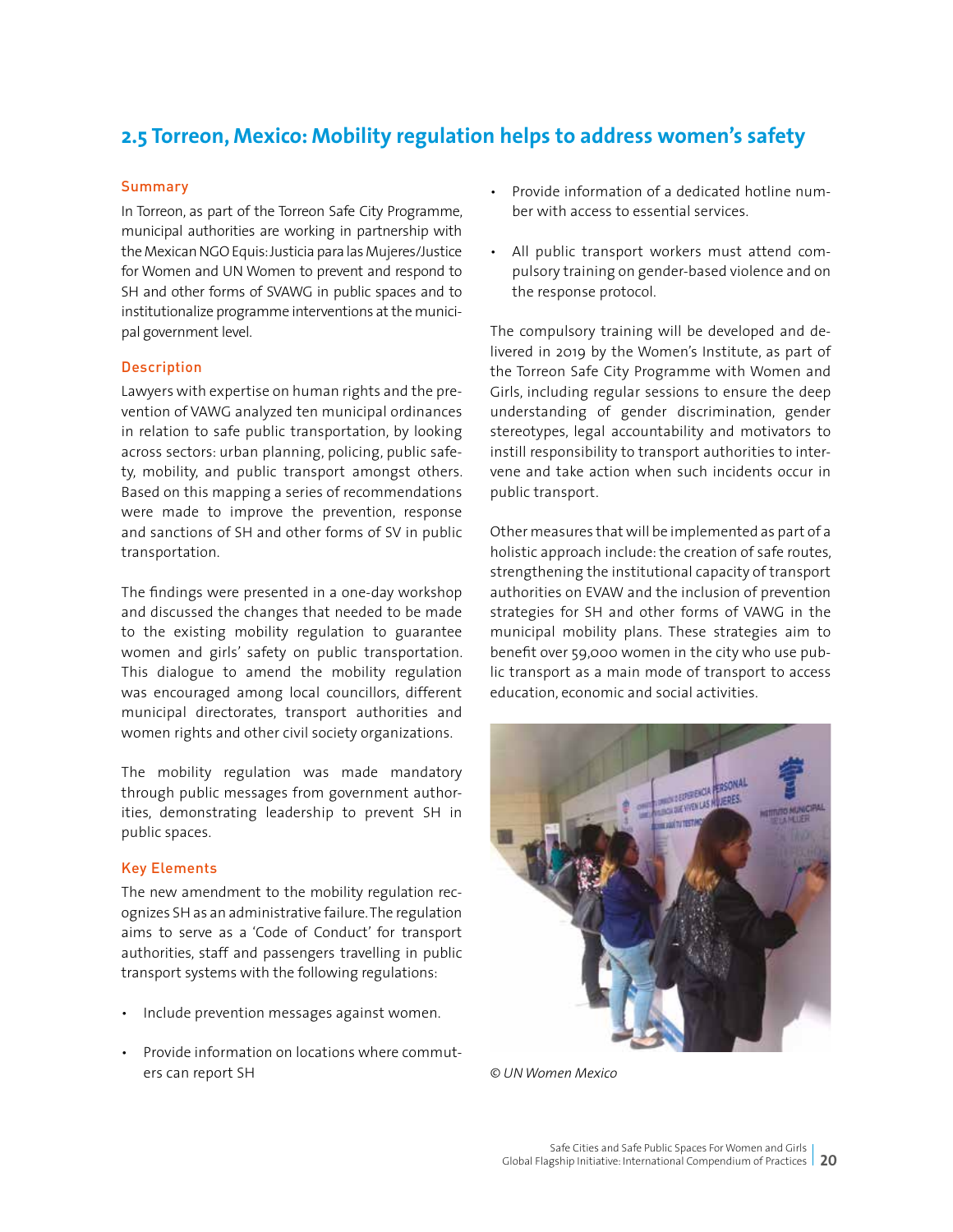## **2.5 Torreon, Mexico: Mobility regulation helps to address women's safety**

#### **Summary**

In Torreon, as part of the Torreon Safe City Programme, municipal authorities are working in partnership with the Mexican NGO Equis: Justicia para las Mujeres/Justice for Women and UN Women to prevent and respond to SH and other forms of SVAWG in public spaces and to institutionalize programme interventions at the municipal government level.

#### Description

Lawyers with expertise on human rights and the prevention of VAWG analyzed ten municipal ordinances in relation to safe public transportation, by looking across sectors: urban planning, policing, public safety, mobility, and public transport amongst others. Based on this mapping a series of recommendations were made to improve the prevention, response and sanctions of SH and other forms of SV in public transportation.

The findings were presented in a one-day workshop and discussed the changes that needed to be made to the existing mobility regulation to guarantee women and girls' safety on public transportation. This dialogue to amend the mobility regulation was encouraged among local councillors, different municipal directorates, transport authorities and women rights and other civil society organizations.

The mobility regulation was made mandatory through public messages from government authorities, demonstrating leadership to prevent SH in public spaces.

#### Key Elements

The new amendment to the mobility regulation recognizes SH as an administrative failure. The regulation aims to serve as a 'Code of Conduct' for transport authorities, staff and passengers travelling in public transport systems with the following regulations:

- Include prevention messages against women.
- Provide information on locations where commuters can report SH
- Provide information of a dedicated hotline number with access to essential services.
- All public transport workers must attend compulsory training on gender-based violence and on the response protocol.

The compulsory training will be developed and delivered in 2019 by the Women's Institute, as part of the Torreon Safe City Programme with Women and Girls, including regular sessions to ensure the deep understanding of gender discrimination, gender stereotypes, legal accountability and motivators to instill responsibility to transport authorities to intervene and take action when such incidents occur in public transport.

Other measures that will be implemented as part of a holistic approach include: the creation of safe routes, strengthening the institutional capacity of transport authorities on EVAW and the inclusion of prevention strategies for SH and other forms of VAWG in the municipal mobility plans. These strategies aim to benefit over 59,000 women in the city who use public transport as a main mode of transport to access education, economic and social activities.



*© UN Women Mexico*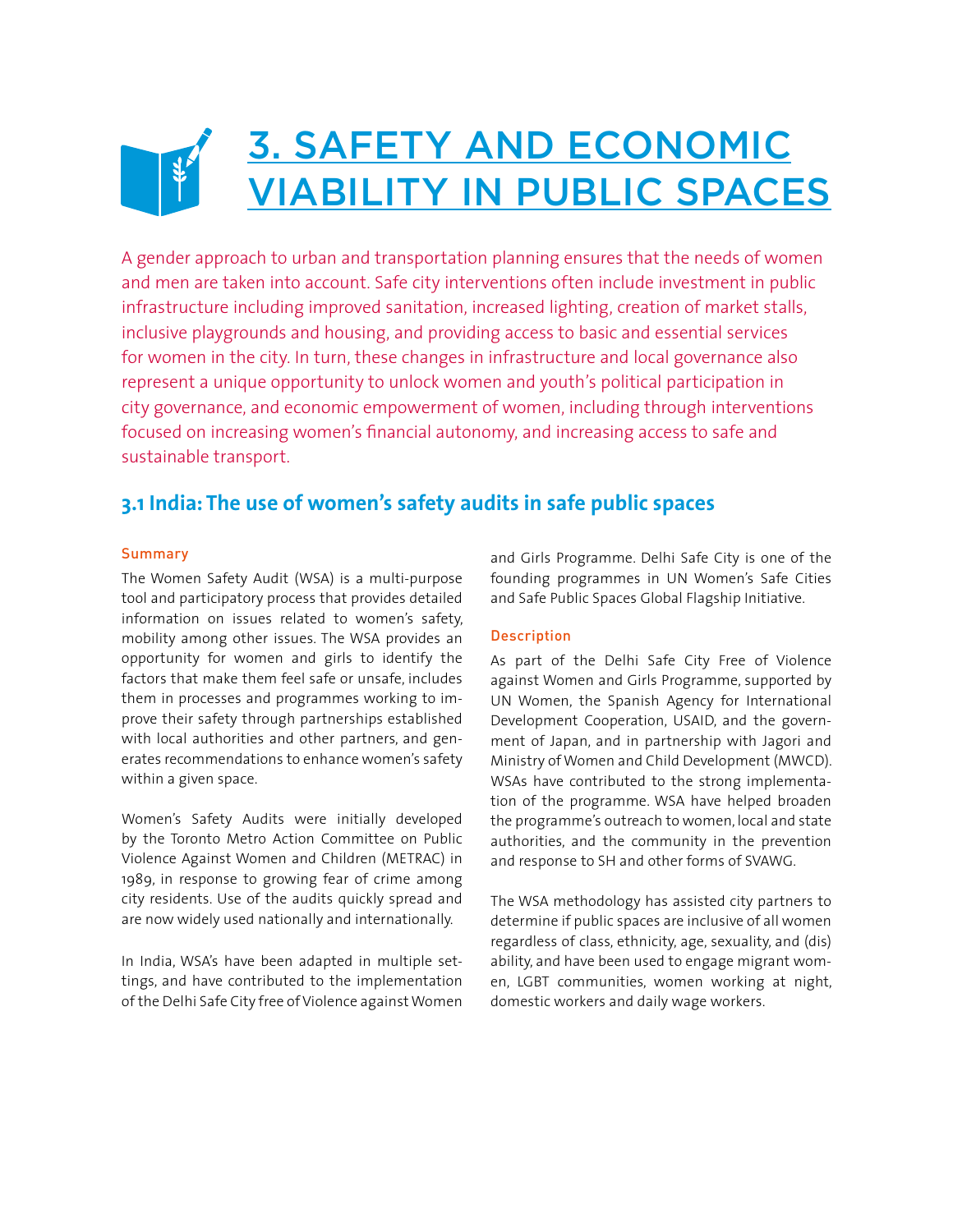## 3. SAFETY AND ECONOMIC VIABILITY IN PUBLIC SPACES

A gender approach to urban and transportation planning ensures that the needs of women and men are taken into account. Safe city interventions often include investment in public infrastructure including improved sanitation, increased lighting, creation of market stalls, inclusive playgrounds and housing, and providing access to basic and essential services for women in the city. In turn, these changes in infrastructure and local governance also represent a unique opportunity to unlock women and youth's political participation in city governance, and economic empowerment of women, including through interventions focused on increasing women's financial autonomy, and increasing access to safe and sustainable transport.

## **3.1 India: The use of women's safety audits in safe public spaces**

#### Summary

The Women Safety Audit (WSA) is a multi-purpose tool and participatory process that provides detailed information on issues related to women's safety, mobility among other issues. The WSA provides an opportunity for women and girls to identify the factors that make them feel safe or unsafe, includes them in processes and programmes working to improve their safety through partnerships established with local authorities and other partners, and generates recommendations to enhance women's safety within a given space.

Women's Safety Audits were initially developed by the Toronto Metro Action Committee on Public Violence Against Women and Children (METRAC) in 1989, in response to growing fear of crime among city residents. Use of the audits quickly spread and are now widely used nationally and internationally.

In India, WSA's have been adapted in multiple settings, and have contributed to the implementation of the Delhi Safe City free of Violence against Women and Girls Programme. Delhi Safe City is one of the founding programmes in UN Women's Safe Cities and Safe Public Spaces Global Flagship Initiative.

#### Description

As part of the Delhi Safe City Free of Violence against Women and Girls Programme, supported by UN Women, the Spanish Agency for International Development Cooperation, USAID, and the government of Japan, and in partnership with Jagori and Ministry of Women and Child Development (MWCD). WSAs have contributed to the strong implementation of the programme. WSA have helped broaden the programme's outreach to women, local and state authorities, and the community in the prevention and response to SH and other forms of SVAWG.

The WSA methodology has assisted city partners to determine if public spaces are inclusive of all women regardless of class, ethnicity, age, sexuality, and (dis) ability, and have been used to engage migrant women, LGBT communities, women working at night, domestic workers and daily wage workers.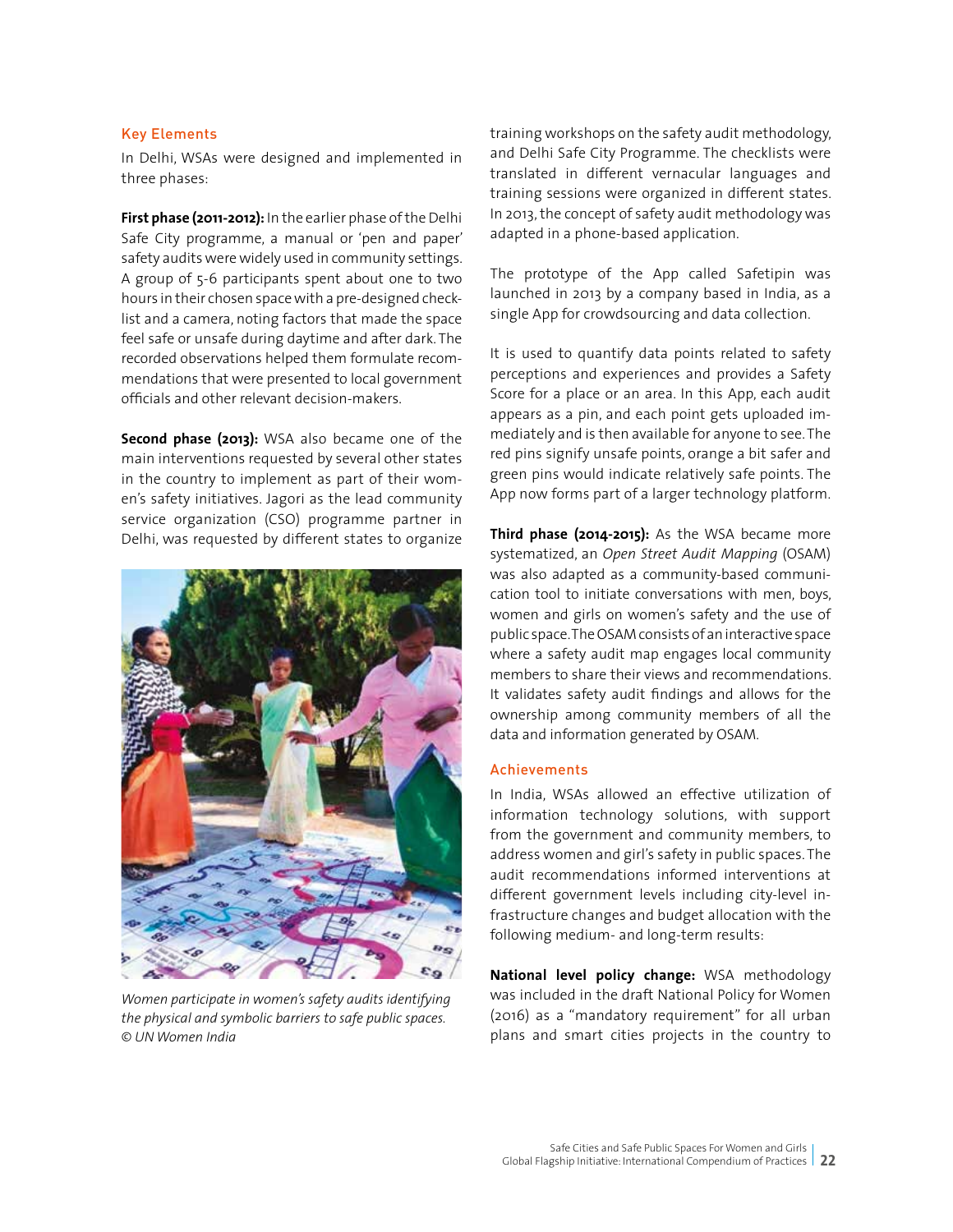#### Key Elements

In Delhi, WSAs were designed and implemented in three phases:

**First phase (2011-2012):** In the earlier phase of the Delhi Safe City programme, a manual or 'pen and paper' safety audits were widely used in community settings. A group of 5-6 participants spent about one to two hours in their chosen space with a pre-designed checklist and a camera, noting factors that made the space feel safe or unsafe during daytime and after dark. The recorded observations helped them formulate recommendations that were presented to local government officials and other relevant decision-makers.

**Second phase (2013):** WSA also became one of the main interventions requested by several other states in the country to implement as part of their women's safety initiatives. Jagori as the lead community service organization (CSO) programme partner in Delhi, was requested by different states to organize



*Women participate in women's safety audits identifying the physical and symbolic barriers to safe public spaces. © UN Women India*

training workshops on the safety audit methodology, and Delhi Safe City Programme. The checklists were translated in different vernacular languages and training sessions were organized in different states. In 2013, the concept of safety audit methodology was adapted in a phone-based application.

The prototype of the App called Safetipin was launched in 2013 by a company based in India, as a single App for crowdsourcing and data collection.

It is used to quantify data points related to safety perceptions and experiences and provides a Safety Score for a place or an area. In this App, each audit appears as a pin, and each point gets uploaded immediately and is then available for anyone to see. The red pins signify unsafe points, orange a bit safer and green pins would indicate relatively safe points. The App now forms part of a larger technology platform.

**Third phase (2014-2015):** As the WSA became more systematized, an *Open Street Audit Mapping* (OSAM) was also adapted as a community-based communication tool to initiate conversations with men, boys, women and girls on women's safety and the use of public space. The OSAM consists of an interactive space where a safety audit map engages local community members to share their views and recommendations. It validates safety audit findings and allows for the ownership among community members of all the data and information generated by OSAM.

#### Achievements

In India, WSAs allowed an effective utilization of information technology solutions, with support from the government and community members, to address women and girl's safety in public spaces. The audit recommendations informed interventions at different government levels including city-level infrastructure changes and budget allocation with the following medium- and long-term results:

**National level policy change:** WSA methodology was included in the draft National Policy for Women (2016) as a "mandatory requirement" for all urban plans and smart cities projects in the country to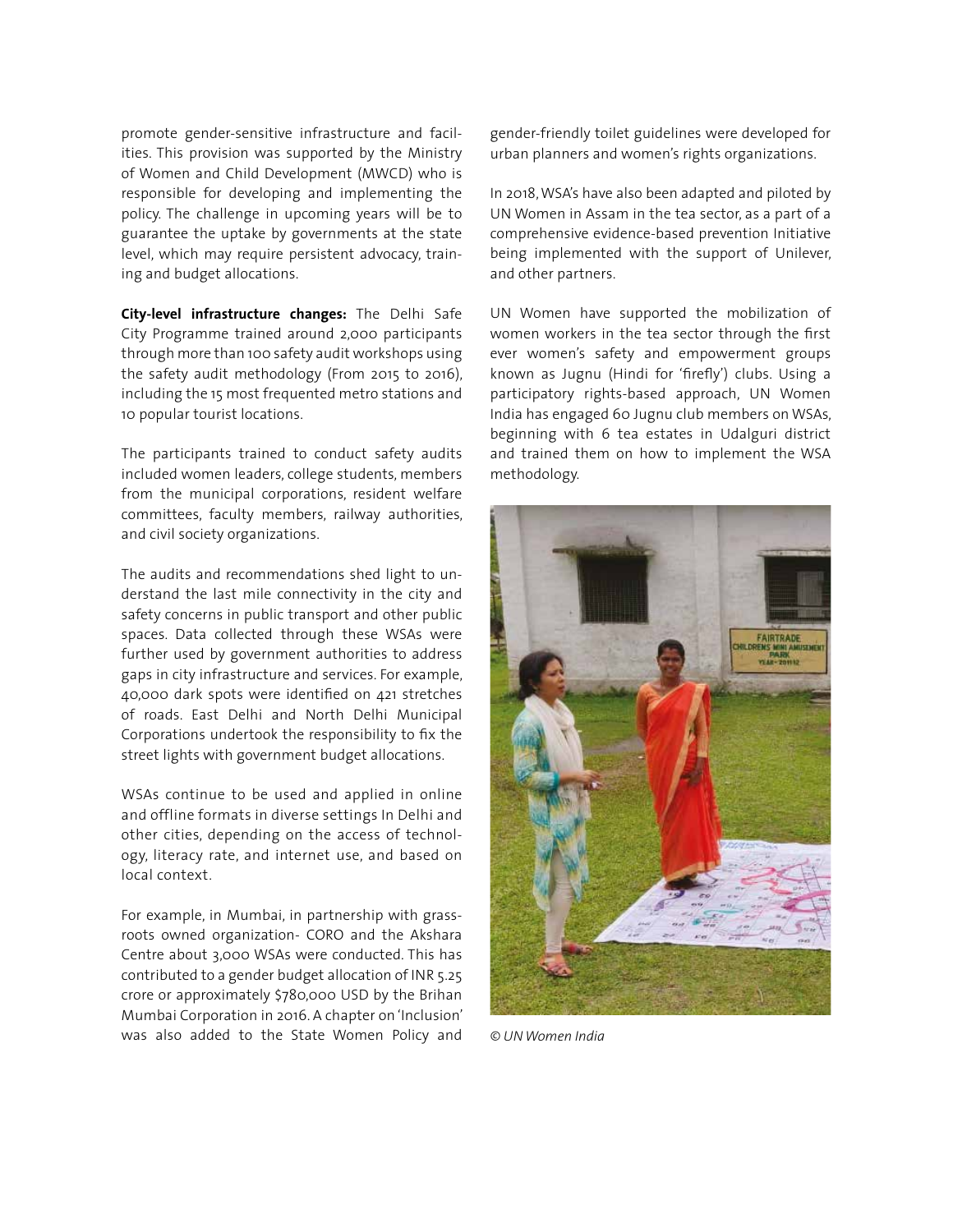promote gender-sensitive infrastructure and facilities. This provision was supported by the Ministry of Women and Child Development (MWCD) who is responsible for developing and implementing the policy. The challenge in upcoming years will be to guarantee the uptake by governments at the state level, which may require persistent advocacy, training and budget allocations.

**City-level infrastructure changes:** The Delhi Safe City Programme trained around 2,000 participants through more than 100 safety audit workshops using the safety audit methodology (From 2015 to 2016), including the 15 most frequented metro stations and 10 popular tourist locations.

The participants trained to conduct safety audits included women leaders, college students, members from the municipal corporations, resident welfare committees, faculty members, railway authorities, and civil society organizations.

The audits and recommendations shed light to understand the last mile connectivity in the city and safety concerns in public transport and other public spaces. Data collected through these WSAs were further used by government authorities to address gaps in city infrastructure and services. For example, 40,000 dark spots were identified on 421 stretches of roads. East Delhi and North Delhi Municipal Corporations undertook the responsibility to fix the street lights with government budget allocations.

WSAs continue to be used and applied in online and offline formats in diverse settings In Delhi and other cities, depending on the access of technology, literacy rate, and internet use, and based on local context.

For example, in Mumbai, in partnership with grassroots owned organization- CORO and the Akshara Centre about 3,000 WSAs were conducted. This has contributed to a gender budget allocation of INR 5.25 crore or approximately \$780,000 USD by the Brihan Mumbai Corporation in 2016. A chapter on 'Inclusion' was also added to the State Women Policy and gender-friendly toilet guidelines were developed for urban planners and women's rights organizations.

In 2018, WSA's have also been adapted and piloted by UN Women in Assam in the tea sector, as a part of a comprehensive evidence-based prevention Initiative being implemented with the support of Unilever, and other partners.

UN Women have supported the mobilization of women workers in the tea sector through the first ever women's safety and empowerment groups known as Jugnu (Hindi for 'firefly') clubs. Using a participatory rights-based approach, UN Women India has engaged 60 Jugnu club members on WSAs, beginning with 6 tea estates in Udalguri district and trained them on how to implement the WSA methodology.



*© UN Women India*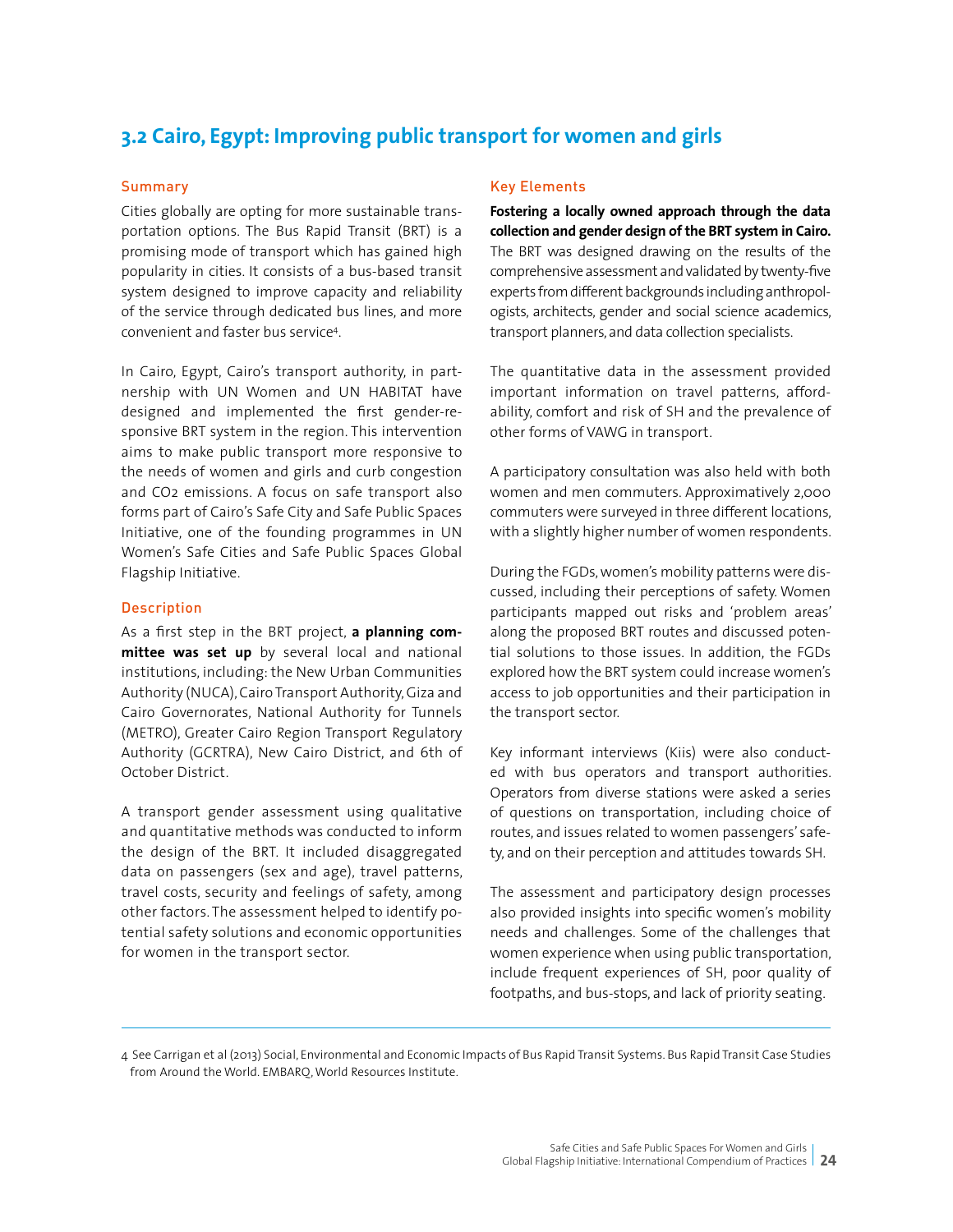## **3.2 Cairo, Egypt: Improving public transport for women and girls**

#### **Summary**

Cities globally are opting for more sustainable transportation options. The Bus Rapid Transit (BRT) is a promising mode of transport which has gained high popularity in cities. It consists of a bus-based transit system designed to improve capacity and reliability of the service through dedicated bus lines, and more convenient and faster bus service4.

In Cairo, Egypt, Cairo's transport authority, in partnership with UN Women and UN HABITAT have designed and implemented the first gender-responsive BRT system in the region. This intervention aims to make public transport more responsive to the needs of women and girls and curb congestion and CO2 emissions. A focus on safe transport also forms part of Cairo's Safe City and Safe Public Spaces Initiative, one of the founding programmes in UN Women's Safe Cities and Safe Public Spaces Global Flagship Initiative.

#### **Description**

As a first step in the BRT project, **a planning committee was set up** by several local and national institutions, including: the New Urban Communities Authority (NUCA), Cairo Transport Authority, Giza and Cairo Governorates, National Authority for Tunnels (METRO), Greater Cairo Region Transport Regulatory Authority (GCRTRA), New Cairo District, and 6th of October District.

A transport gender assessment using qualitative and quantitative methods was conducted to inform the design of the BRT. It included disaggregated data on passengers (sex and age), travel patterns, travel costs, security and feelings of safety, among other factors. The assessment helped to identify potential safety solutions and economic opportunities for women in the transport sector.

#### Key Elements

**Fostering a locally owned approach through the data collection and gender design of the BRT system in Cairo.** The BRT was designed drawing on the results of the comprehensive assessment and validated by twenty-five experts from different backgrounds including anthropologists, architects, gender and social science academics, transport planners, and data collection specialists.

The quantitative data in the assessment provided important information on travel patterns, affordability, comfort and risk of SH and the prevalence of other forms of VAWG in transport.

A participatory consultation was also held with both women and men commuters. Approximatively 2,000 commuters were surveyed in three different locations, with a slightly higher number of women respondents.

During the FGDs, women's mobility patterns were discussed, including their perceptions of safety. Women participants mapped out risks and 'problem areas' along the proposed BRT routes and discussed potential solutions to those issues. In addition, the FGDs explored how the BRT system could increase women's access to job opportunities and their participation in the transport sector.

Key informant interviews (Kiis) were also conducted with bus operators and transport authorities. Operators from diverse stations were asked a series of questions on transportation, including choice of routes, and issues related to women passengers' safety, and on their perception and attitudes towards SH.

The assessment and participatory design processes also provided insights into specific women's mobility needs and challenges. Some of the challenges that women experience when using public transportation, include frequent experiences of SH, poor quality of footpaths, and bus-stops, and lack of priority seating.

4 See Carrigan et al (2013) Social, Environmental and Economic Impacts of Bus Rapid Transit Systems. Bus Rapid Transit Case Studies from Around the World. EMBARQ, World Resources Institute.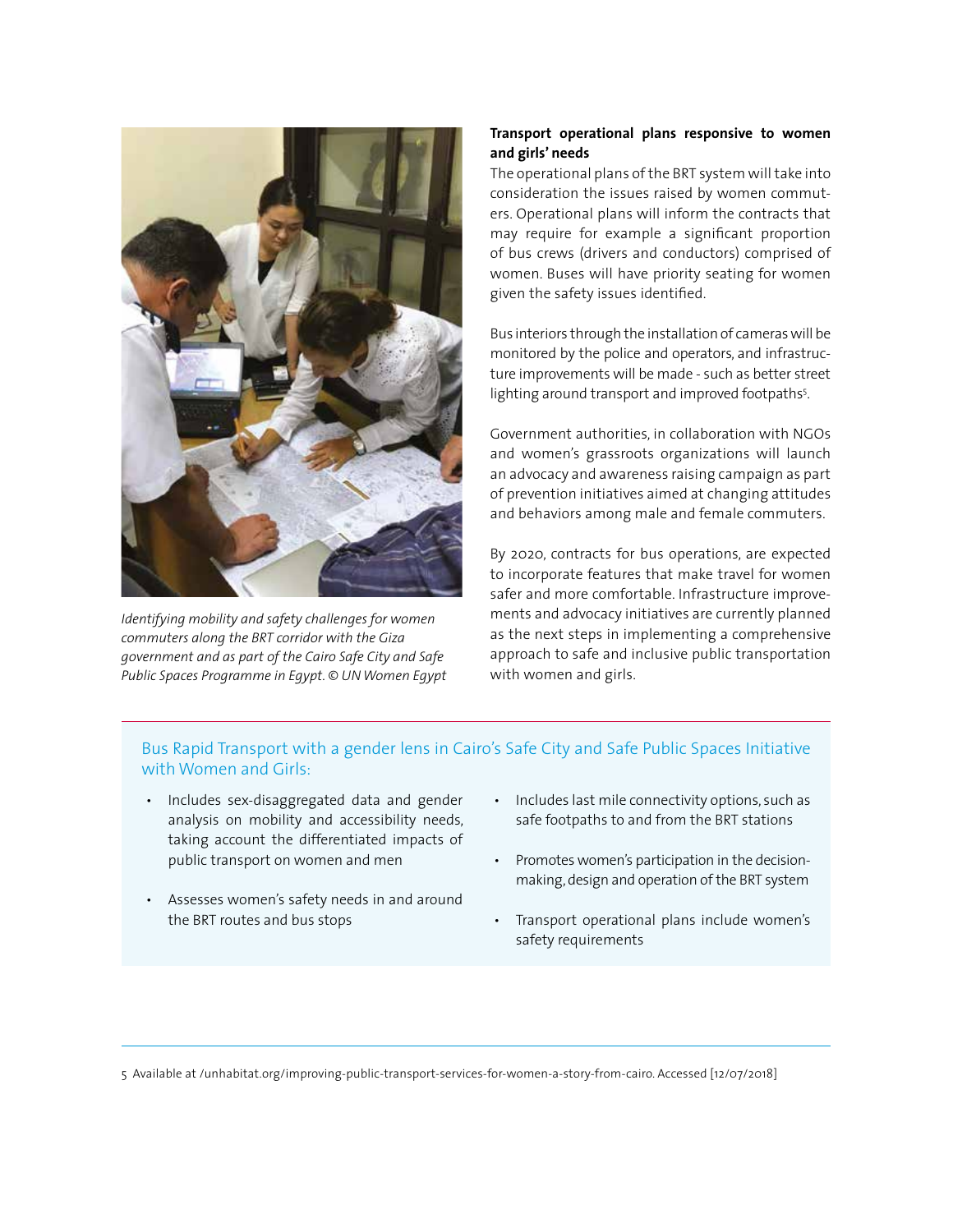

*Identifying mobility and safety challenges for women commuters along the BRT corridor with the Giza government and as part of the Cairo Safe City and Safe Public Spaces Programme in Egypt. © UN Women Egypt*

#### **Transport operational plans responsive to women and girls' needs**

The operational plans of the BRT system will take into consideration the issues raised by women commuters. Operational plans will inform the contracts that may require for example a significant proportion of bus crews (drivers and conductors) comprised of women. Buses will have priority seating for women given the safety issues identified.

Bus interiors through the installation of cameras will be monitored by the police and operators, and infrastructure improvements will be made - such as better street lighting around transport and improved footpaths<sup>5</sup>.

Government authorities, in collaboration with NGOs and women's grassroots organizations will launch an advocacy and awareness raising campaign as part of prevention initiatives aimed at changing attitudes and behaviors among male and female commuters.

By 2020, contracts for bus operations, are expected to incorporate features that make travel for women safer and more comfortable. Infrastructure improvements and advocacy initiatives are currently planned as the next steps in implementing a comprehensive approach to safe and inclusive public transportation with women and girls.

#### Bus Rapid Transport with a gender lens in Cairo's Safe City and Safe Public Spaces Initiative with Women and Girls:

- Includes sex-disaggregated data and gender analysis on mobility and accessibility needs, taking account the differentiated impacts of public transport on women and men
- Assesses women's safety needs in and around the BRT routes and bus stops
- Includes last mile connectivity options, such as safe footpaths to and from the BRT stations
- Promotes women's participation in the decisionmaking, design and operation of the BRT system
- Transport operational plans include women's safety requirements

5 Available at /unhabitat.org/improving-public-transport-services-for-women-a-story-from-cairo. Accessed [12/07/2018]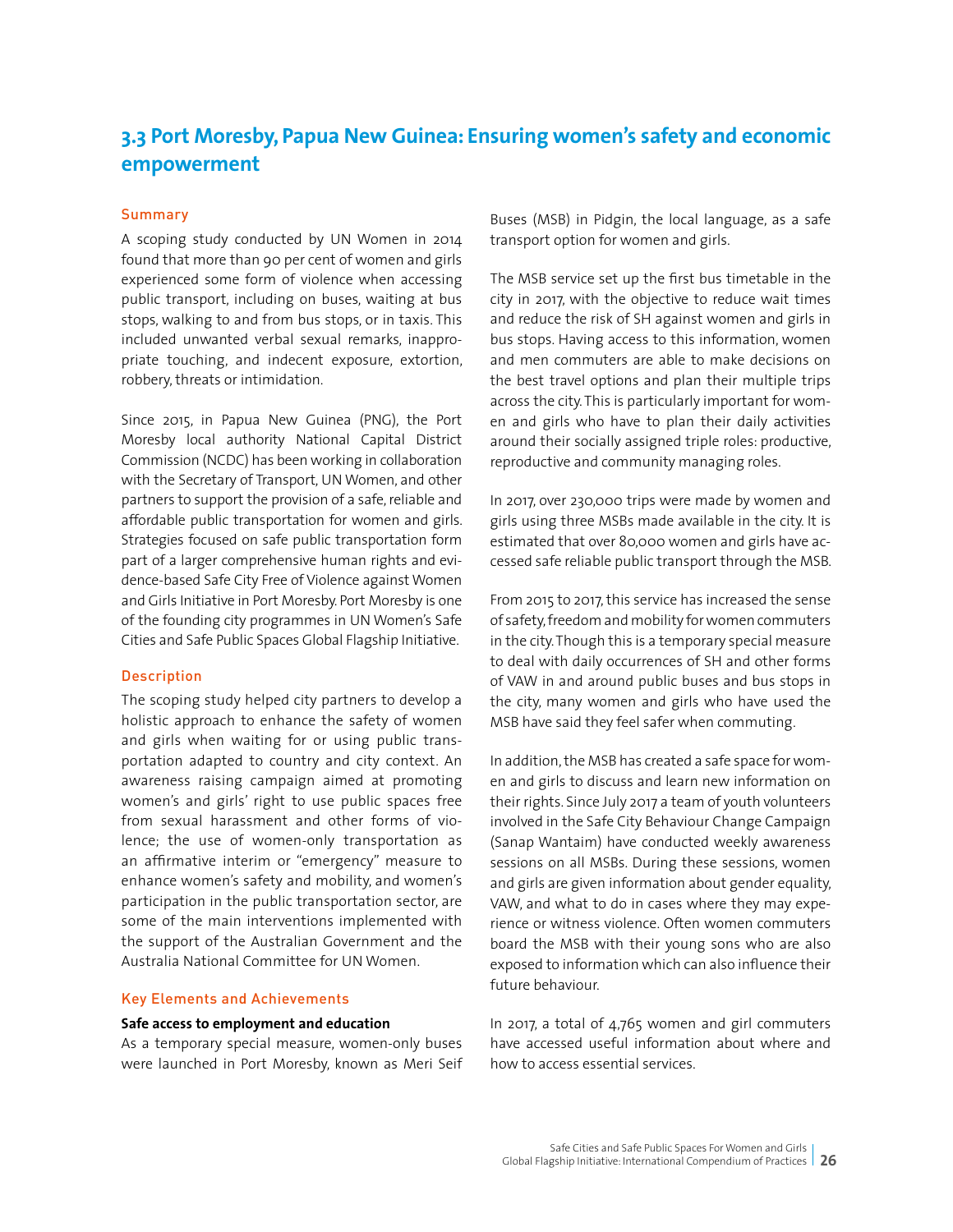## **3.3 Port Moresby, Papua New Guinea: Ensuring women's safety and economic empowerment**

#### Summary

A scoping study conducted by UN Women in 2014 found that more than 90 per cent of women and girls experienced some form of violence when accessing public transport, including on buses, waiting at bus stops, walking to and from bus stops, or in taxis. This included unwanted verbal sexual remarks, inappropriate touching, and indecent exposure, extortion, robbery, threats or intimidation.

Since 2015, in Papua New Guinea (PNG), the Port Moresby local authority National Capital District Commission (NCDC) has been working in collaboration with the Secretary of Transport, UN Women, and other partners to support the provision of a safe, reliable and affordable public transportation for women and girls. Strategies focused on safe public transportation form part of a larger comprehensive human rights and evidence-based Safe City Free of Violence against Women and Girls Initiative in Port Moresby. Port Moresby is one of the founding city programmes in UN Women's Safe Cities and Safe Public Spaces Global Flagship Initiative.

#### Description

The scoping study helped city partners to develop a holistic approach to enhance the safety of women and girls when waiting for or using public transportation adapted to country and city context. An awareness raising campaign aimed at promoting women's and girls' right to use public spaces free from sexual harassment and other forms of violence; the use of women-only transportation as an affirmative interim or "emergency" measure to enhance women's safety and mobility, and women's participation in the public transportation sector, are some of the main interventions implemented with the support of the Australian Government and the Australia National Committee for UN Women.

#### Key Elements and Achievements

#### **Safe access to employment and education**

As a temporary special measure, women-only buses were launched in Port Moresby, known as Meri Seif Buses (MSB) in Pidgin, the local language, as a safe transport option for women and girls.

The MSB service set up the first bus timetable in the city in 2017, with the objective to reduce wait times and reduce the risk of SH against women and girls in bus stops. Having access to this information, women and men commuters are able to make decisions on the best travel options and plan their multiple trips across the city. This is particularly important for women and girls who have to plan their daily activities around their socially assigned triple roles: productive, reproductive and community managing roles.

In 2017, over 230,000 trips were made by women and girls using three MSBs made available in the city. It is estimated that over 80,000 women and girls have accessed safe reliable public transport through the MSB.

From 2015 to 2017, this service has increased the sense of safety, freedom and mobility for women commuters in the city. Though this is a temporary special measure to deal with daily occurrences of SH and other forms of VAW in and around public buses and bus stops in the city, many women and girls who have used the MSB have said they feel safer when commuting.

In addition, the MSB has created a safe space for women and girls to discuss and learn new information on their rights. Since July 2017 a team of youth volunteers involved in the Safe City Behaviour Change Campaign (Sanap Wantaim) have conducted weekly awareness sessions on all MSBs. During these sessions, women and girls are given information about gender equality, VAW, and what to do in cases where they may experience or witness violence. Often women commuters board the MSB with their young sons who are also exposed to information which can also influence their future behaviour.

In 2017, a total of 4,765 women and girl commuters have accessed useful information about where and how to access essential services.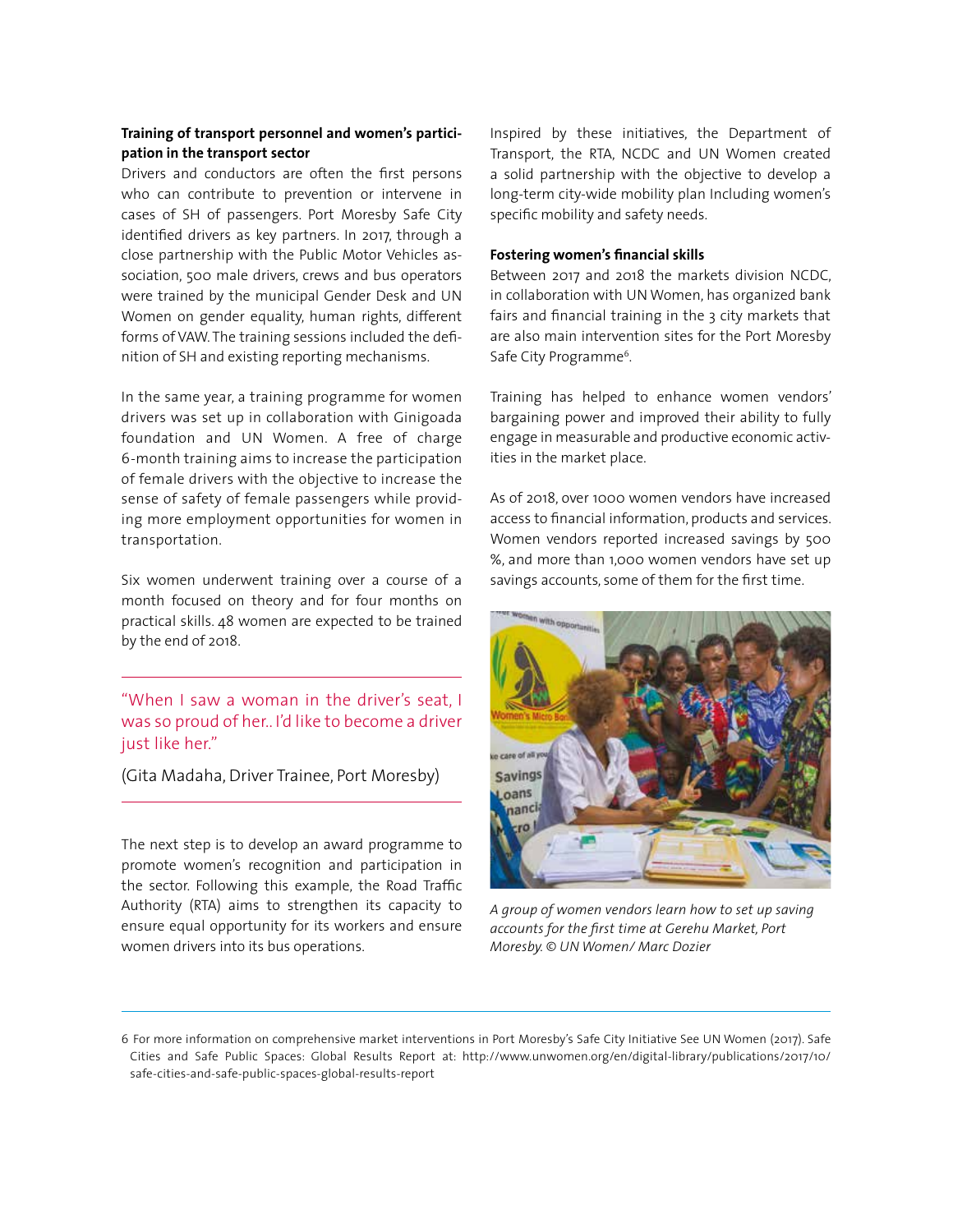#### **Training of transport personnel and women's participation in the transport sector**

Drivers and conductors are often the first persons who can contribute to prevention or intervene in cases of SH of passengers. Port Moresby Safe City identified drivers as key partners. In 2017, through a close partnership with the Public Motor Vehicles association, 500 male drivers, crews and bus operators were trained by the municipal Gender Desk and UN Women on gender equality, human rights, different forms of VAW. The training sessions included the definition of SH and existing reporting mechanisms.

In the same year, a training programme for women drivers was set up in collaboration with Ginigoada foundation and UN Women. A free of charge 6-month training aims to increase the participation of female drivers with the objective to increase the sense of safety of female passengers while providing more employment opportunities for women in transportation.

Six women underwent training over a course of a month focused on theory and for four months on practical skills. 48 women are expected to be trained by the end of 2018.

"When I saw a woman in the driver's seat, I was so proud of her.. I'd like to become a driver just like her."

(Gita Madaha, Driver Trainee, Port Moresby)

The next step is to develop an award programme to promote women's recognition and participation in the sector. Following this example, the Road Traffic Authority (RTA) aims to strengthen its capacity to ensure equal opportunity for its workers and ensure women drivers into its bus operations.

Inspired by these initiatives, the Department of Transport, the RTA, NCDC and UN Women created a solid partnership with the objective to develop a long-term city-wide mobility plan Including women's specific mobility and safety needs.

#### **Fostering women's financial skills**

Between 2017 and 2018 the markets division NCDC, in collaboration with UN Women, has organized bank fairs and financial training in the 3 city markets that are also main intervention sites for the Port Moresby Safe City Programme<sup>6</sup>.

Training has helped to enhance women vendors' bargaining power and improved their ability to fully engage in measurable and productive economic activities in the market place.

As of 2018, over 1000 women vendors have increased access to financial information, products and services. Women vendors reported increased savings by 500 %, and more than 1,000 women vendors have set up savings accounts, some of them for the first time.



*A group of women vendors learn how to set up saving accounts for the first time at Gerehu Market, Port Moresby. © UN Women/ Marc Dozier*

<sup>6</sup> For more information on comprehensive market interventions in Port Moresby's Safe City Initiative See UN Women (2017). Safe Cities and Safe Public Spaces: Global Results Report at: http://www.unwomen.org/en/digital-library/publications/2017/10/ safe-cities-and-safe-public-spaces-global-results-report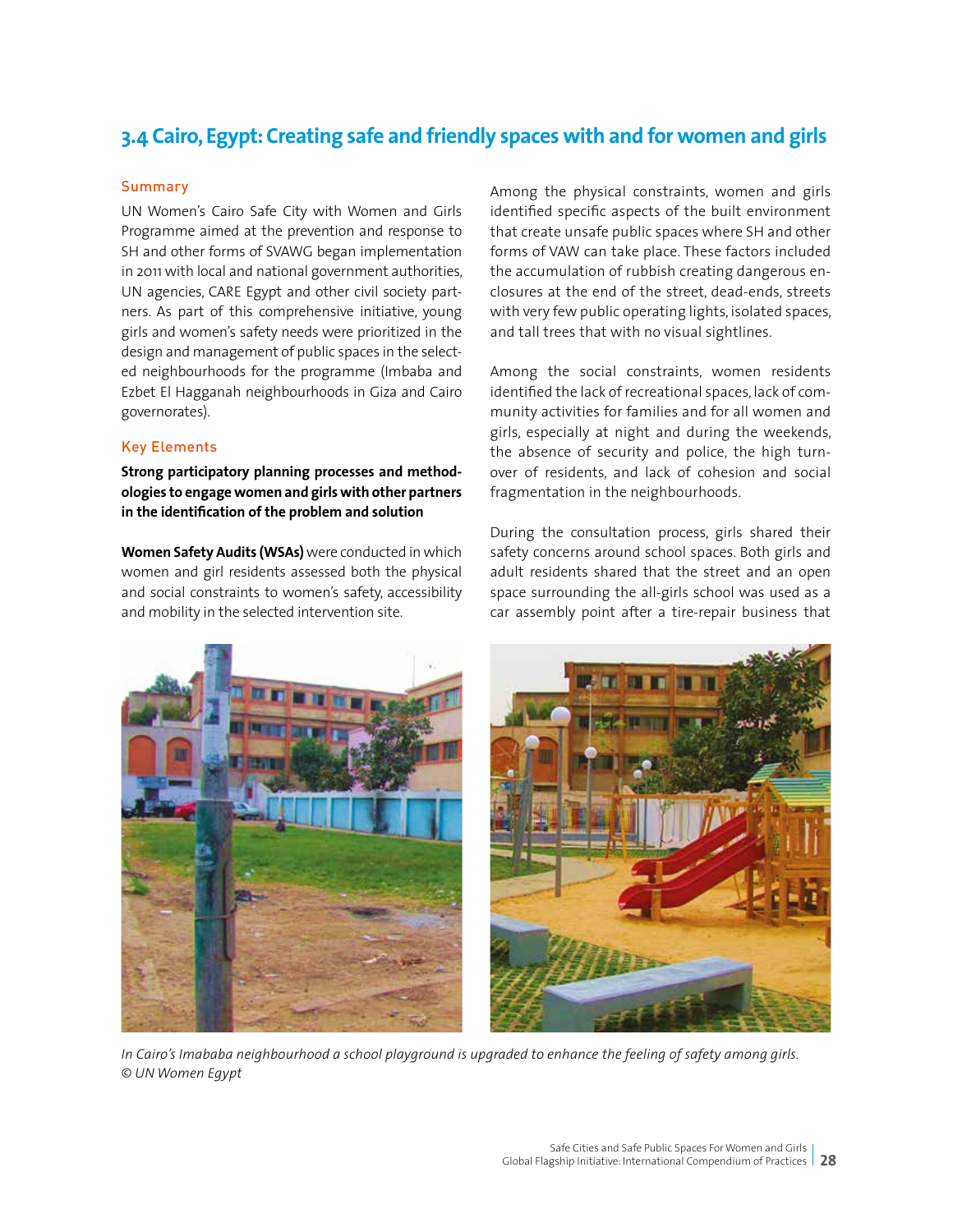## **3.4 Cairo, Egypt: Creating safe and friendly spaces with and for women and girls**

#### **Summary**

UN Women's Cairo Safe City with Women and Girls Programme aimed at the prevention and response to SH and other forms of SVAWG began implementation in 2011 with local and national government authorities, UN agencies, CARE Egypt and other civil society partners. As part of this comprehensive initiative, young girls and women's safety needs were prioritized in the design and management of public spaces in the selected neighbourhoods for the programme (Imbaba and Ezbet El Hagganah neighbourhoods in Giza and Cairo governorates).

#### Key Elements

**Strong participatory planning processes and methodologies to engage women and girls with other partners in the identification of the problem and solution**

**Women Safety Audits (WSAs)** were conducted in which women and girl residents assessed both the physical and social constraints to women's safety, accessibility and mobility in the selected intervention site.

Among the physical constraints, women and girls identified specific aspects of the built environment that create unsafe public spaces where SH and other forms of VAW can take place. These factors included the accumulation of rubbish creating dangerous enclosures at the end of the street, dead-ends, streets with very few public operating lights, isolated spaces, and tall trees that with no visual sightlines.

Among the social constraints, women residents identified the lack of recreational spaces, lack of community activities for families and for all women and girls, especially at night and during the weekends, the absence of security and police, the high turnover of residents, and lack of cohesion and social fragmentation in the neighbourhoods.

During the consultation process, girls shared their safety concerns around school spaces. Both girls and adult residents shared that the street and an open space surrounding the all-girls school was used as a car assembly point after a tire-repair business that





*In Cairo's Imababa neighbourhood a school playground is upgraded to enhance the feeling of safety among girls. © UN Women Egypt*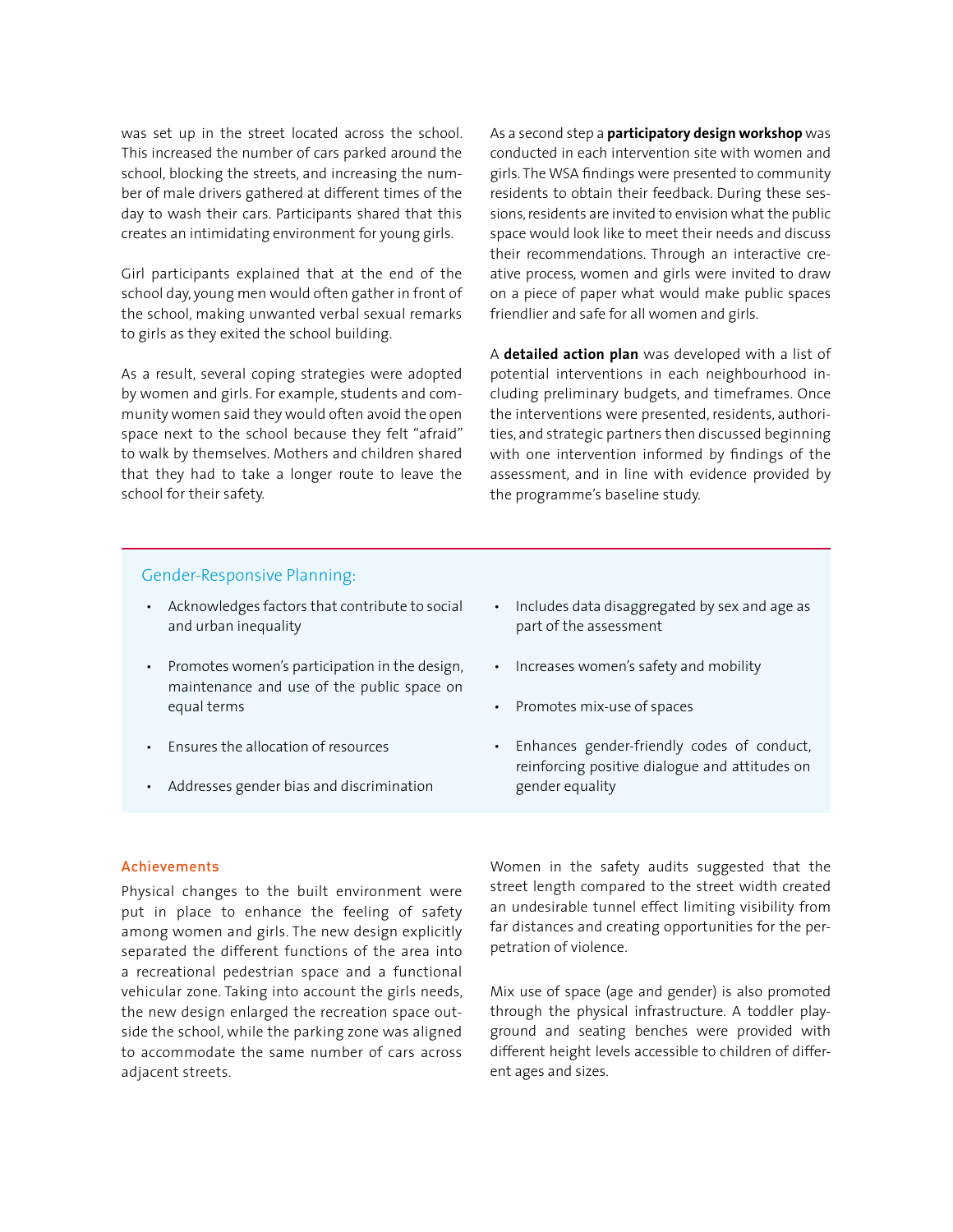was set up in the street located across the school. This increased the number of cars parked around the school, blocking the streets, and increasing the number of male drivers gathered at different times of the day to wash their cars. Participants shared that this creates an intimidating environment for young girls.

Girl participants explained that at the end of the school day, young men would often gather in front of the school, making unwanted verbal sexual remarks to girls as they exited the school building.

As a result, several coping strategies were adopted by women and girls. For example, students and community women said they would often avoid the open space next to the school because they felt "afraid" to walk by themselves. Mothers and children shared that they had to take a longer route to leave the school for their safety.

As a second step a **participatory design workshop** was conducted in each intervention site with women and girls. The WSA findings were presented to community residents to obtain their feedback. During these sessions, residents are invited to envision what the public space would look like to meet their needs and discuss their recommendations. Through an interactive creative process, women and girls were invited to draw on a piece of paper what would make public spaces friendlier and safe for all women and girls.

A **detailed action plan** was developed with a list of potential interventions in each neighbourhood including preliminary budgets, and timeframes. Once the interventions were presented, residents, authorities, and strategic partners then discussed beginning with one intervention informed by findings of the assessment, and in line with evidence provided by the programme's baseline study.

#### Gender-Responsive Planning:

- Acknowledges factors that contribute to social and urban inequality
- Promotes women's participation in the design, maintenance and use of the public space on equal terms
- Ensures the allocation of resources
- Addresses gender bias and discrimination
- Includes data disaggregated by sex and age as part of the assessment
- Increases women's safety and mobility
- Promotes mix-use of spaces
- Enhances gender-friendly codes of conduct, reinforcing positive dialogue and attitudes on gender equality

#### Achievements

Physical changes to the built environment were put in place to enhance the feeling of safety among women and girls. The new design explicitly separated the different functions of the area into a recreational pedestrian space and a functional vehicular zone. Taking into account the girls needs, the new design enlarged the recreation space outside the school, while the parking zone was aligned to accommodate the same number of cars across adjacent streets.

Women in the safety audits suggested that the street length compared to the street width created an undesirable tunnel effect limiting visibility from far distances and creating opportunities for the perpetration of violence.

Mix use of space (age and gender) is also promoted through the physical infrastructure. A toddler playground and seating benches were provided with different height levels accessible to children of different ages and sizes.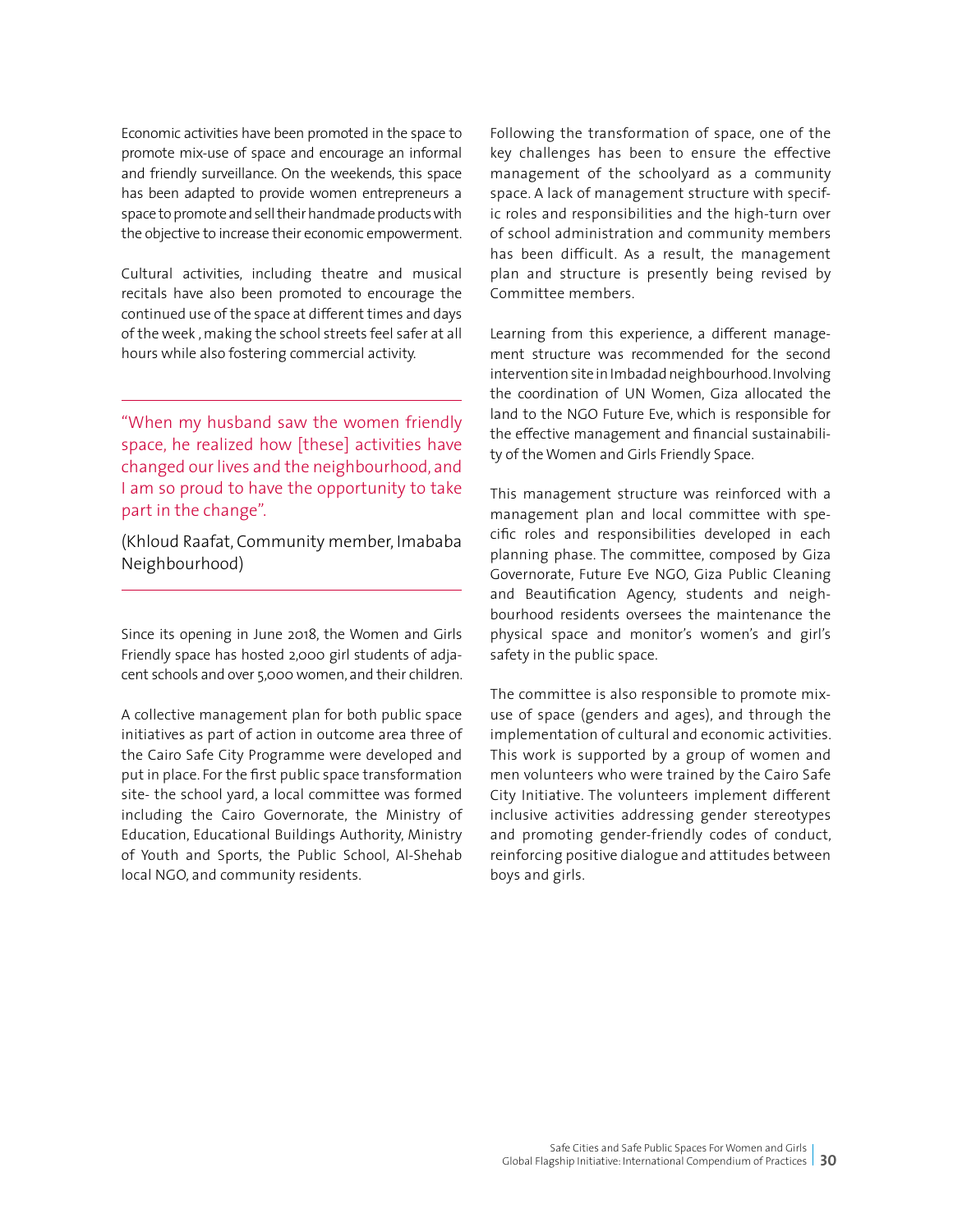Economic activities have been promoted in the space to promote mix-use of space and encourage an informal and friendly surveillance. On the weekends, this space has been adapted to provide women entrepreneurs a space to promote and sell their handmade products with the objective to increase their economic empowerment.

Cultural activities, including theatre and musical recitals have also been promoted to encourage the continued use of the space at different times and days of the week , making the school streets feel safer at all hours while also fostering commercial activity.

"When my husband saw the women friendly space, he realized how [these] activities have changed our lives and the neighbourhood, and I am so proud to have the opportunity to take part in the change".

(Khloud Raafat, Community member, Imababa Neighbourhood)

Since its opening in June 2018, the Women and Girls Friendly space has hosted 2,000 girl students of adjacent schools and over 5,000 women, and their children.

A collective management plan for both public space initiatives as part of action in outcome area three of the Cairo Safe City Programme were developed and put in place. For the first public space transformation site- the school yard, a local committee was formed including the Cairo Governorate, the Ministry of Education, Educational Buildings Authority, Ministry of Youth and Sports, the Public School, Al-Shehab local NGO, and community residents.

Following the transformation of space, one of the key challenges has been to ensure the effective management of the schoolyard as a community space. A lack of management structure with specific roles and responsibilities and the high-turn over of school administration and community members has been difficult. As a result, the management plan and structure is presently being revised by Committee members.

Learning from this experience, a different management structure was recommended for the second intervention site in Imbadad neighbourhood. Involving the coordination of UN Women, Giza allocated the land to the NGO Future Eve, which is responsible for the effective management and financial sustainability of the Women and Girls Friendly Space.

This management structure was reinforced with a management plan and local committee with specific roles and responsibilities developed in each planning phase. The committee, composed by Giza Governorate, Future Eve NGO, Giza Public Cleaning and Beautification Agency, students and neighbourhood residents oversees the maintenance the physical space and monitor's women's and girl's safety in the public space.

The committee is also responsible to promote mixuse of space (genders and ages), and through the implementation of cultural and economic activities. This work is supported by a group of women and men volunteers who were trained by the Cairo Safe City Initiative. The volunteers implement different inclusive activities addressing gender stereotypes and promoting gender-friendly codes of conduct, reinforcing positive dialogue and attitudes between boys and girls.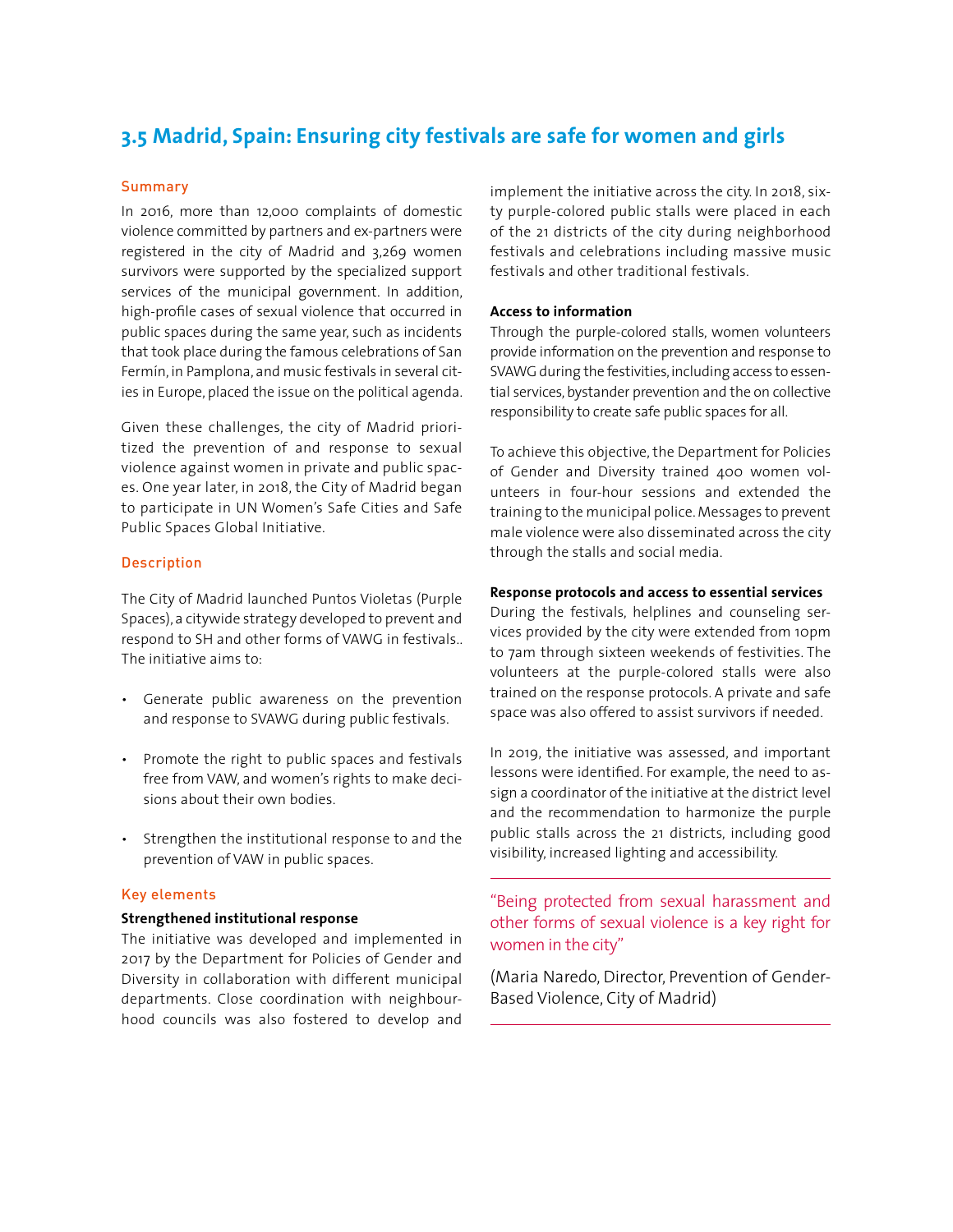## **3.5 Madrid, Spain: Ensuring city festivals are safe for women and girls**

#### **Summary**

In 2016, more than 12,000 complaints of domestic violence committed by partners and ex-partners were registered in the city of Madrid and 3,269 women survivors were supported by the specialized support services of the municipal government. In addition, high-profile cases of sexual violence that occurred in public spaces during the same year, such as incidents that took place during the famous celebrations of San Fermín, in Pamplona, and music festivals in several cities in Europe, placed the issue on the political agenda.

Given these challenges, the city of Madrid prioritized the prevention of and response to sexual violence against women in private and public spaces. One year later, in 2018, the City of Madrid began to participate in UN Women's Safe Cities and Safe Public Spaces Global Initiative.

#### Description

The City of Madrid launched Puntos Violetas (Purple Spaces), a citywide strategy developed to prevent and respond to SH and other forms of VAWG in festivals.. The initiative aims to:

- Generate public awareness on the prevention and response to SVAWG during public festivals.
- Promote the right to public spaces and festivals free from VAW, and women's rights to make decisions about their own bodies.
- Strengthen the institutional response to and the prevention of VAW in public spaces.

#### Key elements

#### **Strengthened institutional response**

The initiative was developed and implemented in 2017 by the Department for Policies of Gender and Diversity in collaboration with different municipal departments. Close coordination with neighbourhood councils was also fostered to develop and implement the initiative across the city. In 2018, sixty purple-colored public stalls were placed in each of the 21 districts of the city during neighborhood festivals and celebrations including massive music festivals and other traditional festivals.

#### **Access to information**

Through the purple-colored stalls, women volunteers provide information on the prevention and response to SVAWG during the festivities, including access to essential services, bystander prevention and the on collective responsibility to create safe public spaces for all.

To achieve this objective, the Department for Policies of Gender and Diversity trained 400 women volunteers in four-hour sessions and extended the training to the municipal police. Messages to prevent male violence were also disseminated across the city through the stalls and social media.

#### **Response protocols and access to essential services**

During the festivals, helplines and counseling services provided by the city were extended from 10pm to 7am through sixteen weekends of festivities. The volunteers at the purple-colored stalls were also trained on the response protocols. A private and safe space was also offered to assist survivors if needed.

In 2019, the initiative was assessed, and important lessons were identified. For example, the need to assign a coordinator of the initiative at the district level and the recommendation to harmonize the purple public stalls across the 21 districts, including good visibility, increased lighting and accessibility.

"Being protected from sexual harassment and other forms of sexual violence is a key right for women in the city"

(Maria Naredo, Director, Prevention of Gender-Based Violence, City of Madrid)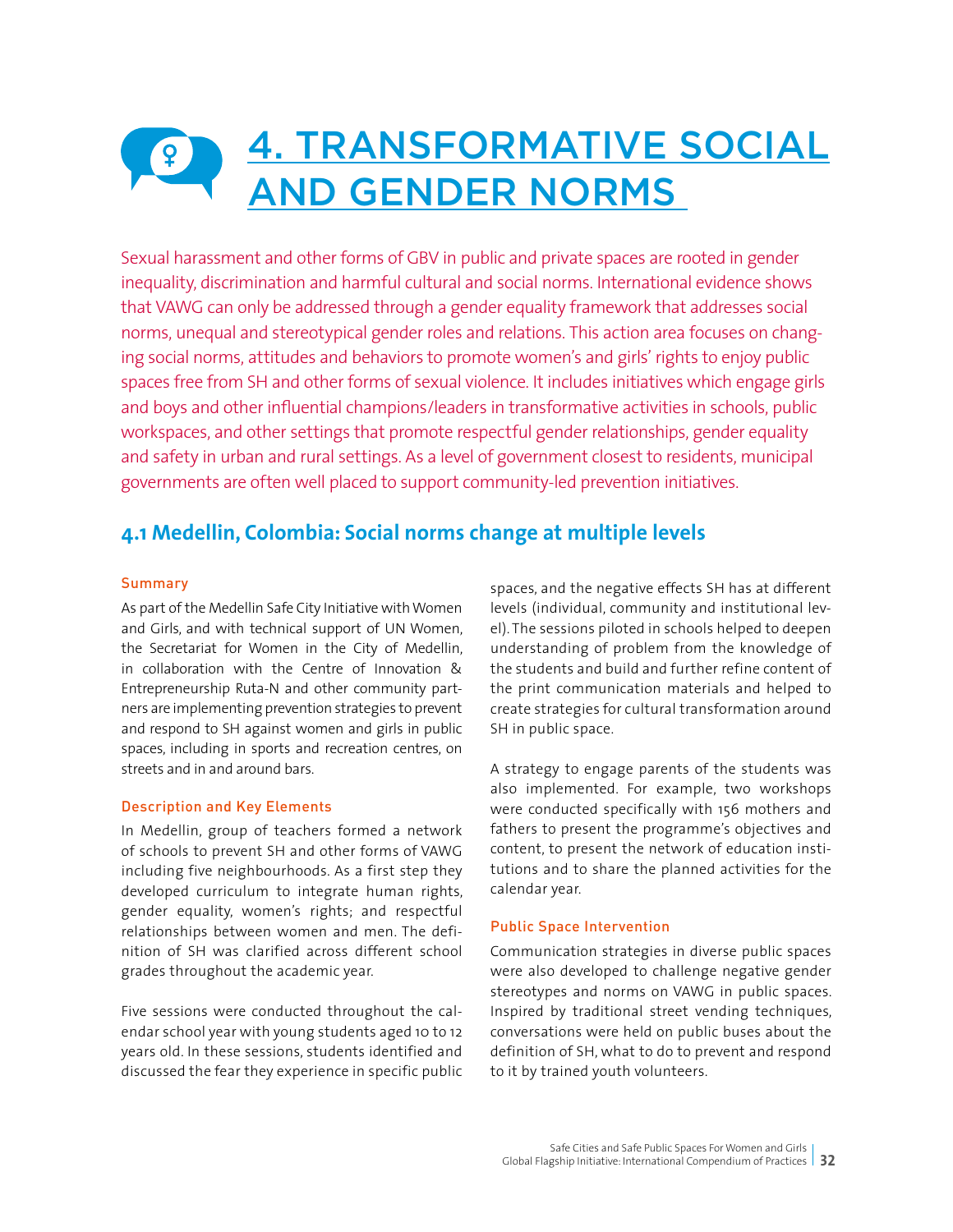## 4. TRANSFORMATIVE SOCIAL  $\left| \frac{1}{2} \right|$ AND GENDER NORMS

Sexual harassment and other forms of GBV in public and private spaces are rooted in gender inequality, discrimination and harmful cultural and social norms. International evidence shows that VAWG can only be addressed through a gender equality framework that addresses social norms, unequal and stereotypical gender roles and relations. This action area focuses on changing social norms, attitudes and behaviors to promote women's and girls' rights to enjoy public spaces free from SH and other forms of sexual violence. It includes initiatives which engage girls and boys and other influential champions/leaders in transformative activities in schools, public workspaces, and other settings that promote respectful gender relationships, gender equality and safety in urban and rural settings. As a level of government closest to residents, municipal governments are often well placed to support community-led prevention initiatives.

## **4.1 Medellin, Colombia: Social norms change at multiple levels**

#### Summary

As part of the Medellin Safe City Initiative with Women and Girls, and with technical support of UN Women, the Secretariat for Women in the City of Medellin, in collaboration with the Centre of Innovation & Entrepreneurship Ruta-N and other community partners are implementing prevention strategies to prevent and respond to SH against women and girls in public spaces, including in sports and recreation centres, on streets and in and around bars.

#### Description and Key Elements

In Medellin, group of teachers formed a network of schools to prevent SH and other forms of VAWG including five neighbourhoods. As a first step they developed curriculum to integrate human rights, gender equality, women's rights; and respectful relationships between women and men. The definition of SH was clarified across different school grades throughout the academic year.

Five sessions were conducted throughout the calendar school year with young students aged 10 to 12 years old. In these sessions, students identified and discussed the fear they experience in specific public spaces, and the negative effects SH has at different levels (individual, community and institutional level). The sessions piloted in schools helped to deepen understanding of problem from the knowledge of the students and build and further refine content of the print communication materials and helped to create strategies for cultural transformation around SH in public space.

A strategy to engage parents of the students was also implemented. For example, two workshops were conducted specifically with 156 mothers and fathers to present the programme's objectives and content, to present the network of education institutions and to share the planned activities for the calendar year.

#### Public Space Intervention

Communication strategies in diverse public spaces were also developed to challenge negative gender stereotypes and norms on VAWG in public spaces. Inspired by traditional street vending techniques, conversations were held on public buses about the definition of SH, what to do to prevent and respond to it by trained youth volunteers.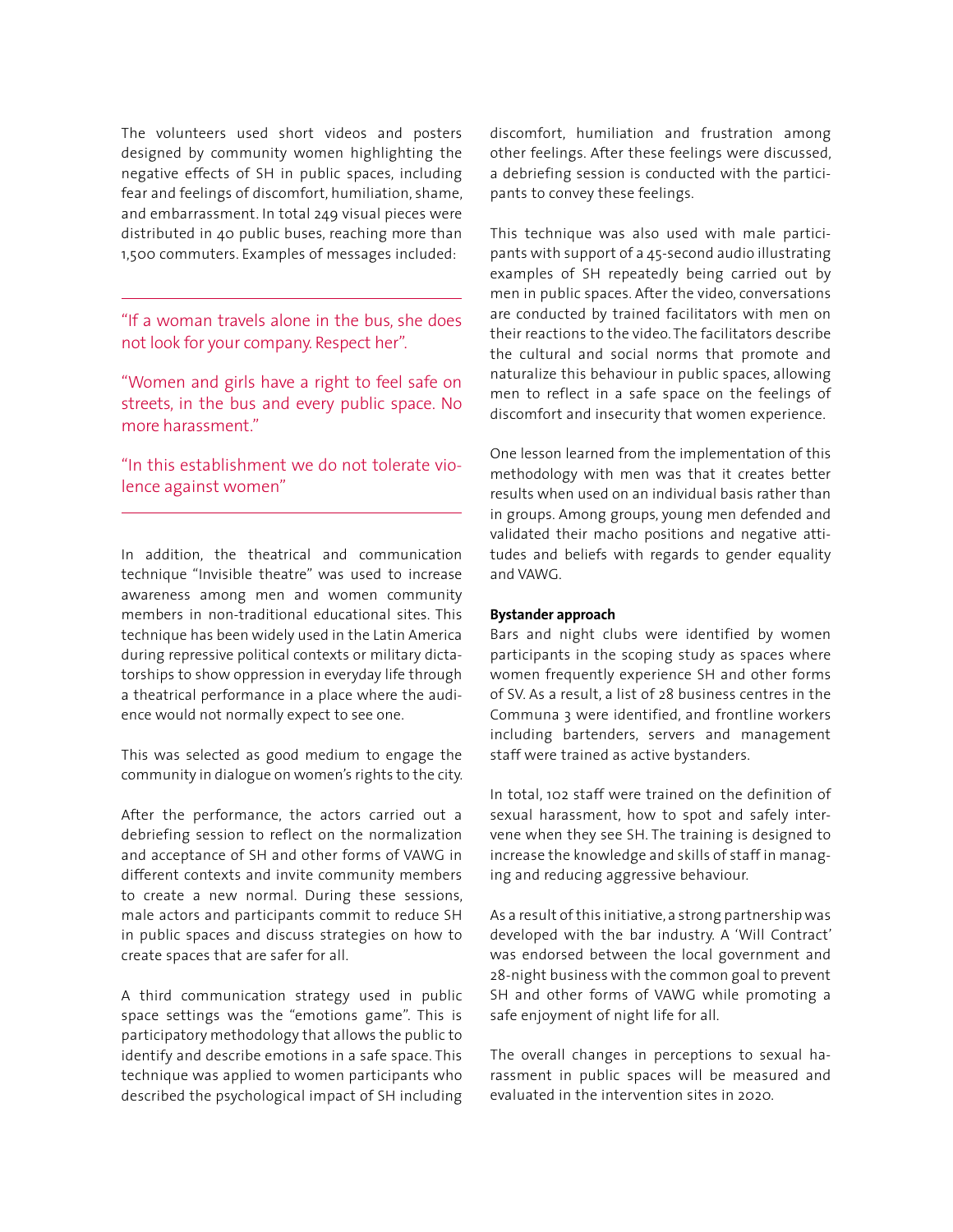The volunteers used short videos and posters designed by community women highlighting the negative effects of SH in public spaces, including fear and feelings of discomfort, humiliation, shame, and embarrassment. In total 249 visual pieces were distributed in 40 public buses, reaching more than 1,500 commuters. Examples of messages included:

"If a woman travels alone in the bus, she does not look for your company. Respect her".

"Women and girls have a right to feel safe on streets, in the bus and every public space. No more harassment."

"In this establishment we do not tolerate violence against women"

In addition, the theatrical and communication technique "Invisible theatre" was used to increase awareness among men and women community members in non-traditional educational sites. This technique has been widely used in the Latin America during repressive political contexts or military dictatorships to show oppression in everyday life through a theatrical performance in a place where the audience would not normally expect to see one.

This was selected as good medium to engage the community in dialogue on women's rights to the city.

After the performance, the actors carried out a debriefing session to reflect on the normalization and acceptance of SH and other forms of VAWG in different contexts and invite community members to create a new normal. During these sessions, male actors and participants commit to reduce SH in public spaces and discuss strategies on how to create spaces that are safer for all.

A third communication strategy used in public space settings was the "emotions game". This is participatory methodology that allows the public to identify and describe emotions in a safe space. This technique was applied to women participants who described the psychological impact of SH including discomfort, humiliation and frustration among other feelings. After these feelings were discussed, a debriefing session is conducted with the participants to convey these feelings.

This technique was also used with male participants with support of a 45-second audio illustrating examples of SH repeatedly being carried out by men in public spaces. After the video, conversations are conducted by trained facilitators with men on their reactions to the video. The facilitators describe the cultural and social norms that promote and naturalize this behaviour in public spaces, allowing men to reflect in a safe space on the feelings of discomfort and insecurity that women experience.

One lesson learned from the implementation of this methodology with men was that it creates better results when used on an individual basis rather than in groups. Among groups, young men defended and validated their macho positions and negative attitudes and beliefs with regards to gender equality and VAWG.

#### **Bystander approach**

Bars and night clubs were identified by women participants in the scoping study as spaces where women frequently experience SH and other forms of SV. As a result, a list of 28 business centres in the Communa 3 were identified, and frontline workers including bartenders, servers and management staff were trained as active bystanders.

In total, 102 staff were trained on the definition of sexual harassment, how to spot and safely intervene when they see SH. The training is designed to increase the knowledge and skills of staff in managing and reducing aggressive behaviour.

As a result of this initiative, a strong partnership was developed with the bar industry. A 'Will Contract' was endorsed between the local government and 28-night business with the common goal to prevent SH and other forms of VAWG while promoting a safe enjoyment of night life for all.

The overall changes in perceptions to sexual harassment in public spaces will be measured and evaluated in the intervention sites in 2020.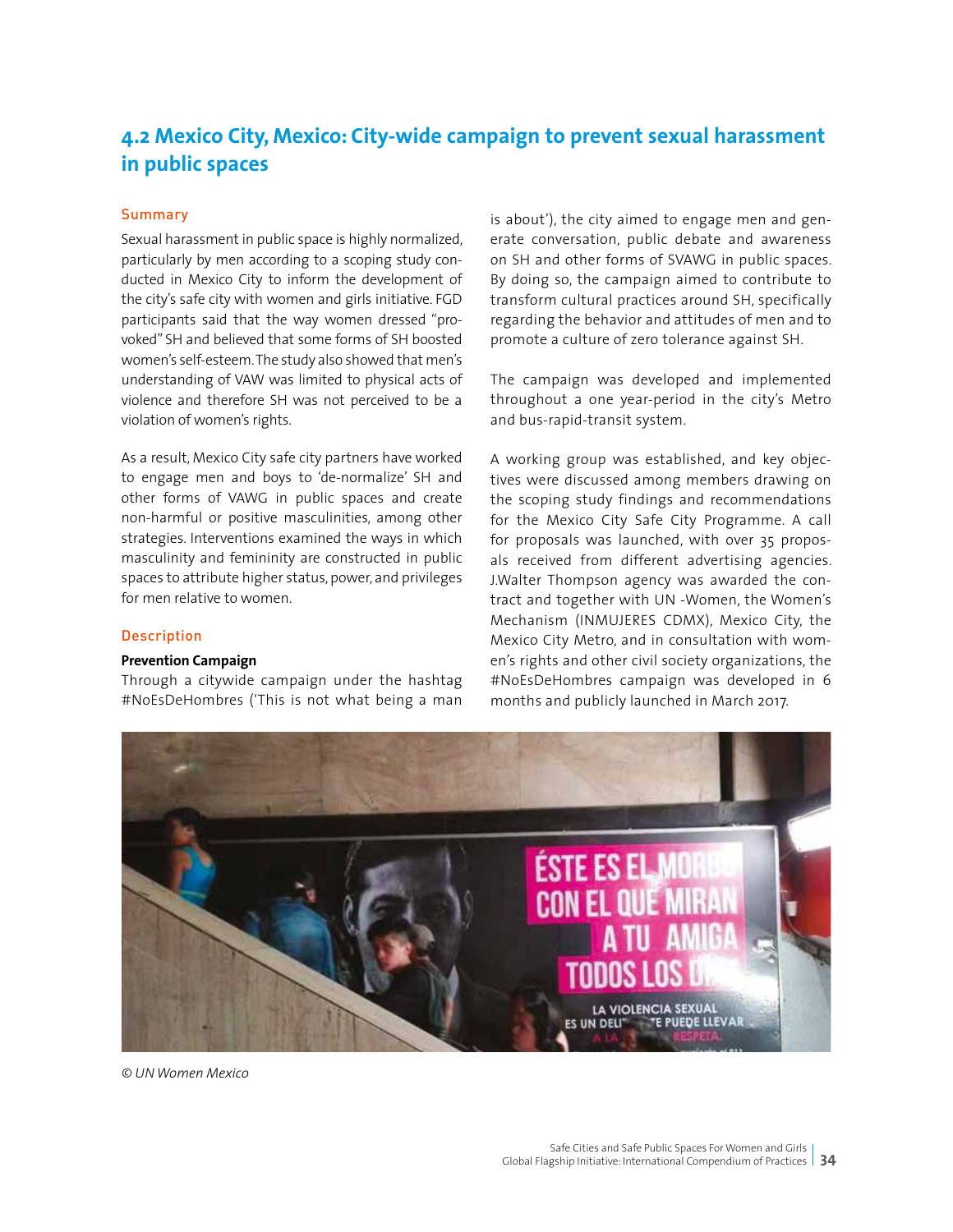## **4.2 Mexico City, Mexico: City-wide campaign to prevent sexual harassment in public spaces**

#### **Summary**

Sexual harassment in public space is highly normalized, particularly by men according to a scoping study conducted in Mexico City to inform the development of the city's safe city with women and girls initiative. FGD participants said that the way women dressed "provoked" SH and believed that some forms of SH boosted women's self-esteem. The study also showed that men's understanding of VAW was limited to physical acts of violence and therefore SH was not perceived to be a violation of women's rights.

As a result, Mexico City safe city partners have worked to engage men and boys to 'de-normalize' SH and other forms of VAWG in public spaces and create non-harmful or positive masculinities, among other strategies. Interventions examined the ways in which masculinity and femininity are constructed in public spaces to attribute higher status, power, and privileges for men relative to women.

#### **Description**

#### **Prevention Campaign**

Through a citywide campaign under the hashtag #NoEsDeHombres ('This is not what being a man is about'), the city aimed to engage men and generate conversation, public debate and awareness on SH and other forms of SVAWG in public spaces. By doing so, the campaign aimed to contribute to transform cultural practices around SH, specifically regarding the behavior and attitudes of men and to promote a culture of zero tolerance against SH.

The campaign was developed and implemented throughout a one year-period in the city's Metro and bus-rapid-transit system.

A working group was established, and key objectives were discussed among members drawing on the scoping study findings and recommendations for the Mexico City Safe City Programme. A call for proposals was launched, with over 35 proposals received from different advertising agencies. J.Walter Thompson agency was awarded the contract and together with UN -Women, the Women's Mechanism (INMUJERES CDMX), Mexico City, the Mexico City Metro, and in consultation with women's rights and other civil society organizations, the #NoEsDeHombres campaign was developed in 6 months and publicly launched in March 2017.



*© UN Women Mexico*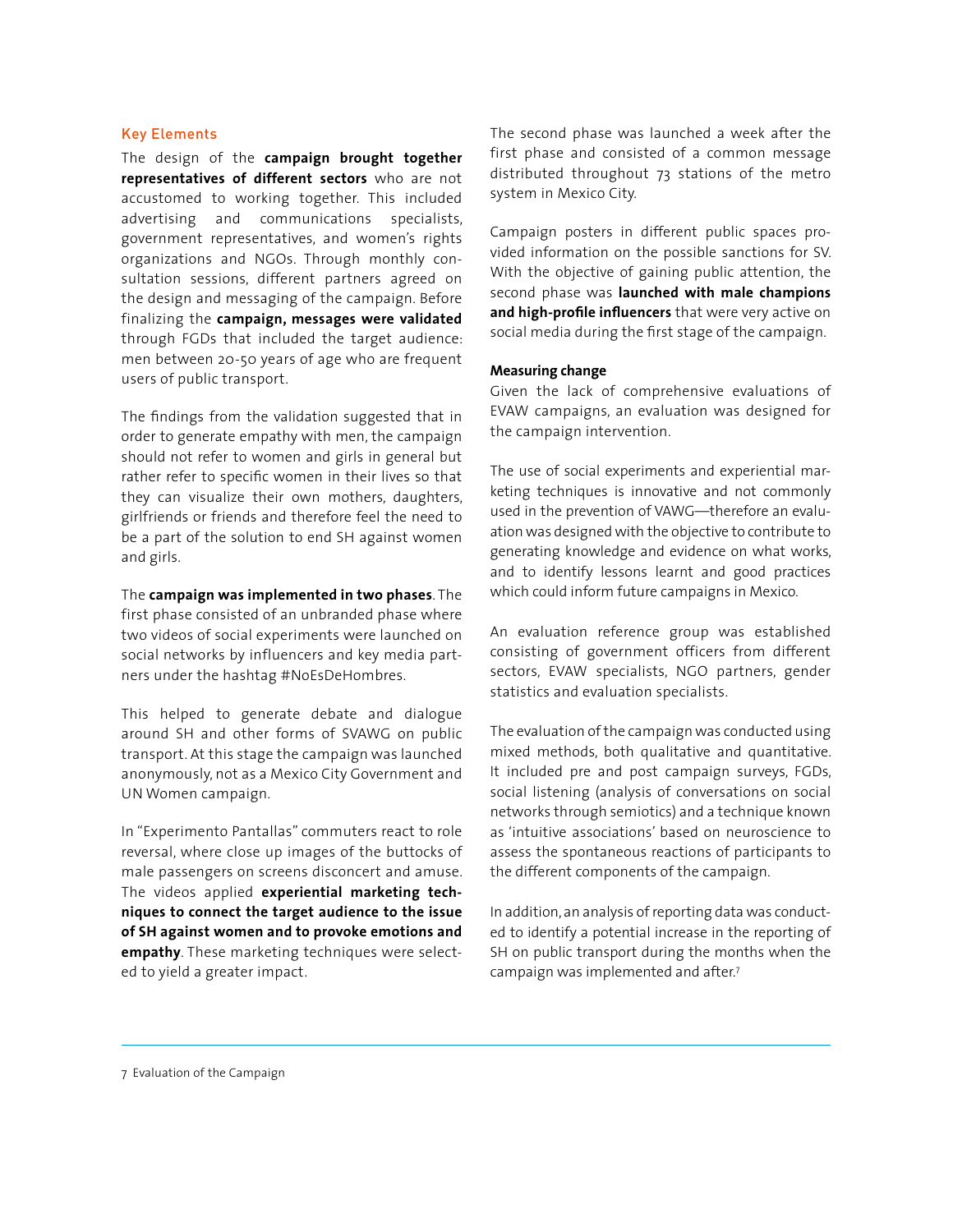#### Key Elements

The design of the **campaign brought together representatives of different sectors** who are not accustomed to working together. This included advertising and communications specialists, government representatives, and women's rights organizations and NGOs. Through monthly consultation sessions, different partners agreed on the design and messaging of the campaign. Before finalizing the **campaign, messages were validated**  through FGDs that included the target audience: men between 20-50 years of age who are frequent users of public transport.

The findings from the validation suggested that in order to generate empathy with men, the campaign should not refer to women and girls in general but rather refer to specific women in their lives so that they can visualize their own mothers, daughters, girlfriends or friends and therefore feel the need to be a part of the solution to end SH against women and girls.

The **campaign was implemented in two phases**. The first phase consisted of an unbranded phase where two videos of social experiments were launched on social networks by influencers and key media partners under the hashtag #NoEsDeHombres.

This helped to generate debate and dialogue around SH and other forms of SVAWG on public transport. At this stage the campaign was launched anonymously, not as a Mexico City Government and UN Women campaign.

In "Experimento Pantallas" commuters react to role reversal, where close up images of the buttocks of male passengers on screens disconcert and amuse. The videos applied **experiential marketing techniques to connect the target audience to the issue of SH against women and to provoke emotions and empathy**. These marketing techniques were selected to yield a greater impact.

The second phase was launched a week after the first phase and consisted of a common message distributed throughout 73 stations of the metro system in Mexico City.

Campaign posters in different public spaces provided information on the possible sanctions for SV. With the objective of gaining public attention, the second phase was **launched with male champions and high-profile influencers** that were very active on social media during the first stage of the campaign.

#### **Measuring change**

Given the lack of comprehensive evaluations of EVAW campaigns, an evaluation was designed for the campaign intervention.

The use of social experiments and experiential marketing techniques is innovative and not commonly used in the prevention of VAWG—therefore an evaluation was designed with the objective to contribute to generating knowledge and evidence on what works, and to identify lessons learnt and good practices which could inform future campaigns in Mexico.

An evaluation reference group was established consisting of government officers from different sectors, EVAW specialists, NGO partners, gender statistics and evaluation specialists.

The evaluation of the campaign was conducted using mixed methods, both qualitative and quantitative. It included pre and post campaign surveys, FGDs, social listening (analysis of conversations on social networks through semiotics) and a technique known as 'intuitive associations' based on neuroscience to assess the spontaneous reactions of participants to the different components of the campaign.

In addition, an analysis of reporting data was conducted to identify a potential increase in the reporting of SH on public transport during the months when the campaign was implemented and after.7

7 Evaluation of the Campaign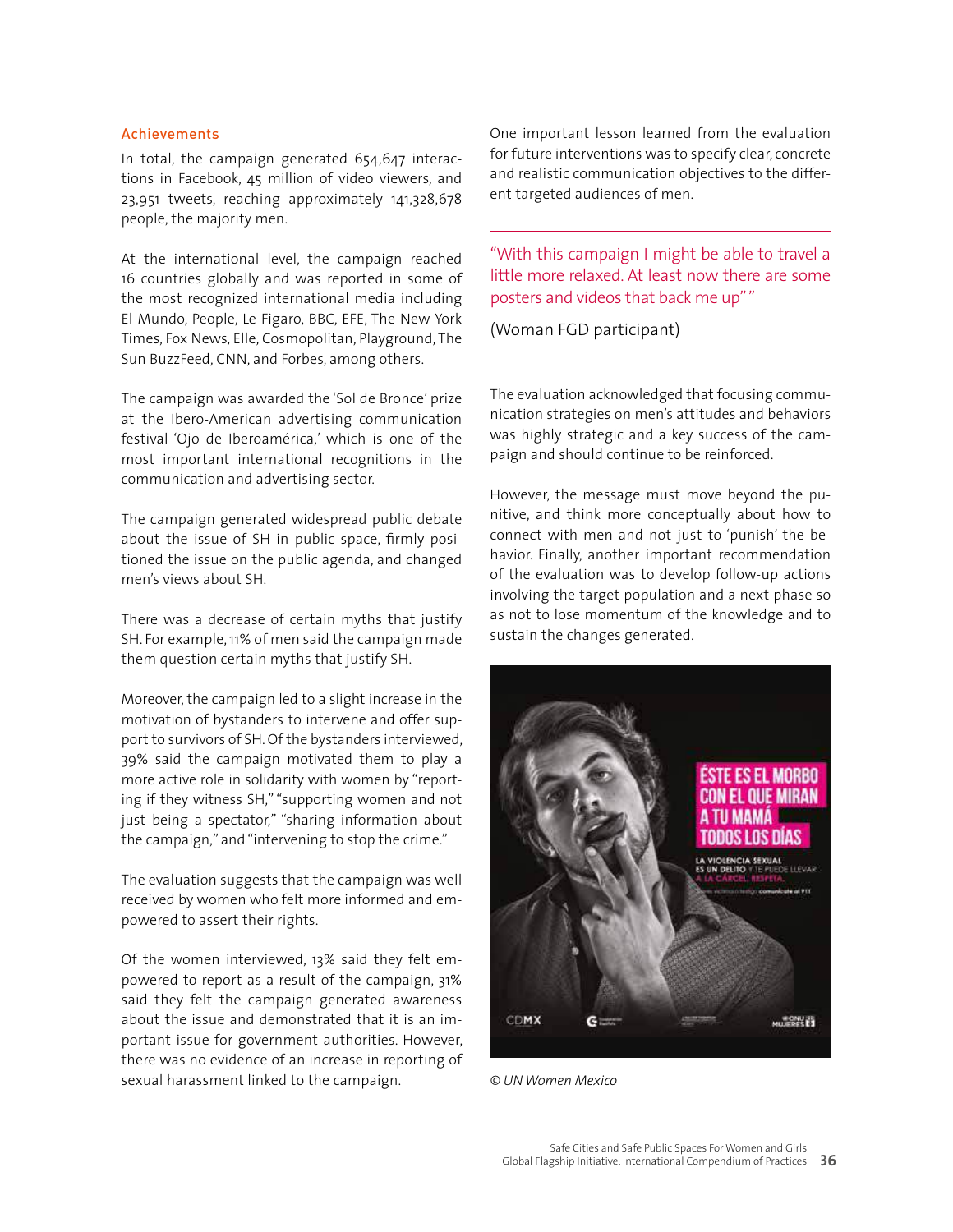#### Achievements

In total, the campaign generated 654,647 interactions in Facebook, 45 million of video viewers, and 23,951 tweets, reaching approximately 141,328,678 people, the majority men.

At the international level, the campaign reached 16 countries globally and was reported in some of the most recognized international media including El Mundo, People, Le Figaro, BBC, EFE, The New York Times, Fox News, Elle, Cosmopolitan, Playground, The Sun BuzzFeed, CNN, and Forbes, among others.

The campaign was awarded the 'Sol de Bronce' prize at the Ibero-American advertising communication festival 'Ojo de Iberoamérica,' which is one of the most important international recognitions in the communication and advertising sector.

The campaign generated widespread public debate about the issue of SH in public space, firmly positioned the issue on the public agenda, and changed men's views about SH.

There was a decrease of certain myths that justify SH. For example, 11% of men said the campaign made them question certain myths that justify SH.

Moreover, the campaign led to a slight increase in the motivation of bystanders to intervene and offer support to survivors of SH. Of the bystanders interviewed, 39% said the campaign motivated them to play a more active role in solidarity with women by "reporting if they witness SH," "supporting women and not just being a spectator," "sharing information about the campaign," and "intervening to stop the crime."

The evaluation suggests that the campaign was well received by women who felt more informed and empowered to assert their rights.

Of the women interviewed, 13% said they felt empowered to report as a result of the campaign, 31% said they felt the campaign generated awareness about the issue and demonstrated that it is an important issue for government authorities. However, there was no evidence of an increase in reporting of sexual harassment linked to the campaign.

One important lesson learned from the evaluation for future interventions was to specify clear, concrete and realistic communication objectives to the different targeted audiences of men.

"With this campaign I might be able to travel a little more relaxed. At least now there are some posters and videos that back me up" "

(Woman FGD participant)

The evaluation acknowledged that focusing communication strategies on men's attitudes and behaviors was highly strategic and a key success of the campaign and should continue to be reinforced.

However, the message must move beyond the punitive, and think more conceptually about how to connect with men and not just to 'punish' the behavior. Finally, another important recommendation of the evaluation was to develop follow-up actions involving the target population and a next phase so as not to lose momentum of the knowledge and to sustain the changes generated.



*© UN Women Mexico*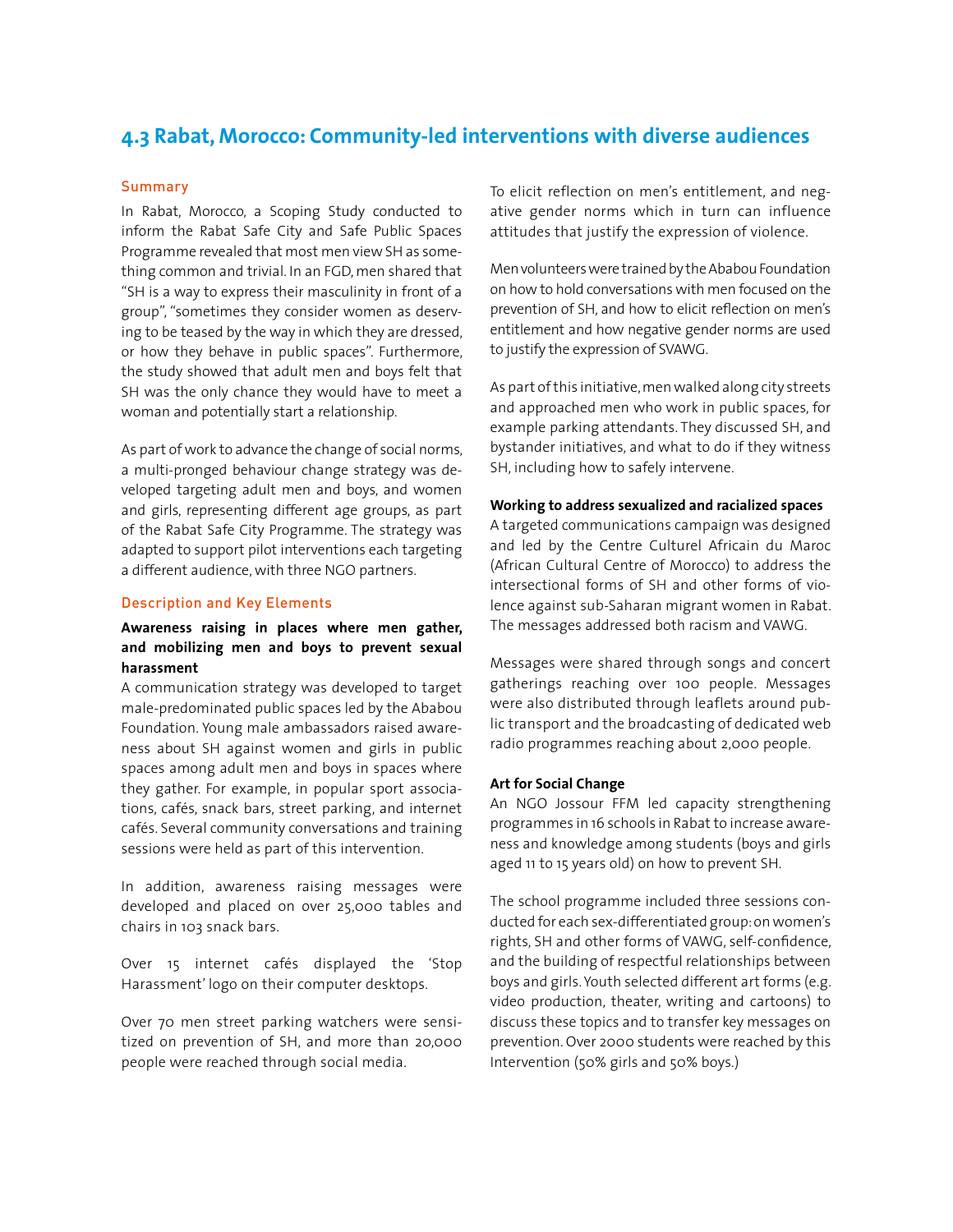## **4.3 Rabat, Morocco: Community-led interventions with diverse audiences**

#### **Summary**

In Rabat, Morocco, a Scoping Study conducted to inform the Rabat Safe City and Safe Public Spaces Programme revealed that most men view SH as something common and trivial. In an FGD, men shared that "SH is a way to express their masculinity in front of a group", "sometimes they consider women as deserving to be teased by the way in which they are dressed, or how they behave in public spaces". Furthermore, the study showed that adult men and boys felt that SH was the only chance they would have to meet a woman and potentially start a relationship.

As part of work to advance the change of social norms, a multi-pronged behaviour change strategy was developed targeting adult men and boys, and women and girls, representing different age groups, as part of the Rabat Safe City Programme. The strategy was adapted to support pilot interventions each targeting a different audience, with three NGO partners.

#### Description and Key Elements

#### **Awareness raising in places where men gather, and mobilizing men and boys to prevent sexual harassment**

A communication strategy was developed to target male-predominated public spaces led by the Ababou Foundation. Young male ambassadors raised awareness about SH against women and girls in public spaces among adult men and boys in spaces where they gather. For example, in popular sport associations, cafés, snack bars, street parking, and internet cafés. Several community conversations and training sessions were held as part of this intervention.

In addition, awareness raising messages were developed and placed on over 25,000 tables and chairs in 103 snack bars.

Over 15 internet cafés displayed the 'Stop Harassment' logo on their computer desktops.

Over 70 men street parking watchers were sensitized on prevention of SH, and more than 20,000 people were reached through social media.

To elicit reflection on men's entitlement, and negative gender norms which in turn can influence attitudes that justify the expression of violence.

Men volunteers were trained by the Ababou Foundation on how to hold conversations with men focused on the prevention of SH, and how to elicit reflection on men's entitlement and how negative gender norms are used to justify the expression of SVAWG.

As part of this initiative, men walked along city streets and approached men who work in public spaces, for example parking attendants. They discussed SH, and bystander initiatives, and what to do if they witness SH, including how to safely intervene.

#### **Working to address sexualized and racialized spaces**

A targeted communications campaign was designed and led by the Centre Culturel Africain du Maroc (African Cultural Centre of Morocco) to address the intersectional forms of SH and other forms of violence against sub-Saharan migrant women in Rabat. The messages addressed both racism and VAWG.

Messages were shared through songs and concert gatherings reaching over 100 people. Messages were also distributed through leaflets around public transport and the broadcasting of dedicated web radio programmes reaching about 2,000 people.

#### **Art for Social Change**

An NGO Jossour FFM led capacity strengthening programmes in 16 schools in Rabat to increase awareness and knowledge among students (boys and girls aged 11 to 15 years old) on how to prevent SH.

The school programme included three sessions conducted for each sex-differentiated group: on women's rights, SH and other forms of VAWG, self-confidence, and the building of respectful relationships between boys and girls. Youth selected different art forms (e.g. video production, theater, writing and cartoons) to discuss these topics and to transfer key messages on prevention. Over 2000 students were reached by this Intervention (50% girls and 50% boys.)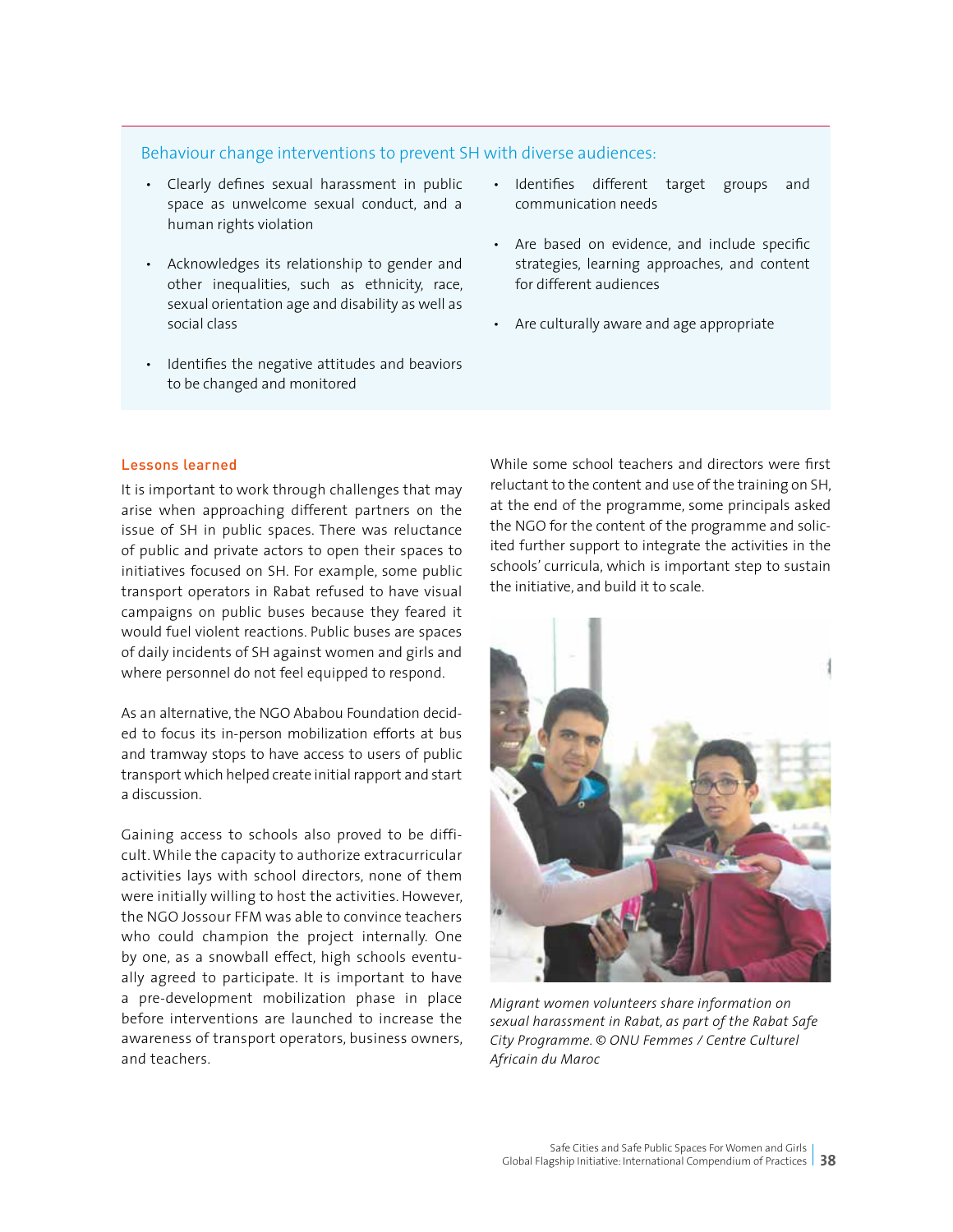#### Behaviour change interventions to prevent SH with diverse audiences:

- Clearly defines sexual harassment in public space as unwelcome sexual conduct, and a human rights violation
- Acknowledges its relationship to gender and other inequalities, such as ethnicity, race, sexual orientation age and disability as well as social class
- Identifies the negative attitudes and beaviors to be changed and monitored
- Identifies different target groups and communication needs
- Are based on evidence, and include specific strategies, learning approaches, and content for different audiences
- Are culturally aware and age appropriate

#### Lessons learned

It is important to work through challenges that may arise when approaching different partners on the issue of SH in public spaces. There was reluctance of public and private actors to open their spaces to initiatives focused on SH. For example, some public transport operators in Rabat refused to have visual campaigns on public buses because they feared it would fuel violent reactions. Public buses are spaces of daily incidents of SH against women and girls and where personnel do not feel equipped to respond.

As an alternative, the NGO Ababou Foundation decided to focus its in-person mobilization efforts at bus and tramway stops to have access to users of public transport which helped create initial rapport and start a discussion.

Gaining access to schools also proved to be difficult. While the capacity to authorize extracurricular activities lays with school directors, none of them were initially willing to host the activities. However, the NGO Jossour FFM was able to convince teachers who could champion the project internally. One by one, as a snowball effect, high schools eventually agreed to participate. It is important to have a pre-development mobilization phase in place before interventions are launched to increase the awareness of transport operators, business owners, and teachers.

While some school teachers and directors were first reluctant to the content and use of the training on SH, at the end of the programme, some principals asked the NGO for the content of the programme and solicited further support to integrate the activities in the schools' curricula, which is important step to sustain the initiative, and build it to scale.



*Migrant women volunteers share information on sexual harassment in Rabat, as part of the Rabat Safe City Programme. © ONU Femmes / Centre Culturel Africain du Maroc*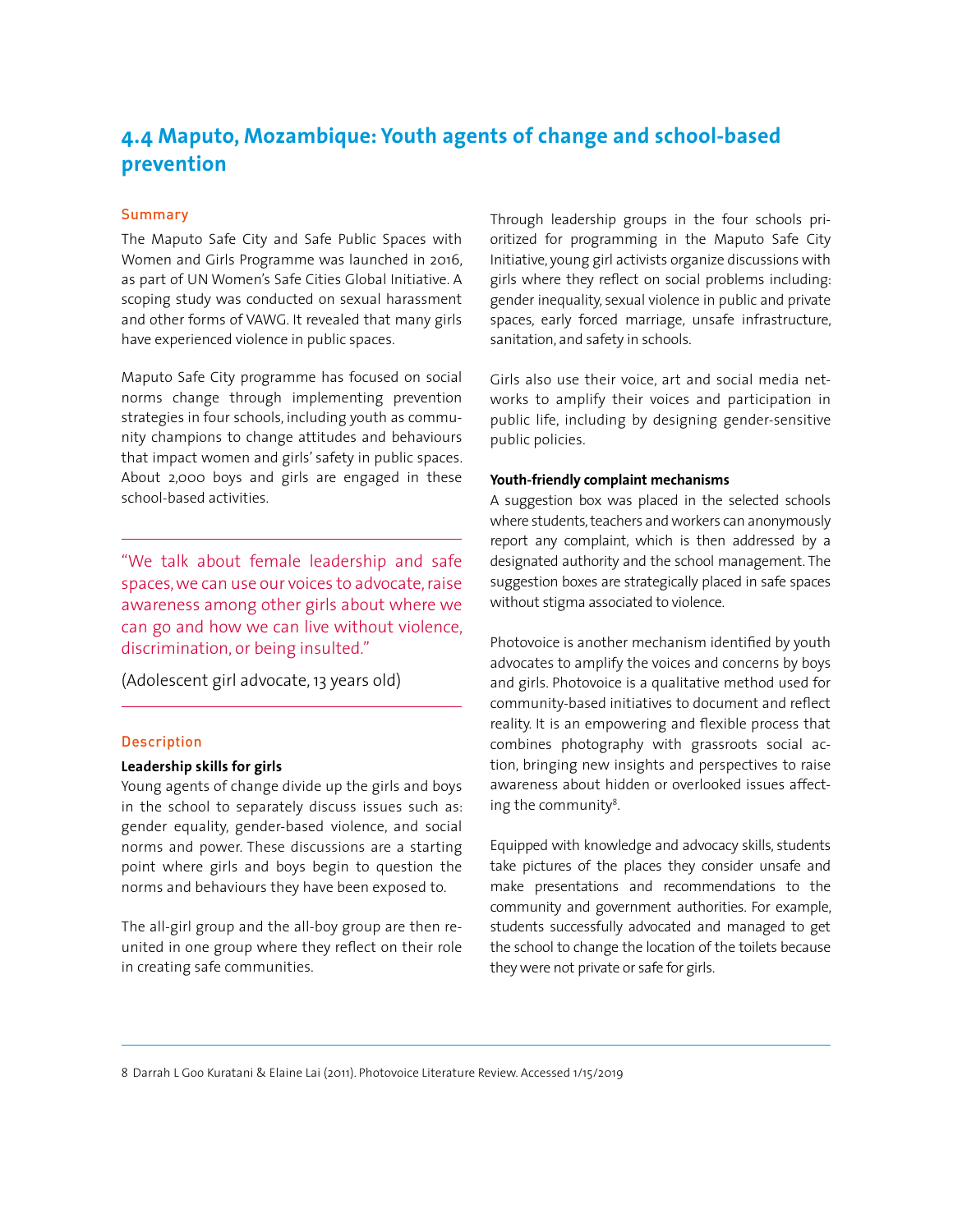## **4.4 Maputo, Mozambique: Youth agents of change and school-based prevention**

#### Summary

The Maputo Safe City and Safe Public Spaces with Women and Girls Programme was launched in 2016, as part of UN Women's Safe Cities Global Initiative. A scoping study was conducted on sexual harassment and other forms of VAWG. It revealed that many girls have experienced violence in public spaces.

Maputo Safe City programme has focused on social norms change through implementing prevention strategies in four schools, including youth as community champions to change attitudes and behaviours that impact women and girls' safety in public spaces. About 2,000 boys and girls are engaged in these school-based activities.

"We talk about female leadership and safe spaces, we can use our voices to advocate, raise awareness among other girls about where we can go and how we can live without violence, discrimination, or being insulted."

(Adolescent girl advocate, 13 years old)

#### Description

#### **Leadership skills for girls**

Young agents of change divide up the girls and boys in the school to separately discuss issues such as: gender equality, gender-based violence, and social norms and power. These discussions are a starting point where girls and boys begin to question the norms and behaviours they have been exposed to.

The all-girl group and the all-boy group are then reunited in one group where they reflect on their role in creating safe communities.

Through leadership groups in the four schools prioritized for programming in the Maputo Safe City Initiative, young girl activists organize discussions with girls where they reflect on social problems including: gender inequality, sexual violence in public and private spaces, early forced marriage, unsafe infrastructure, sanitation, and safety in schools.

Girls also use their voice, art and social media networks to amplify their voices and participation in public life, including by designing gender-sensitive public policies.

#### **Youth-friendly complaint mechanisms**

A suggestion box was placed in the selected schools where students, teachers and workers can anonymously report any complaint, which is then addressed by a designated authority and the school management. The suggestion boxes are strategically placed in safe spaces without stigma associated to violence.

Photovoice is another mechanism identified by youth advocates to amplify the voices and concerns by boys and girls. Photovoice is a qualitative method used for community-based initiatives to document and reflect reality. It is an empowering and flexible process that combines photography with grassroots social action, bringing new insights and perspectives to raise awareness about hidden or overlooked issues affecting the community<sup>8</sup>.

Equipped with knowledge and advocacy skills, students take pictures of the places they consider unsafe and make presentations and recommendations to the community and government authorities. For example, students successfully advocated and managed to get the school to change the location of the toilets because they were not private or safe for girls.

8 Darrah L Goo Kuratani & Elaine Lai (2011). Photovoice Literature Review. Accessed 1/15/2019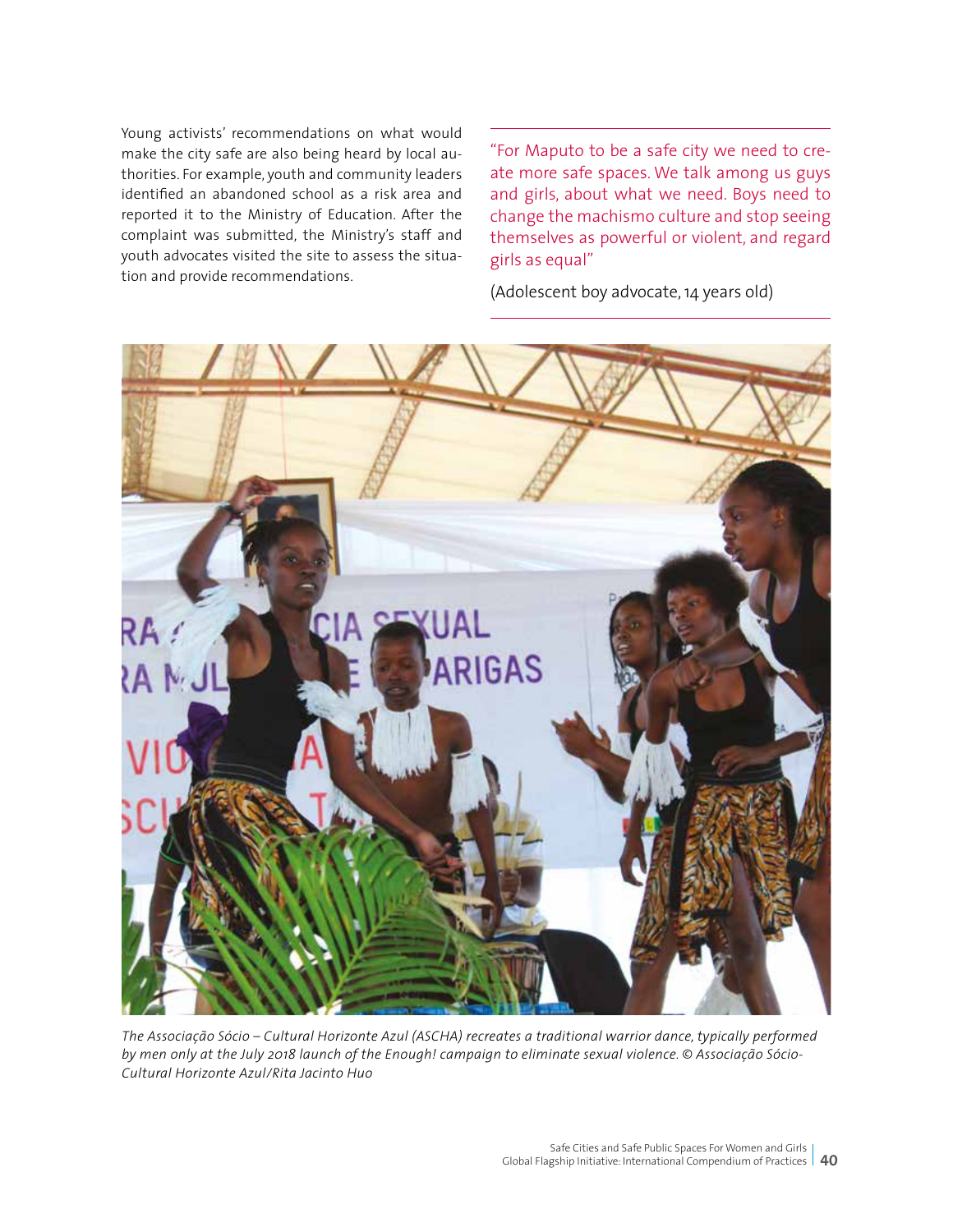Young activists' recommendations on what would make the city safe are also being heard by local authorities. For example, youth and community leaders identified an abandoned school as a risk area and reported it to the Ministry of Education. After the complaint was submitted, the Ministry's staff and youth advocates visited the site to assess the situation and provide recommendations.

"For Maputo to be a safe city we need to create more safe spaces. We talk among us guys and girls, about what we need. Boys need to change the machismo culture and stop seeing themselves as powerful or violent, and regard girls as equal"

(Adolescent boy advocate, 14 years old)



*The Associação Sócio – Cultural Horizonte Azul (ASCHA) recreates a traditional warrior dance, typically performed by men only at the July 2018 launch of the Enough! campaign to eliminate sexual violence. © Associação Sócio-Cultural Horizonte Azul/Rita Jacinto Huo*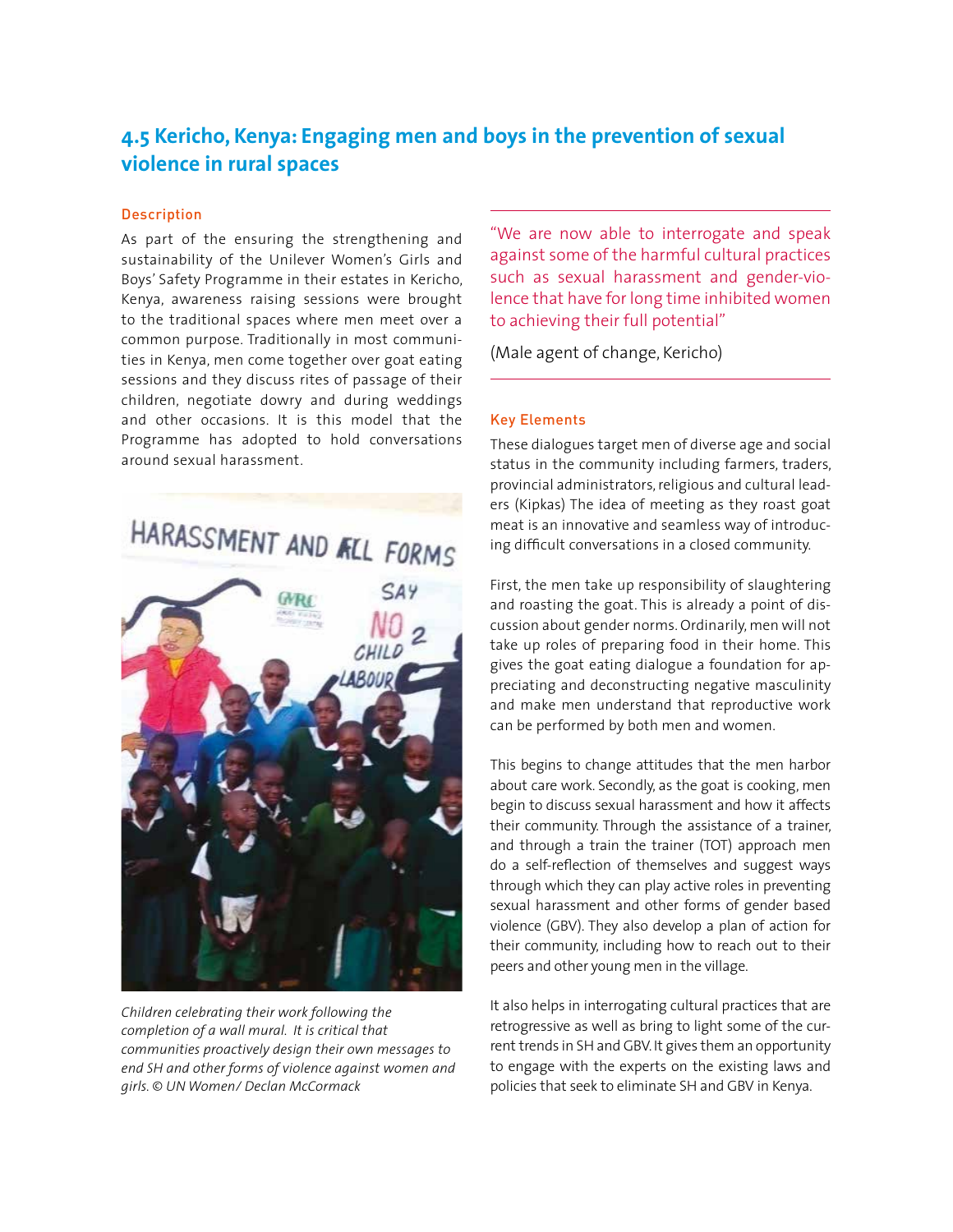## **4.5 Kericho, Kenya: Engaging men and boys in the prevention of sexual violence in rural spaces**

#### Description

As part of the ensuring the strengthening and sustainability of the Unilever Women's Girls and Boys' Safety Programme in their estates in Kericho, Kenya, awareness raising sessions were brought to the traditional spaces where men meet over a common purpose. Traditionally in most communities in Kenya, men come together over goat eating sessions and they discuss rites of passage of their children, negotiate dowry and during weddings and other occasions. It is this model that the Programme has adopted to hold conversations around sexual harassment.



*Children celebrating their work following the completion of a wall mural. It is critical that communities proactively design their own messages to end SH and other forms of violence against women and girls. © UN Women/ Declan McCormack*

"We are now able to interrogate and speak against some of the harmful cultural practices such as sexual harassment and gender-violence that have for long time inhibited women to achieving their full potential"

(Male agent of change, Kericho)

#### Key Elements

These dialogues target men of diverse age and social status in the community including farmers, traders, provincial administrators, religious and cultural leaders (Kipkas) The idea of meeting as they roast goat meat is an innovative and seamless way of introducing difficult conversations in a closed community.

First, the men take up responsibility of slaughtering and roasting the goat. This is already a point of discussion about gender norms. Ordinarily, men will not take up roles of preparing food in their home. This gives the goat eating dialogue a foundation for appreciating and deconstructing negative masculinity and make men understand that reproductive work can be performed by both men and women.

This begins to change attitudes that the men harbor about care work. Secondly, as the goat is cooking, men begin to discuss sexual harassment and how it affects their community. Through the assistance of a trainer, and through a train the trainer (TOT) approach men do a self-reflection of themselves and suggest ways through which they can play active roles in preventing sexual harassment and other forms of gender based violence (GBV). They also develop a plan of action for their community, including how to reach out to their peers and other young men in the village.

It also helps in interrogating cultural practices that are retrogressive as well as bring to light some of the current trends in SH and GBV. It gives them an opportunity to engage with the experts on the existing laws and policies that seek to eliminate SH and GBV in Kenya.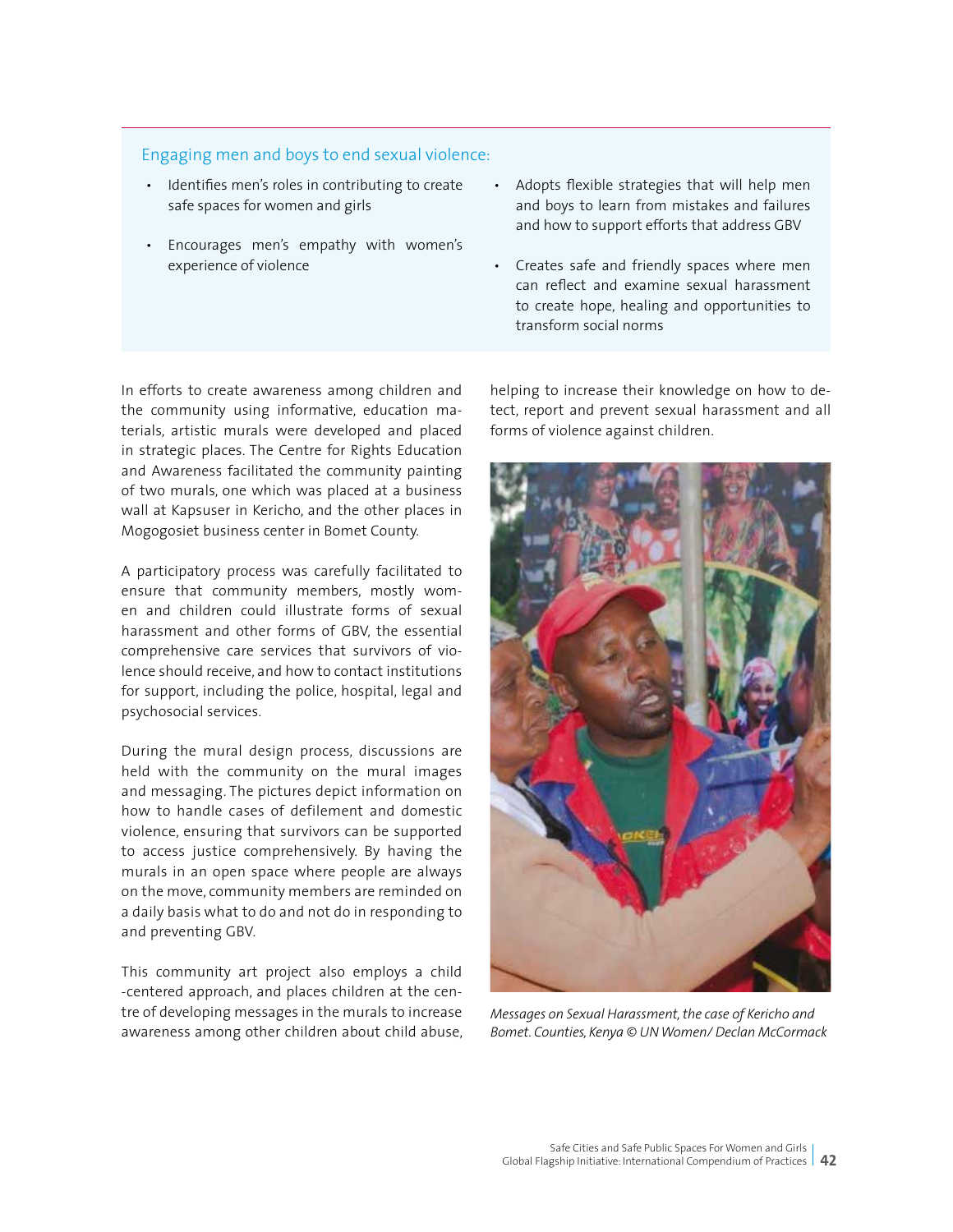#### Engaging men and boys to end sexual violence:

- Identifies men's roles in contributing to create safe spaces for women and girls
- Encourages men's empathy with women's experience of violence
- Adopts flexible strategies that will help men and boys to learn from mistakes and failures and how to support efforts that address GBV
- Creates safe and friendly spaces where men can reflect and examine sexual harassment to create hope, healing and opportunities to transform social norms

In efforts to create awareness among children and the community using informative, education materials, artistic murals were developed and placed in strategic places. The Centre for Rights Education and Awareness facilitated the community painting of two murals, one which was placed at a business wall at Kapsuser in Kericho, and the other places in Mogogosiet business center in Bomet County.

A participatory process was carefully facilitated to ensure that community members, mostly women and children could illustrate forms of sexual harassment and other forms of GBV, the essential comprehensive care services that survivors of violence should receive, and how to contact institutions for support, including the police, hospital, legal and psychosocial services.

During the mural design process, discussions are held with the community on the mural images and messaging. The pictures depict information on how to handle cases of defilement and domestic violence, ensuring that survivors can be supported to access justice comprehensively. By having the murals in an open space where people are always on the move, community members are reminded on a daily basis what to do and not do in responding to and preventing GBV.

This community art project also employs a child -centered approach, and places children at the centre of developing messages in the murals to increase awareness among other children about child abuse, helping to increase their knowledge on how to detect, report and prevent sexual harassment and all forms of violence against children.



*Messages on Sexual Harassment, the case of Kericho and Bomet. Counties, Kenya © UN Women/ Declan McCormack*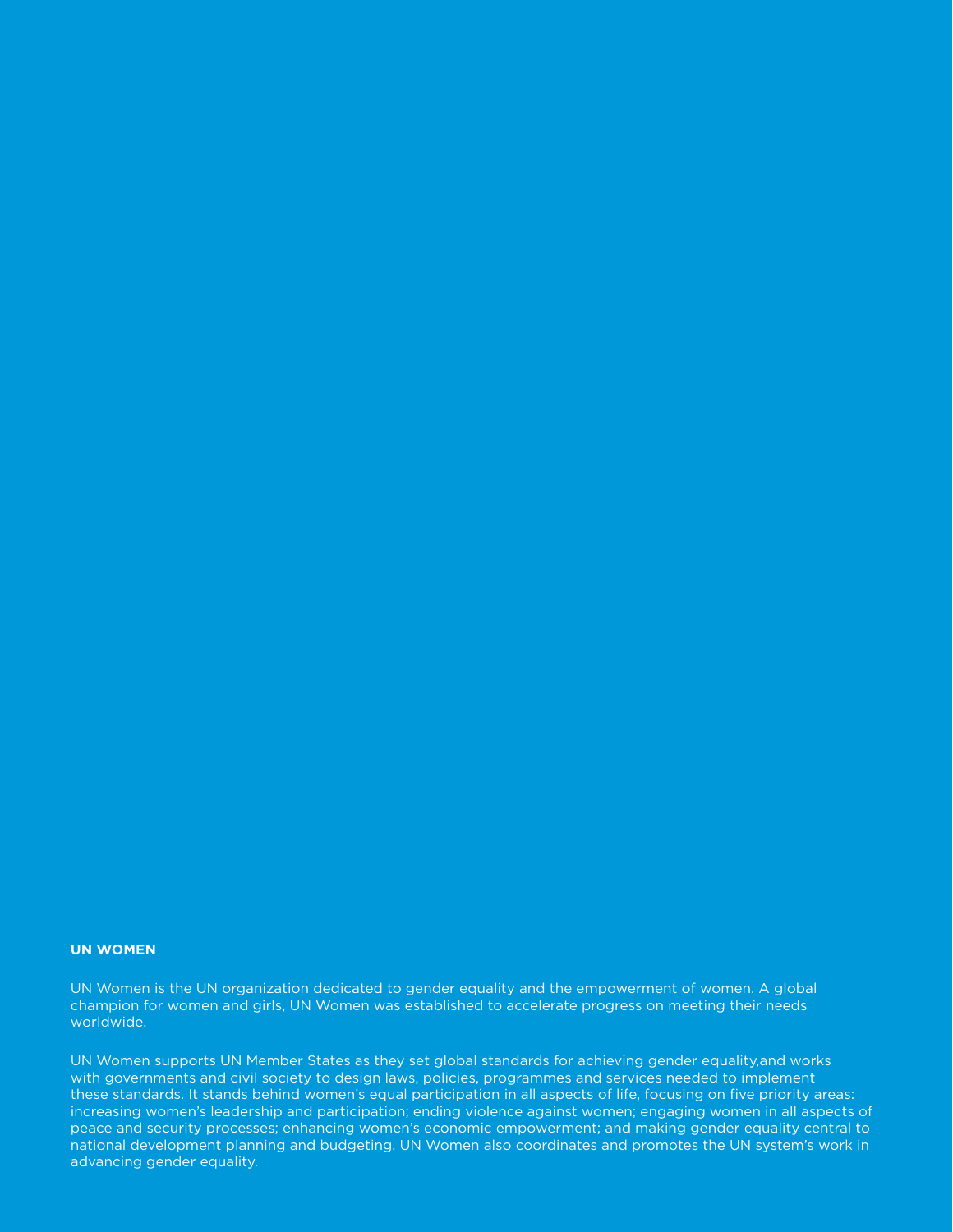#### **UN WOMEN**

UN Women is the UN organization dedicated to gender equality and the empowerment of women. A global champion for women and girls, UN Women was established to accelerate progress on meeting their needs worldwide.

UN Women supports UN Member States as they set global standards for achieving gender equality,and works with governments and civil society to design laws, policies, programmes and services needed to implement these standards. It stands behind women's equal participation in all aspects of life, focusing on five priority areas: increasing women's leadership and participation; ending violence against women; engaging women in all aspects of peace and security processes; enhancing women's economic empowerment; and making gender equality central to national development planning and budgeting. UN Women also coordinates and promotes the UN system's work in advancing gender equality.